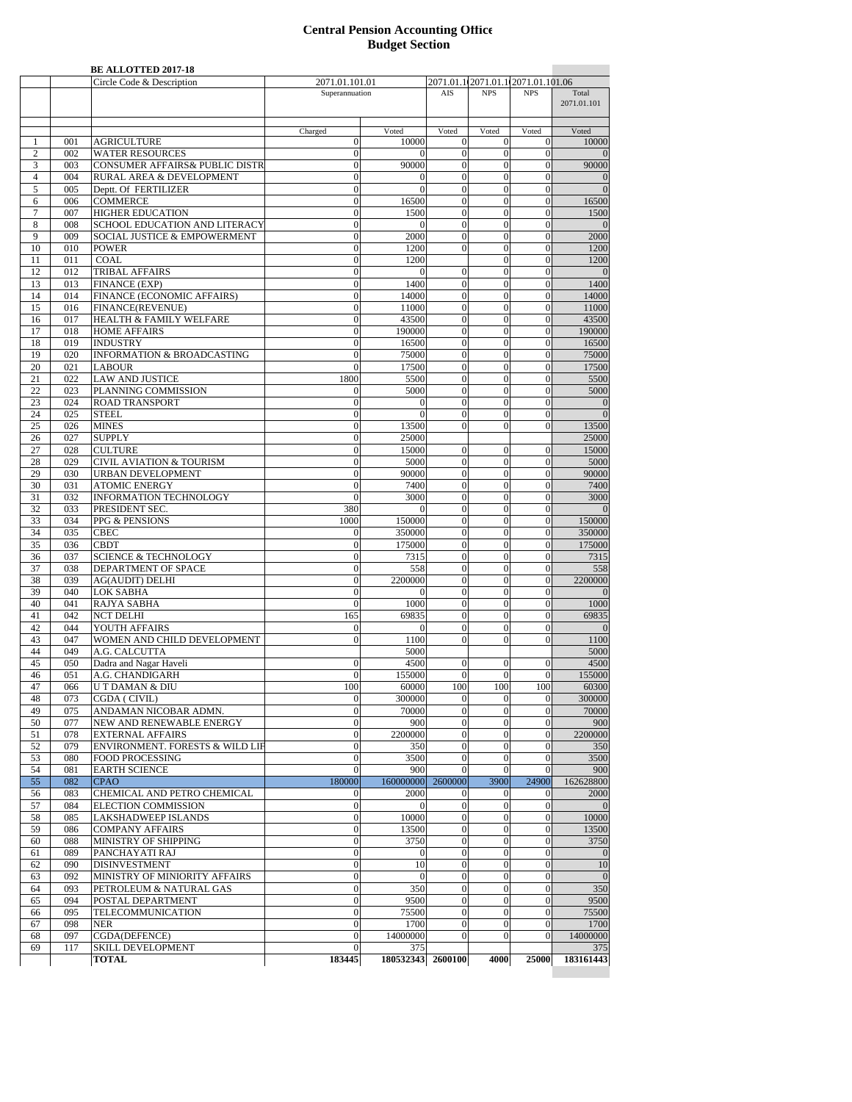## **Central Pension Accounting Office Budget Section**

| 2071.01.1(2071.01.1(2071.01.101.06<br>2071.01.101.01<br>Superannuation<br>AIS<br><b>NPS</b><br><b>NPS</b><br>Total<br>2071.01.101<br>Charged<br>Voted<br>Voted<br>Voted<br>Voted<br>Voted<br><b>AGRICULTURE</b><br>001<br>$\theta$<br>10000<br>$\overline{0}$<br>$\mathbf{0}$<br>$\theta$<br>1<br>$\overline{c}$<br><b>WATER RESOURCES</b><br>$\overline{0}$<br>002<br>$\overline{0}$<br>$\theta$<br>$\theta$<br>$\mathbf{0}$<br><b>CONSUMER AFFAIRS&amp; PUBLIC DISTR</b><br>90000<br>$\mathbf{0}$<br>$\overline{0}$<br>3<br>003<br>$\theta$<br>$\theta$<br>RURAL AREA & DEVELOPMENT<br>$\overline{4}$<br>004<br>$\mathbf{0}$<br>$\mathbf{0}$<br>$\mathbf{0}$<br>$\boldsymbol{0}$<br>$\overline{0}$<br>$\sqrt{5}$<br>$\mathbf{0}$<br>$\overline{0}$<br>$\mathbf{0}$<br>$\theta$<br>005<br>Deptt. Of FERTILIZER<br>$\Omega$<br><b>COMMERCE</b><br>006<br>$\boldsymbol{0}$<br>16500<br>$\overline{0}$<br>$\theta$<br>16500<br>$\theta$<br>6<br>$\tau$<br><b>HIGHER EDUCATION</b><br>$\mathbf{0}$<br>007<br>$\boldsymbol{0}$<br>1500<br>$\theta$<br>$\mathbf{0}$<br>1500<br>SCHOOL EDUCATION AND LITERACY<br>$\mathbf{0}$<br>$\mathbf{0}$<br>$\overline{0}$<br>$\mathbf{0}$<br>8<br>008<br>$\theta$<br>$\theta$<br>9<br><b>SOCIAL JUSTICE &amp; EMPOWERMENT</b><br>$\overline{0}$<br>2000<br>$\mathbf{0}$<br>$\overline{0}$<br>$\mathbf{0}$<br>2000<br>009<br>10<br>$\boldsymbol{0}$<br>1200<br>$\mathbf{0}$<br>$\mathbf{0}$<br>1200<br>010<br><b>POWER</b><br>$\overline{0}$<br>COAL<br>1200<br>011<br>$\boldsymbol{0}$<br>1200<br>$\theta$<br>$\overline{0}$<br>11<br>12<br><b>TRIBAL AFFAIRS</b><br>$\mathbf{0}$<br>012<br>$\mathbf{0}$<br>$\mathbf{0}$<br>$\theta$<br>$\mathbf{0}$<br>$\overline{0}$<br><b>FINANCE (EXP)</b><br>1400<br>$\mathbf{0}$<br>$\overline{0}$<br>1400<br>13<br>013<br>$\boldsymbol{0}$<br>$\mathbf{0}$<br>14<br>014<br>FINANCE (ECONOMIC AFFAIRS)<br>$\mathbf{0}$<br>14000<br>$\overline{0}$<br>$\theta$<br>$\Omega$<br>14000<br>15<br>FINANCE(REVENUE)<br>$\mathbf{0}$<br>11000<br>$\mathbf{0}$<br>$\overline{0}$<br>016<br>$\theta$<br>16<br>017<br>HEALTH & FAMILY WELFARE<br>$\boldsymbol{0}$<br>43500<br>$\mathbf{0}$<br>$\overline{0}$<br>$\mathbf{0}$<br><b>HOME AFFAIRS</b><br>17<br>018<br>$\boldsymbol{0}$<br>190000<br>$\theta$<br>$\mathbf{0}$<br>$\mathbf{0}$<br><b>INDUSTRY</b><br>18<br>019<br>$\theta$<br>16500<br>$\theta$<br>$\overline{0}$<br>$\theta$<br>19<br><b>INFORMATION &amp; BROADCASTING</b><br>$\mathbf{0}$<br>75000<br>$\mathbf{0}$<br>$\overline{0}$<br>020<br>$\overline{0}$<br>20<br>021<br><b>LABOUR</b><br>$\theta$<br>17500<br>$\mathbf{0}$<br>$\theta$<br>$\theta$<br>21<br>022<br><b>LAW AND JUSTICE</b><br>1800<br>5500<br>$\mathbf{0}$<br>$\overline{0}$<br>$\theta$<br>5500<br>PLANNING COMMISSION<br>5000<br>22<br>023<br>5000<br>$\theta$<br>$\mathbf{0}$<br>$\theta$<br>$\boldsymbol{0}$<br>$\mathbf{0}$<br>$\mathbf{0}$<br>$\boldsymbol{0}$<br>23<br>024<br><b>ROAD TRANSPORT</b><br>$\mathbf{0}$<br>$\mathbf{0}$<br>$\boldsymbol{0}$<br>24<br>$\theta$<br>$\mathbf{0}$<br>$\theta$<br>$\overline{0}$<br>025<br><b>STEEL</b><br>$\theta$<br>$\Omega$<br>25<br>026<br><b>MINES</b><br>$\boldsymbol{0}$<br>13500<br>$\overline{0}$<br>$\mathbf{0}$<br>13500<br>$\mathbf{0}$<br>$\mathbf{0}$<br>26<br>027<br><b>SUPPLY</b><br>25000<br>25000<br><b>CULTURE</b><br>27<br>028<br>$\mathbf{0}$<br>15000<br>$\mathbf{0}$<br>$\theta$<br>15000<br>$\theta$<br>28<br><b>CIVIL AVIATION &amp; TOURISM</b><br>$\overline{0}$<br>$\mathbf{0}$<br>$\overline{0}$<br>029<br>5000<br>$\mathbf{0}$<br>5000<br>29<br>$\boldsymbol{0}$<br>90000<br>$\mathbf{0}$<br>90000<br>030<br><b>URBAN DEVELOPMENT</b><br>$\mathbf{0}$<br>$\Omega$<br><b>ATOMIC ENERGY</b><br>$\mathbf{0}$<br>30<br>031<br>$\mathbf{0}$<br>7400<br>$\theta$<br>$\mathbf{0}$<br>7400<br>$\mathbf{0}$<br>$\overline{0}$<br>31<br>032<br>INFORMATION TECHNOLOGY<br>$\mathbf{0}$<br>3000<br>$\mathbf{0}$<br>32<br>033<br>PRESIDENT SEC.<br>380<br>$\mathbf{0}$<br>$\boldsymbol{0}$<br>$\mathbf{0}$<br>$\Omega$<br>33<br>034<br>PPG & PENSIONS<br>1000<br>150000<br>$\mathbf{0}$<br>$\overline{0}$<br>$\mathbf{0}$<br>350000<br>$\mathbf{0}$<br>$\overline{0}$<br>34<br>035<br><b>CBEC</b><br>$\theta$<br>$\boldsymbol{0}$<br>35<br><b>CBDT</b><br>$\boldsymbol{0}$<br>175000<br>$\mathbf{0}$<br>$\overline{0}$<br>$\mathbf{0}$<br>036<br>037<br><b>SCIENCE &amp; TECHNOLOGY</b><br>$\mathbf{0}$<br>7315<br>$\theta$<br>$\Omega$<br>36<br>$\theta$<br>37<br>038<br>DEPARTMENT OF SPACE<br>$\mathbf{0}$<br>558<br>$\overline{0}$<br>$\theta$<br>$\mathbf{0}$<br>558<br>38<br><b>AG(AUDIT) DELHI</b><br>2200000<br>$\mathbf{0}$<br>$\overline{0}$<br>$\mathbf{0}$<br>2200000<br>039<br>$\boldsymbol{0}$<br><b>LOK SABHA</b><br>$\theta$<br>39<br>040<br>$\theta$<br>$\theta$<br>$\mathbf{0}$<br>$\Omega$<br>$\theta$<br>40<br>041<br>RAJYA SABHA<br>$\overline{0}$<br>1000<br>$\mathbf{0}$<br>$\overline{0}$<br>$\Omega$<br>1000<br>042<br><b>NCT DELHI</b><br>165<br>69835<br>$\mathbf{0}$<br>$\overline{0}$<br>69835<br>41<br>$\overline{0}$<br>42<br>044<br>YOUTH AFFAIRS<br>$\mathbf{0}$<br>$\mathbf{0}$<br>$\mathbf{0}$<br>$\boldsymbol{0}$<br>$\overline{0}$<br>$\mathbf{0}$<br>43<br>WOMEN AND CHILD DEVELOPMENT<br>$\overline{0}$<br>1100<br>$\mathbf{0}$<br>$\theta$<br>1100<br>047<br>$\Omega$<br>A.G. CALCUTTA<br>5000<br>44<br>049<br>5000<br>Dadra and Nagar Haveli<br>45<br>050<br>$\overline{0}$<br>4500<br>$\theta$<br>$\mathbf{0}$<br>$\Omega$<br>051<br>A.G. CHANDIGARH<br>$\overline{0}$<br>155000<br>$\mathbf{0}$<br>$\overline{0}$<br>46<br>$\theta$<br>47<br><b>UT DAMAN &amp; DIU</b><br>100<br>066<br>100<br>60000<br>100<br>100<br>CGDA (CIVIL)<br>$\boldsymbol{0}$<br>300000<br>$\mathbf{0}$<br>$\mathbf{0}$<br>48<br>073<br>$\mathbf{0}$<br>$\mathbf{0}$<br>49<br>075<br>ANDAMAN NICOBAR ADMN.<br>$\boldsymbol{0}$<br>70000<br>$\mathbf{0}$<br>$\Omega$<br>077<br>NEW AND RENEWABLE ENERGY<br>$\boldsymbol{0}$<br>900<br>$\mathbf{0}$<br>$\mathbf{0}$<br>50<br>$\mathbf{0}$<br><b>EXTERNAL AFFAIRS</b><br>$\boldsymbol{0}$<br>2200000<br>$\mathbf{0}$<br>$\boldsymbol{0}$<br>2200000<br>51<br>078<br>$\mathbf{0}$<br>079<br>ENVIRONMENT. FORESTS & WILD LIF<br>$\overline{0}$<br>$\overline{0}$<br>$\overline{0}$<br>52<br>350<br>$\mathbf{0}$<br>350<br>$\mathbf{0}$<br>3500<br>$\mathbf{0}$<br>$\overline{0}$<br>3500<br>53<br>080<br><b>FOOD PROCESSING</b><br>$\mathbf{0}$<br><b>EARTH SCIENCE</b><br>$\mathbf{0}$<br>$\mathbf{0}$<br>54<br>081<br>900<br>$\theta$<br>$\mathbf{0}$<br>900<br>160000000<br>2600000<br>24900<br>55<br>082<br><b>CPAO</b><br>180000<br>3900<br>162628800<br>083<br>CHEMICAL AND PETRO CHEMICAL<br>2000<br>2000<br>56<br>$\mathbf{0}$<br>$\mathbf{0}$<br>$\mathbf{0}$<br>$\mathbf{0}$<br>57<br>084<br><b>ELECTION COMMISSION</b><br>$\mathbf{0}$<br>$\mathbf{0}$<br>$\mathbf{0}$<br>$\boldsymbol{0}$<br>$\mathbf{0}$<br>$\mathbf{0}$<br>LAKSHADWEEP ISLANDS<br>10000<br>$\mathbf{0}$<br>10000<br>58<br>085<br>$\boldsymbol{0}$<br>$\mathbf{0}$<br>$\mathbf{0}$<br><b>COMPANY AFFAIRS</b><br>$\mathbf{0}$<br>$\mathbf{0}$<br>$\overline{0}$<br>59<br>13500<br>$\mathbf{0}$<br>086<br>MINISTRY OF SHIPPING<br>$\mathbf{0}$<br>3750<br>$\mathbf{0}$<br>$\overline{0}$<br>088<br>$\mathbf{0}$<br>60<br>089<br>PANCHAYATI RAJ<br>$\boldsymbol{0}$<br>$\mathbf{0}$<br>$\mathbf{0}$<br>$\mathbf{0}$<br>61<br>$\boldsymbol{0}$<br>$\overline{0}$<br>10<br>$\mathbf{0}$<br>090<br><b>DISINVESTMENT</b><br>$\mathbf{0}$<br>$\mathbf{0}$<br>62<br>MINISTRY OF MINIORITY AFFAIRS<br>$\mathbf{0}$<br>092<br>$\mathbf{0}$<br>$\mathbf{0}$<br>$\boldsymbol{0}$<br>$\mathbf{0}$<br>63<br>PETROLEUM & NATURAL GAS<br>$\boldsymbol{0}$<br>$\mathbf{0}$<br>$\mathbf{0}$<br>$\mathbf{0}$<br>64<br>093<br>350<br>POSTAL DEPARTMENT<br>9500<br>$\mathbf{0}$<br>094<br>$\mathbf{0}$<br>$\overline{0}$<br>$\mathbf{0}$<br>65<br>TELECOMMUNICATION<br>$\mathbf{0}$<br>75500<br>$\mathbf{0}$<br>095<br>$\theta$<br>$\mathbf{0}$<br>66<br>098<br><b>NER</b><br>$\boldsymbol{0}$<br>1700<br>$\overline{0}$<br>$\mathbf{0}$<br>67<br>$\mathbf{0}$<br>CGDA(DEFENCE)<br>14000000<br>14000000<br>097<br>$\mathbf{0}$<br>$\Omega$<br>68<br>$\Omega$<br>$\mathbf{0}$<br><b>SKILL DEVELOPMENT</b><br>69<br>117<br>$\boldsymbol{0}$<br>375<br>375<br><b>TOTAL</b><br>180532343 2600100<br>183445<br>4000<br>25000<br>183161443 |  | <b>BE ALLOTTED 2017-18</b> |  |  |                |
|---------------------------------------------------------------------------------------------------------------------------------------------------------------------------------------------------------------------------------------------------------------------------------------------------------------------------------------------------------------------------------------------------------------------------------------------------------------------------------------------------------------------------------------------------------------------------------------------------------------------------------------------------------------------------------------------------------------------------------------------------------------------------------------------------------------------------------------------------------------------------------------------------------------------------------------------------------------------------------------------------------------------------------------------------------------------------------------------------------------------------------------------------------------------------------------------------------------------------------------------------------------------------------------------------------------------------------------------------------------------------------------------------------------------------------------------------------------------------------------------------------------------------------------------------------------------------------------------------------------------------------------------------------------------------------------------------------------------------------------------------------------------------------------------------------------------------------------------------------------------------------------------------------------------------------------------------------------------------------------------------------------------------------------------------------------------------------------------------------------------------------------------------------------------------------------------------------------------------------------------------------------------------------------------------------------------------------------------------------------------------------------------------------------------------------------------------------------------------------------------------------------------------------------------------------------------------------------------------------------------------------------------------------------------------------------------------------------------------------------------------------------------------------------------------------------------------------------------------------------------------------------------------------------------------------------------------------------------------------------------------------------------------------------------------------------------------------------------------------------------------------------------------------------------------------------------------------------------------------------------------------------------------------------------------------------------------------------------------------------------------------------------------------------------------------------------------------------------------------------------------------------------------------------------------------------------------------------------------------------------------------------------------------------------------------------------------------------------------------------------------------------------------------------------------------------------------------------------------------------------------------------------------------------------------------------------------------------------------------------------------------------------------------------------------------------------------------------------------------------------------------------------------------------------------------------------------------------------------------------------------------------------------------------------------------------------------------------------------------------------------------------------------------------------------------------------------------------------------------------------------------------------------------------------------------------------------------------------------------------------------------------------------------------------------------------------------------------------------------------------------------------------------------------------------------------------------------------------------------------------------------------------------------------------------------------------------------------------------------------------------------------------------------------------------------------------------------------------------------------------------------------------------------------------------------------------------------------------------------------------------------------------------------------------------------------------------------------------------------------------------------------------------------------------------------------------------------------------------------------------------------------------------------------------------------------------------------------------------------------------------------------------------------------------------------------------------------------------------------------------------------------------------------------------------------------------------------------------------------------------------------------------------------------------------------------------------------------------------------------------------------------------------------------------------------------------------------------------------------------------------------------------------------------------------------------------------------------------------------------------------------------------------------------------------------------------------------------------------------------------------------------------------------------------------------------------------------------------------------------------------------------------------------------------------------------------------------------------------------------------------------------------------------------------------------------------------------------------------------------------------------------------------------------------------------------------------------------------------------------------------------------------------------------------------------------------------------------------------------------------------------------------------------------------------------------------------------------------------------------------------------------------------------------------------------------------------------------------------------------------------------------------------------------------------------------------------------------------------------------------------------------------------------------------------------------------------------------------------------------------------------------------------------------------------------------------------------------------------------------------------------------------------------------------------------------------------------------------------------------------------------------------------------------------------------------------------------------------------------------------------------------------------------------------------------------------------------------------------------------------------------------------------------------------------------------------------------------------------------------------------------------------------------------------------------------------------------------------------------------------------------------------------------------------------------------------------------------------------------------------------|--|----------------------------|--|--|----------------|
|                                                                                                                                                                                                                                                                                                                                                                                                                                                                                                                                                                                                                                                                                                                                                                                                                                                                                                                                                                                                                                                                                                                                                                                                                                                                                                                                                                                                                                                                                                                                                                                                                                                                                                                                                                                                                                                                                                                                                                                                                                                                                                                                                                                                                                                                                                                                                                                                                                                                                                                                                                                                                                                                                                                                                                                                                                                                                                                                                                                                                                                                                                                                                                                                                                                                                                                                                                                                                                                                                                                                                                                                                                                                                                                                                                                                                                                                                                                                                                                                                                                                                                                                                                                                                                                                                                                                                                                                                                                                                                                                                                                                                                                                                                                                                                                                                                                                                                                                                                                                                                                                                                                                                                                                                                                                                                                                                                                                                                                                                                                                                                                                                                                                                                                                                                                                                                                                                                                                                                                                                                                                                                                                                                                                                                                                                                                                                                                                                                                                                                                                                                                                                                                                                                                                                                                                                                                                                                                                                                                                                                                                                                                                                                                                                                                                                                                                                                                                                                                                                                                                                                                                                                                                                                                                                                                                                                                                                                                                                                                                                                                                                                                                                                                                                                                                                                                                                                           |  | Circle Code & Description  |  |  |                |
|                                                                                                                                                                                                                                                                                                                                                                                                                                                                                                                                                                                                                                                                                                                                                                                                                                                                                                                                                                                                                                                                                                                                                                                                                                                                                                                                                                                                                                                                                                                                                                                                                                                                                                                                                                                                                                                                                                                                                                                                                                                                                                                                                                                                                                                                                                                                                                                                                                                                                                                                                                                                                                                                                                                                                                                                                                                                                                                                                                                                                                                                                                                                                                                                                                                                                                                                                                                                                                                                                                                                                                                                                                                                                                                                                                                                                                                                                                                                                                                                                                                                                                                                                                                                                                                                                                                                                                                                                                                                                                                                                                                                                                                                                                                                                                                                                                                                                                                                                                                                                                                                                                                                                                                                                                                                                                                                                                                                                                                                                                                                                                                                                                                                                                                                                                                                                                                                                                                                                                                                                                                                                                                                                                                                                                                                                                                                                                                                                                                                                                                                                                                                                                                                                                                                                                                                                                                                                                                                                                                                                                                                                                                                                                                                                                                                                                                                                                                                                                                                                                                                                                                                                                                                                                                                                                                                                                                                                                                                                                                                                                                                                                                                                                                                                                                                                                                                                                           |  |                            |  |  |                |
|                                                                                                                                                                                                                                                                                                                                                                                                                                                                                                                                                                                                                                                                                                                                                                                                                                                                                                                                                                                                                                                                                                                                                                                                                                                                                                                                                                                                                                                                                                                                                                                                                                                                                                                                                                                                                                                                                                                                                                                                                                                                                                                                                                                                                                                                                                                                                                                                                                                                                                                                                                                                                                                                                                                                                                                                                                                                                                                                                                                                                                                                                                                                                                                                                                                                                                                                                                                                                                                                                                                                                                                                                                                                                                                                                                                                                                                                                                                                                                                                                                                                                                                                                                                                                                                                                                                                                                                                                                                                                                                                                                                                                                                                                                                                                                                                                                                                                                                                                                                                                                                                                                                                                                                                                                                                                                                                                                                                                                                                                                                                                                                                                                                                                                                                                                                                                                                                                                                                                                                                                                                                                                                                                                                                                                                                                                                                                                                                                                                                                                                                                                                                                                                                                                                                                                                                                                                                                                                                                                                                                                                                                                                                                                                                                                                                                                                                                                                                                                                                                                                                                                                                                                                                                                                                                                                                                                                                                                                                                                                                                                                                                                                                                                                                                                                                                                                                                                           |  |                            |  |  |                |
|                                                                                                                                                                                                                                                                                                                                                                                                                                                                                                                                                                                                                                                                                                                                                                                                                                                                                                                                                                                                                                                                                                                                                                                                                                                                                                                                                                                                                                                                                                                                                                                                                                                                                                                                                                                                                                                                                                                                                                                                                                                                                                                                                                                                                                                                                                                                                                                                                                                                                                                                                                                                                                                                                                                                                                                                                                                                                                                                                                                                                                                                                                                                                                                                                                                                                                                                                                                                                                                                                                                                                                                                                                                                                                                                                                                                                                                                                                                                                                                                                                                                                                                                                                                                                                                                                                                                                                                                                                                                                                                                                                                                                                                                                                                                                                                                                                                                                                                                                                                                                                                                                                                                                                                                                                                                                                                                                                                                                                                                                                                                                                                                                                                                                                                                                                                                                                                                                                                                                                                                                                                                                                                                                                                                                                                                                                                                                                                                                                                                                                                                                                                                                                                                                                                                                                                                                                                                                                                                                                                                                                                                                                                                                                                                                                                                                                                                                                                                                                                                                                                                                                                                                                                                                                                                                                                                                                                                                                                                                                                                                                                                                                                                                                                                                                                                                                                                                                           |  |                            |  |  |                |
|                                                                                                                                                                                                                                                                                                                                                                                                                                                                                                                                                                                                                                                                                                                                                                                                                                                                                                                                                                                                                                                                                                                                                                                                                                                                                                                                                                                                                                                                                                                                                                                                                                                                                                                                                                                                                                                                                                                                                                                                                                                                                                                                                                                                                                                                                                                                                                                                                                                                                                                                                                                                                                                                                                                                                                                                                                                                                                                                                                                                                                                                                                                                                                                                                                                                                                                                                                                                                                                                                                                                                                                                                                                                                                                                                                                                                                                                                                                                                                                                                                                                                                                                                                                                                                                                                                                                                                                                                                                                                                                                                                                                                                                                                                                                                                                                                                                                                                                                                                                                                                                                                                                                                                                                                                                                                                                                                                                                                                                                                                                                                                                                                                                                                                                                                                                                                                                                                                                                                                                                                                                                                                                                                                                                                                                                                                                                                                                                                                                                                                                                                                                                                                                                                                                                                                                                                                                                                                                                                                                                                                                                                                                                                                                                                                                                                                                                                                                                                                                                                                                                                                                                                                                                                                                                                                                                                                                                                                                                                                                                                                                                                                                                                                                                                                                                                                                                                                           |  |                            |  |  | 10000          |
|                                                                                                                                                                                                                                                                                                                                                                                                                                                                                                                                                                                                                                                                                                                                                                                                                                                                                                                                                                                                                                                                                                                                                                                                                                                                                                                                                                                                                                                                                                                                                                                                                                                                                                                                                                                                                                                                                                                                                                                                                                                                                                                                                                                                                                                                                                                                                                                                                                                                                                                                                                                                                                                                                                                                                                                                                                                                                                                                                                                                                                                                                                                                                                                                                                                                                                                                                                                                                                                                                                                                                                                                                                                                                                                                                                                                                                                                                                                                                                                                                                                                                                                                                                                                                                                                                                                                                                                                                                                                                                                                                                                                                                                                                                                                                                                                                                                                                                                                                                                                                                                                                                                                                                                                                                                                                                                                                                                                                                                                                                                                                                                                                                                                                                                                                                                                                                                                                                                                                                                                                                                                                                                                                                                                                                                                                                                                                                                                                                                                                                                                                                                                                                                                                                                                                                                                                                                                                                                                                                                                                                                                                                                                                                                                                                                                                                                                                                                                                                                                                                                                                                                                                                                                                                                                                                                                                                                                                                                                                                                                                                                                                                                                                                                                                                                                                                                                                                           |  |                            |  |  | $\mathbf{0}$   |
|                                                                                                                                                                                                                                                                                                                                                                                                                                                                                                                                                                                                                                                                                                                                                                                                                                                                                                                                                                                                                                                                                                                                                                                                                                                                                                                                                                                                                                                                                                                                                                                                                                                                                                                                                                                                                                                                                                                                                                                                                                                                                                                                                                                                                                                                                                                                                                                                                                                                                                                                                                                                                                                                                                                                                                                                                                                                                                                                                                                                                                                                                                                                                                                                                                                                                                                                                                                                                                                                                                                                                                                                                                                                                                                                                                                                                                                                                                                                                                                                                                                                                                                                                                                                                                                                                                                                                                                                                                                                                                                                                                                                                                                                                                                                                                                                                                                                                                                                                                                                                                                                                                                                                                                                                                                                                                                                                                                                                                                                                                                                                                                                                                                                                                                                                                                                                                                                                                                                                                                                                                                                                                                                                                                                                                                                                                                                                                                                                                                                                                                                                                                                                                                                                                                                                                                                                                                                                                                                                                                                                                                                                                                                                                                                                                                                                                                                                                                                                                                                                                                                                                                                                                                                                                                                                                                                                                                                                                                                                                                                                                                                                                                                                                                                                                                                                                                                                                           |  |                            |  |  | 90000          |
|                                                                                                                                                                                                                                                                                                                                                                                                                                                                                                                                                                                                                                                                                                                                                                                                                                                                                                                                                                                                                                                                                                                                                                                                                                                                                                                                                                                                                                                                                                                                                                                                                                                                                                                                                                                                                                                                                                                                                                                                                                                                                                                                                                                                                                                                                                                                                                                                                                                                                                                                                                                                                                                                                                                                                                                                                                                                                                                                                                                                                                                                                                                                                                                                                                                                                                                                                                                                                                                                                                                                                                                                                                                                                                                                                                                                                                                                                                                                                                                                                                                                                                                                                                                                                                                                                                                                                                                                                                                                                                                                                                                                                                                                                                                                                                                                                                                                                                                                                                                                                                                                                                                                                                                                                                                                                                                                                                                                                                                                                                                                                                                                                                                                                                                                                                                                                                                                                                                                                                                                                                                                                                                                                                                                                                                                                                                                                                                                                                                                                                                                                                                                                                                                                                                                                                                                                                                                                                                                                                                                                                                                                                                                                                                                                                                                                                                                                                                                                                                                                                                                                                                                                                                                                                                                                                                                                                                                                                                                                                                                                                                                                                                                                                                                                                                                                                                                                                           |  |                            |  |  | $\mathbf{0}$   |
|                                                                                                                                                                                                                                                                                                                                                                                                                                                                                                                                                                                                                                                                                                                                                                                                                                                                                                                                                                                                                                                                                                                                                                                                                                                                                                                                                                                                                                                                                                                                                                                                                                                                                                                                                                                                                                                                                                                                                                                                                                                                                                                                                                                                                                                                                                                                                                                                                                                                                                                                                                                                                                                                                                                                                                                                                                                                                                                                                                                                                                                                                                                                                                                                                                                                                                                                                                                                                                                                                                                                                                                                                                                                                                                                                                                                                                                                                                                                                                                                                                                                                                                                                                                                                                                                                                                                                                                                                                                                                                                                                                                                                                                                                                                                                                                                                                                                                                                                                                                                                                                                                                                                                                                                                                                                                                                                                                                                                                                                                                                                                                                                                                                                                                                                                                                                                                                                                                                                                                                                                                                                                                                                                                                                                                                                                                                                                                                                                                                                                                                                                                                                                                                                                                                                                                                                                                                                                                                                                                                                                                                                                                                                                                                                                                                                                                                                                                                                                                                                                                                                                                                                                                                                                                                                                                                                                                                                                                                                                                                                                                                                                                                                                                                                                                                                                                                                                                           |  |                            |  |  | $\overline{0}$ |
|                                                                                                                                                                                                                                                                                                                                                                                                                                                                                                                                                                                                                                                                                                                                                                                                                                                                                                                                                                                                                                                                                                                                                                                                                                                                                                                                                                                                                                                                                                                                                                                                                                                                                                                                                                                                                                                                                                                                                                                                                                                                                                                                                                                                                                                                                                                                                                                                                                                                                                                                                                                                                                                                                                                                                                                                                                                                                                                                                                                                                                                                                                                                                                                                                                                                                                                                                                                                                                                                                                                                                                                                                                                                                                                                                                                                                                                                                                                                                                                                                                                                                                                                                                                                                                                                                                                                                                                                                                                                                                                                                                                                                                                                                                                                                                                                                                                                                                                                                                                                                                                                                                                                                                                                                                                                                                                                                                                                                                                                                                                                                                                                                                                                                                                                                                                                                                                                                                                                                                                                                                                                                                                                                                                                                                                                                                                                                                                                                                                                                                                                                                                                                                                                                                                                                                                                                                                                                                                                                                                                                                                                                                                                                                                                                                                                                                                                                                                                                                                                                                                                                                                                                                                                                                                                                                                                                                                                                                                                                                                                                                                                                                                                                                                                                                                                                                                                                                           |  |                            |  |  |                |
|                                                                                                                                                                                                                                                                                                                                                                                                                                                                                                                                                                                                                                                                                                                                                                                                                                                                                                                                                                                                                                                                                                                                                                                                                                                                                                                                                                                                                                                                                                                                                                                                                                                                                                                                                                                                                                                                                                                                                                                                                                                                                                                                                                                                                                                                                                                                                                                                                                                                                                                                                                                                                                                                                                                                                                                                                                                                                                                                                                                                                                                                                                                                                                                                                                                                                                                                                                                                                                                                                                                                                                                                                                                                                                                                                                                                                                                                                                                                                                                                                                                                                                                                                                                                                                                                                                                                                                                                                                                                                                                                                                                                                                                                                                                                                                                                                                                                                                                                                                                                                                                                                                                                                                                                                                                                                                                                                                                                                                                                                                                                                                                                                                                                                                                                                                                                                                                                                                                                                                                                                                                                                                                                                                                                                                                                                                                                                                                                                                                                                                                                                                                                                                                                                                                                                                                                                                                                                                                                                                                                                                                                                                                                                                                                                                                                                                                                                                                                                                                                                                                                                                                                                                                                                                                                                                                                                                                                                                                                                                                                                                                                                                                                                                                                                                                                                                                                                                           |  |                            |  |  |                |
|                                                                                                                                                                                                                                                                                                                                                                                                                                                                                                                                                                                                                                                                                                                                                                                                                                                                                                                                                                                                                                                                                                                                                                                                                                                                                                                                                                                                                                                                                                                                                                                                                                                                                                                                                                                                                                                                                                                                                                                                                                                                                                                                                                                                                                                                                                                                                                                                                                                                                                                                                                                                                                                                                                                                                                                                                                                                                                                                                                                                                                                                                                                                                                                                                                                                                                                                                                                                                                                                                                                                                                                                                                                                                                                                                                                                                                                                                                                                                                                                                                                                                                                                                                                                                                                                                                                                                                                                                                                                                                                                                                                                                                                                                                                                                                                                                                                                                                                                                                                                                                                                                                                                                                                                                                                                                                                                                                                                                                                                                                                                                                                                                                                                                                                                                                                                                                                                                                                                                                                                                                                                                                                                                                                                                                                                                                                                                                                                                                                                                                                                                                                                                                                                                                                                                                                                                                                                                                                                                                                                                                                                                                                                                                                                                                                                                                                                                                                                                                                                                                                                                                                                                                                                                                                                                                                                                                                                                                                                                                                                                                                                                                                                                                                                                                                                                                                                                                           |  |                            |  |  |                |
|                                                                                                                                                                                                                                                                                                                                                                                                                                                                                                                                                                                                                                                                                                                                                                                                                                                                                                                                                                                                                                                                                                                                                                                                                                                                                                                                                                                                                                                                                                                                                                                                                                                                                                                                                                                                                                                                                                                                                                                                                                                                                                                                                                                                                                                                                                                                                                                                                                                                                                                                                                                                                                                                                                                                                                                                                                                                                                                                                                                                                                                                                                                                                                                                                                                                                                                                                                                                                                                                                                                                                                                                                                                                                                                                                                                                                                                                                                                                                                                                                                                                                                                                                                                                                                                                                                                                                                                                                                                                                                                                                                                                                                                                                                                                                                                                                                                                                                                                                                                                                                                                                                                                                                                                                                                                                                                                                                                                                                                                                                                                                                                                                                                                                                                                                                                                                                                                                                                                                                                                                                                                                                                                                                                                                                                                                                                                                                                                                                                                                                                                                                                                                                                                                                                                                                                                                                                                                                                                                                                                                                                                                                                                                                                                                                                                                                                                                                                                                                                                                                                                                                                                                                                                                                                                                                                                                                                                                                                                                                                                                                                                                                                                                                                                                                                                                                                                                                           |  |                            |  |  |                |
|                                                                                                                                                                                                                                                                                                                                                                                                                                                                                                                                                                                                                                                                                                                                                                                                                                                                                                                                                                                                                                                                                                                                                                                                                                                                                                                                                                                                                                                                                                                                                                                                                                                                                                                                                                                                                                                                                                                                                                                                                                                                                                                                                                                                                                                                                                                                                                                                                                                                                                                                                                                                                                                                                                                                                                                                                                                                                                                                                                                                                                                                                                                                                                                                                                                                                                                                                                                                                                                                                                                                                                                                                                                                                                                                                                                                                                                                                                                                                                                                                                                                                                                                                                                                                                                                                                                                                                                                                                                                                                                                                                                                                                                                                                                                                                                                                                                                                                                                                                                                                                                                                                                                                                                                                                                                                                                                                                                                                                                                                                                                                                                                                                                                                                                                                                                                                                                                                                                                                                                                                                                                                                                                                                                                                                                                                                                                                                                                                                                                                                                                                                                                                                                                                                                                                                                                                                                                                                                                                                                                                                                                                                                                                                                                                                                                                                                                                                                                                                                                                                                                                                                                                                                                                                                                                                                                                                                                                                                                                                                                                                                                                                                                                                                                                                                                                                                                                                           |  |                            |  |  |                |
|                                                                                                                                                                                                                                                                                                                                                                                                                                                                                                                                                                                                                                                                                                                                                                                                                                                                                                                                                                                                                                                                                                                                                                                                                                                                                                                                                                                                                                                                                                                                                                                                                                                                                                                                                                                                                                                                                                                                                                                                                                                                                                                                                                                                                                                                                                                                                                                                                                                                                                                                                                                                                                                                                                                                                                                                                                                                                                                                                                                                                                                                                                                                                                                                                                                                                                                                                                                                                                                                                                                                                                                                                                                                                                                                                                                                                                                                                                                                                                                                                                                                                                                                                                                                                                                                                                                                                                                                                                                                                                                                                                                                                                                                                                                                                                                                                                                                                                                                                                                                                                                                                                                                                                                                                                                                                                                                                                                                                                                                                                                                                                                                                                                                                                                                                                                                                                                                                                                                                                                                                                                                                                                                                                                                                                                                                                                                                                                                                                                                                                                                                                                                                                                                                                                                                                                                                                                                                                                                                                                                                                                                                                                                                                                                                                                                                                                                                                                                                                                                                                                                                                                                                                                                                                                                                                                                                                                                                                                                                                                                                                                                                                                                                                                                                                                                                                                                                                           |  |                            |  |  |                |
|                                                                                                                                                                                                                                                                                                                                                                                                                                                                                                                                                                                                                                                                                                                                                                                                                                                                                                                                                                                                                                                                                                                                                                                                                                                                                                                                                                                                                                                                                                                                                                                                                                                                                                                                                                                                                                                                                                                                                                                                                                                                                                                                                                                                                                                                                                                                                                                                                                                                                                                                                                                                                                                                                                                                                                                                                                                                                                                                                                                                                                                                                                                                                                                                                                                                                                                                                                                                                                                                                                                                                                                                                                                                                                                                                                                                                                                                                                                                                                                                                                                                                                                                                                                                                                                                                                                                                                                                                                                                                                                                                                                                                                                                                                                                                                                                                                                                                                                                                                                                                                                                                                                                                                                                                                                                                                                                                                                                                                                                                                                                                                                                                                                                                                                                                                                                                                                                                                                                                                                                                                                                                                                                                                                                                                                                                                                                                                                                                                                                                                                                                                                                                                                                                                                                                                                                                                                                                                                                                                                                                                                                                                                                                                                                                                                                                                                                                                                                                                                                                                                                                                                                                                                                                                                                                                                                                                                                                                                                                                                                                                                                                                                                                                                                                                                                                                                                                                           |  |                            |  |  |                |
|                                                                                                                                                                                                                                                                                                                                                                                                                                                                                                                                                                                                                                                                                                                                                                                                                                                                                                                                                                                                                                                                                                                                                                                                                                                                                                                                                                                                                                                                                                                                                                                                                                                                                                                                                                                                                                                                                                                                                                                                                                                                                                                                                                                                                                                                                                                                                                                                                                                                                                                                                                                                                                                                                                                                                                                                                                                                                                                                                                                                                                                                                                                                                                                                                                                                                                                                                                                                                                                                                                                                                                                                                                                                                                                                                                                                                                                                                                                                                                                                                                                                                                                                                                                                                                                                                                                                                                                                                                                                                                                                                                                                                                                                                                                                                                                                                                                                                                                                                                                                                                                                                                                                                                                                                                                                                                                                                                                                                                                                                                                                                                                                                                                                                                                                                                                                                                                                                                                                                                                                                                                                                                                                                                                                                                                                                                                                                                                                                                                                                                                                                                                                                                                                                                                                                                                                                                                                                                                                                                                                                                                                                                                                                                                                                                                                                                                                                                                                                                                                                                                                                                                                                                                                                                                                                                                                                                                                                                                                                                                                                                                                                                                                                                                                                                                                                                                                                                           |  |                            |  |  |                |
|                                                                                                                                                                                                                                                                                                                                                                                                                                                                                                                                                                                                                                                                                                                                                                                                                                                                                                                                                                                                                                                                                                                                                                                                                                                                                                                                                                                                                                                                                                                                                                                                                                                                                                                                                                                                                                                                                                                                                                                                                                                                                                                                                                                                                                                                                                                                                                                                                                                                                                                                                                                                                                                                                                                                                                                                                                                                                                                                                                                                                                                                                                                                                                                                                                                                                                                                                                                                                                                                                                                                                                                                                                                                                                                                                                                                                                                                                                                                                                                                                                                                                                                                                                                                                                                                                                                                                                                                                                                                                                                                                                                                                                                                                                                                                                                                                                                                                                                                                                                                                                                                                                                                                                                                                                                                                                                                                                                                                                                                                                                                                                                                                                                                                                                                                                                                                                                                                                                                                                                                                                                                                                                                                                                                                                                                                                                                                                                                                                                                                                                                                                                                                                                                                                                                                                                                                                                                                                                                                                                                                                                                                                                                                                                                                                                                                                                                                                                                                                                                                                                                                                                                                                                                                                                                                                                                                                                                                                                                                                                                                                                                                                                                                                                                                                                                                                                                                                           |  |                            |  |  | 11000          |
|                                                                                                                                                                                                                                                                                                                                                                                                                                                                                                                                                                                                                                                                                                                                                                                                                                                                                                                                                                                                                                                                                                                                                                                                                                                                                                                                                                                                                                                                                                                                                                                                                                                                                                                                                                                                                                                                                                                                                                                                                                                                                                                                                                                                                                                                                                                                                                                                                                                                                                                                                                                                                                                                                                                                                                                                                                                                                                                                                                                                                                                                                                                                                                                                                                                                                                                                                                                                                                                                                                                                                                                                                                                                                                                                                                                                                                                                                                                                                                                                                                                                                                                                                                                                                                                                                                                                                                                                                                                                                                                                                                                                                                                                                                                                                                                                                                                                                                                                                                                                                                                                                                                                                                                                                                                                                                                                                                                                                                                                                                                                                                                                                                                                                                                                                                                                                                                                                                                                                                                                                                                                                                                                                                                                                                                                                                                                                                                                                                                                                                                                                                                                                                                                                                                                                                                                                                                                                                                                                                                                                                                                                                                                                                                                                                                                                                                                                                                                                                                                                                                                                                                                                                                                                                                                                                                                                                                                                                                                                                                                                                                                                                                                                                                                                                                                                                                                                                           |  |                            |  |  | 43500          |
|                                                                                                                                                                                                                                                                                                                                                                                                                                                                                                                                                                                                                                                                                                                                                                                                                                                                                                                                                                                                                                                                                                                                                                                                                                                                                                                                                                                                                                                                                                                                                                                                                                                                                                                                                                                                                                                                                                                                                                                                                                                                                                                                                                                                                                                                                                                                                                                                                                                                                                                                                                                                                                                                                                                                                                                                                                                                                                                                                                                                                                                                                                                                                                                                                                                                                                                                                                                                                                                                                                                                                                                                                                                                                                                                                                                                                                                                                                                                                                                                                                                                                                                                                                                                                                                                                                                                                                                                                                                                                                                                                                                                                                                                                                                                                                                                                                                                                                                                                                                                                                                                                                                                                                                                                                                                                                                                                                                                                                                                                                                                                                                                                                                                                                                                                                                                                                                                                                                                                                                                                                                                                                                                                                                                                                                                                                                                                                                                                                                                                                                                                                                                                                                                                                                                                                                                                                                                                                                                                                                                                                                                                                                                                                                                                                                                                                                                                                                                                                                                                                                                                                                                                                                                                                                                                                                                                                                                                                                                                                                                                                                                                                                                                                                                                                                                                                                                                                           |  |                            |  |  | 190000         |
|                                                                                                                                                                                                                                                                                                                                                                                                                                                                                                                                                                                                                                                                                                                                                                                                                                                                                                                                                                                                                                                                                                                                                                                                                                                                                                                                                                                                                                                                                                                                                                                                                                                                                                                                                                                                                                                                                                                                                                                                                                                                                                                                                                                                                                                                                                                                                                                                                                                                                                                                                                                                                                                                                                                                                                                                                                                                                                                                                                                                                                                                                                                                                                                                                                                                                                                                                                                                                                                                                                                                                                                                                                                                                                                                                                                                                                                                                                                                                                                                                                                                                                                                                                                                                                                                                                                                                                                                                                                                                                                                                                                                                                                                                                                                                                                                                                                                                                                                                                                                                                                                                                                                                                                                                                                                                                                                                                                                                                                                                                                                                                                                                                                                                                                                                                                                                                                                                                                                                                                                                                                                                                                                                                                                                                                                                                                                                                                                                                                                                                                                                                                                                                                                                                                                                                                                                                                                                                                                                                                                                                                                                                                                                                                                                                                                                                                                                                                                                                                                                                                                                                                                                                                                                                                                                                                                                                                                                                                                                                                                                                                                                                                                                                                                                                                                                                                                                                           |  |                            |  |  | 16500          |
|                                                                                                                                                                                                                                                                                                                                                                                                                                                                                                                                                                                                                                                                                                                                                                                                                                                                                                                                                                                                                                                                                                                                                                                                                                                                                                                                                                                                                                                                                                                                                                                                                                                                                                                                                                                                                                                                                                                                                                                                                                                                                                                                                                                                                                                                                                                                                                                                                                                                                                                                                                                                                                                                                                                                                                                                                                                                                                                                                                                                                                                                                                                                                                                                                                                                                                                                                                                                                                                                                                                                                                                                                                                                                                                                                                                                                                                                                                                                                                                                                                                                                                                                                                                                                                                                                                                                                                                                                                                                                                                                                                                                                                                                                                                                                                                                                                                                                                                                                                                                                                                                                                                                                                                                                                                                                                                                                                                                                                                                                                                                                                                                                                                                                                                                                                                                                                                                                                                                                                                                                                                                                                                                                                                                                                                                                                                                                                                                                                                                                                                                                                                                                                                                                                                                                                                                                                                                                                                                                                                                                                                                                                                                                                                                                                                                                                                                                                                                                                                                                                                                                                                                                                                                                                                                                                                                                                                                                                                                                                                                                                                                                                                                                                                                                                                                                                                                                                           |  |                            |  |  | 75000          |
|                                                                                                                                                                                                                                                                                                                                                                                                                                                                                                                                                                                                                                                                                                                                                                                                                                                                                                                                                                                                                                                                                                                                                                                                                                                                                                                                                                                                                                                                                                                                                                                                                                                                                                                                                                                                                                                                                                                                                                                                                                                                                                                                                                                                                                                                                                                                                                                                                                                                                                                                                                                                                                                                                                                                                                                                                                                                                                                                                                                                                                                                                                                                                                                                                                                                                                                                                                                                                                                                                                                                                                                                                                                                                                                                                                                                                                                                                                                                                                                                                                                                                                                                                                                                                                                                                                                                                                                                                                                                                                                                                                                                                                                                                                                                                                                                                                                                                                                                                                                                                                                                                                                                                                                                                                                                                                                                                                                                                                                                                                                                                                                                                                                                                                                                                                                                                                                                                                                                                                                                                                                                                                                                                                                                                                                                                                                                                                                                                                                                                                                                                                                                                                                                                                                                                                                                                                                                                                                                                                                                                                                                                                                                                                                                                                                                                                                                                                                                                                                                                                                                                                                                                                                                                                                                                                                                                                                                                                                                                                                                                                                                                                                                                                                                                                                                                                                                                                           |  |                            |  |  | 17500          |
|                                                                                                                                                                                                                                                                                                                                                                                                                                                                                                                                                                                                                                                                                                                                                                                                                                                                                                                                                                                                                                                                                                                                                                                                                                                                                                                                                                                                                                                                                                                                                                                                                                                                                                                                                                                                                                                                                                                                                                                                                                                                                                                                                                                                                                                                                                                                                                                                                                                                                                                                                                                                                                                                                                                                                                                                                                                                                                                                                                                                                                                                                                                                                                                                                                                                                                                                                                                                                                                                                                                                                                                                                                                                                                                                                                                                                                                                                                                                                                                                                                                                                                                                                                                                                                                                                                                                                                                                                                                                                                                                                                                                                                                                                                                                                                                                                                                                                                                                                                                                                                                                                                                                                                                                                                                                                                                                                                                                                                                                                                                                                                                                                                                                                                                                                                                                                                                                                                                                                                                                                                                                                                                                                                                                                                                                                                                                                                                                                                                                                                                                                                                                                                                                                                                                                                                                                                                                                                                                                                                                                                                                                                                                                                                                                                                                                                                                                                                                                                                                                                                                                                                                                                                                                                                                                                                                                                                                                                                                                                                                                                                                                                                                                                                                                                                                                                                                                                           |  |                            |  |  |                |
|                                                                                                                                                                                                                                                                                                                                                                                                                                                                                                                                                                                                                                                                                                                                                                                                                                                                                                                                                                                                                                                                                                                                                                                                                                                                                                                                                                                                                                                                                                                                                                                                                                                                                                                                                                                                                                                                                                                                                                                                                                                                                                                                                                                                                                                                                                                                                                                                                                                                                                                                                                                                                                                                                                                                                                                                                                                                                                                                                                                                                                                                                                                                                                                                                                                                                                                                                                                                                                                                                                                                                                                                                                                                                                                                                                                                                                                                                                                                                                                                                                                                                                                                                                                                                                                                                                                                                                                                                                                                                                                                                                                                                                                                                                                                                                                                                                                                                                                                                                                                                                                                                                                                                                                                                                                                                                                                                                                                                                                                                                                                                                                                                                                                                                                                                                                                                                                                                                                                                                                                                                                                                                                                                                                                                                                                                                                                                                                                                                                                                                                                                                                                                                                                                                                                                                                                                                                                                                                                                                                                                                                                                                                                                                                                                                                                                                                                                                                                                                                                                                                                                                                                                                                                                                                                                                                                                                                                                                                                                                                                                                                                                                                                                                                                                                                                                                                                                                           |  |                            |  |  |                |
|                                                                                                                                                                                                                                                                                                                                                                                                                                                                                                                                                                                                                                                                                                                                                                                                                                                                                                                                                                                                                                                                                                                                                                                                                                                                                                                                                                                                                                                                                                                                                                                                                                                                                                                                                                                                                                                                                                                                                                                                                                                                                                                                                                                                                                                                                                                                                                                                                                                                                                                                                                                                                                                                                                                                                                                                                                                                                                                                                                                                                                                                                                                                                                                                                                                                                                                                                                                                                                                                                                                                                                                                                                                                                                                                                                                                                                                                                                                                                                                                                                                                                                                                                                                                                                                                                                                                                                                                                                                                                                                                                                                                                                                                                                                                                                                                                                                                                                                                                                                                                                                                                                                                                                                                                                                                                                                                                                                                                                                                                                                                                                                                                                                                                                                                                                                                                                                                                                                                                                                                                                                                                                                                                                                                                                                                                                                                                                                                                                                                                                                                                                                                                                                                                                                                                                                                                                                                                                                                                                                                                                                                                                                                                                                                                                                                                                                                                                                                                                                                                                                                                                                                                                                                                                                                                                                                                                                                                                                                                                                                                                                                                                                                                                                                                                                                                                                                                                           |  |                            |  |  |                |
|                                                                                                                                                                                                                                                                                                                                                                                                                                                                                                                                                                                                                                                                                                                                                                                                                                                                                                                                                                                                                                                                                                                                                                                                                                                                                                                                                                                                                                                                                                                                                                                                                                                                                                                                                                                                                                                                                                                                                                                                                                                                                                                                                                                                                                                                                                                                                                                                                                                                                                                                                                                                                                                                                                                                                                                                                                                                                                                                                                                                                                                                                                                                                                                                                                                                                                                                                                                                                                                                                                                                                                                                                                                                                                                                                                                                                                                                                                                                                                                                                                                                                                                                                                                                                                                                                                                                                                                                                                                                                                                                                                                                                                                                                                                                                                                                                                                                                                                                                                                                                                                                                                                                                                                                                                                                                                                                                                                                                                                                                                                                                                                                                                                                                                                                                                                                                                                                                                                                                                                                                                                                                                                                                                                                                                                                                                                                                                                                                                                                                                                                                                                                                                                                                                                                                                                                                                                                                                                                                                                                                                                                                                                                                                                                                                                                                                                                                                                                                                                                                                                                                                                                                                                                                                                                                                                                                                                                                                                                                                                                                                                                                                                                                                                                                                                                                                                                                                           |  |                            |  |  |                |
|                                                                                                                                                                                                                                                                                                                                                                                                                                                                                                                                                                                                                                                                                                                                                                                                                                                                                                                                                                                                                                                                                                                                                                                                                                                                                                                                                                                                                                                                                                                                                                                                                                                                                                                                                                                                                                                                                                                                                                                                                                                                                                                                                                                                                                                                                                                                                                                                                                                                                                                                                                                                                                                                                                                                                                                                                                                                                                                                                                                                                                                                                                                                                                                                                                                                                                                                                                                                                                                                                                                                                                                                                                                                                                                                                                                                                                                                                                                                                                                                                                                                                                                                                                                                                                                                                                                                                                                                                                                                                                                                                                                                                                                                                                                                                                                                                                                                                                                                                                                                                                                                                                                                                                                                                                                                                                                                                                                                                                                                                                                                                                                                                                                                                                                                                                                                                                                                                                                                                                                                                                                                                                                                                                                                                                                                                                                                                                                                                                                                                                                                                                                                                                                                                                                                                                                                                                                                                                                                                                                                                                                                                                                                                                                                                                                                                                                                                                                                                                                                                                                                                                                                                                                                                                                                                                                                                                                                                                                                                                                                                                                                                                                                                                                                                                                                                                                                                                           |  |                            |  |  |                |
|                                                                                                                                                                                                                                                                                                                                                                                                                                                                                                                                                                                                                                                                                                                                                                                                                                                                                                                                                                                                                                                                                                                                                                                                                                                                                                                                                                                                                                                                                                                                                                                                                                                                                                                                                                                                                                                                                                                                                                                                                                                                                                                                                                                                                                                                                                                                                                                                                                                                                                                                                                                                                                                                                                                                                                                                                                                                                                                                                                                                                                                                                                                                                                                                                                                                                                                                                                                                                                                                                                                                                                                                                                                                                                                                                                                                                                                                                                                                                                                                                                                                                                                                                                                                                                                                                                                                                                                                                                                                                                                                                                                                                                                                                                                                                                                                                                                                                                                                                                                                                                                                                                                                                                                                                                                                                                                                                                                                                                                                                                                                                                                                                                                                                                                                                                                                                                                                                                                                                                                                                                                                                                                                                                                                                                                                                                                                                                                                                                                                                                                                                                                                                                                                                                                                                                                                                                                                                                                                                                                                                                                                                                                                                                                                                                                                                                                                                                                                                                                                                                                                                                                                                                                                                                                                                                                                                                                                                                                                                                                                                                                                                                                                                                                                                                                                                                                                                                           |  |                            |  |  |                |
|                                                                                                                                                                                                                                                                                                                                                                                                                                                                                                                                                                                                                                                                                                                                                                                                                                                                                                                                                                                                                                                                                                                                                                                                                                                                                                                                                                                                                                                                                                                                                                                                                                                                                                                                                                                                                                                                                                                                                                                                                                                                                                                                                                                                                                                                                                                                                                                                                                                                                                                                                                                                                                                                                                                                                                                                                                                                                                                                                                                                                                                                                                                                                                                                                                                                                                                                                                                                                                                                                                                                                                                                                                                                                                                                                                                                                                                                                                                                                                                                                                                                                                                                                                                                                                                                                                                                                                                                                                                                                                                                                                                                                                                                                                                                                                                                                                                                                                                                                                                                                                                                                                                                                                                                                                                                                                                                                                                                                                                                                                                                                                                                                                                                                                                                                                                                                                                                                                                                                                                                                                                                                                                                                                                                                                                                                                                                                                                                                                                                                                                                                                                                                                                                                                                                                                                                                                                                                                                                                                                                                                                                                                                                                                                                                                                                                                                                                                                                                                                                                                                                                                                                                                                                                                                                                                                                                                                                                                                                                                                                                                                                                                                                                                                                                                                                                                                                                                           |  |                            |  |  |                |
|                                                                                                                                                                                                                                                                                                                                                                                                                                                                                                                                                                                                                                                                                                                                                                                                                                                                                                                                                                                                                                                                                                                                                                                                                                                                                                                                                                                                                                                                                                                                                                                                                                                                                                                                                                                                                                                                                                                                                                                                                                                                                                                                                                                                                                                                                                                                                                                                                                                                                                                                                                                                                                                                                                                                                                                                                                                                                                                                                                                                                                                                                                                                                                                                                                                                                                                                                                                                                                                                                                                                                                                                                                                                                                                                                                                                                                                                                                                                                                                                                                                                                                                                                                                                                                                                                                                                                                                                                                                                                                                                                                                                                                                                                                                                                                                                                                                                                                                                                                                                                                                                                                                                                                                                                                                                                                                                                                                                                                                                                                                                                                                                                                                                                                                                                                                                                                                                                                                                                                                                                                                                                                                                                                                                                                                                                                                                                                                                                                                                                                                                                                                                                                                                                                                                                                                                                                                                                                                                                                                                                                                                                                                                                                                                                                                                                                                                                                                                                                                                                                                                                                                                                                                                                                                                                                                                                                                                                                                                                                                                                                                                                                                                                                                                                                                                                                                                                                           |  |                            |  |  |                |
|                                                                                                                                                                                                                                                                                                                                                                                                                                                                                                                                                                                                                                                                                                                                                                                                                                                                                                                                                                                                                                                                                                                                                                                                                                                                                                                                                                                                                                                                                                                                                                                                                                                                                                                                                                                                                                                                                                                                                                                                                                                                                                                                                                                                                                                                                                                                                                                                                                                                                                                                                                                                                                                                                                                                                                                                                                                                                                                                                                                                                                                                                                                                                                                                                                                                                                                                                                                                                                                                                                                                                                                                                                                                                                                                                                                                                                                                                                                                                                                                                                                                                                                                                                                                                                                                                                                                                                                                                                                                                                                                                                                                                                                                                                                                                                                                                                                                                                                                                                                                                                                                                                                                                                                                                                                                                                                                                                                                                                                                                                                                                                                                                                                                                                                                                                                                                                                                                                                                                                                                                                                                                                                                                                                                                                                                                                                                                                                                                                                                                                                                                                                                                                                                                                                                                                                                                                                                                                                                                                                                                                                                                                                                                                                                                                                                                                                                                                                                                                                                                                                                                                                                                                                                                                                                                                                                                                                                                                                                                                                                                                                                                                                                                                                                                                                                                                                                                                           |  |                            |  |  |                |
|                                                                                                                                                                                                                                                                                                                                                                                                                                                                                                                                                                                                                                                                                                                                                                                                                                                                                                                                                                                                                                                                                                                                                                                                                                                                                                                                                                                                                                                                                                                                                                                                                                                                                                                                                                                                                                                                                                                                                                                                                                                                                                                                                                                                                                                                                                                                                                                                                                                                                                                                                                                                                                                                                                                                                                                                                                                                                                                                                                                                                                                                                                                                                                                                                                                                                                                                                                                                                                                                                                                                                                                                                                                                                                                                                                                                                                                                                                                                                                                                                                                                                                                                                                                                                                                                                                                                                                                                                                                                                                                                                                                                                                                                                                                                                                                                                                                                                                                                                                                                                                                                                                                                                                                                                                                                                                                                                                                                                                                                                                                                                                                                                                                                                                                                                                                                                                                                                                                                                                                                                                                                                                                                                                                                                                                                                                                                                                                                                                                                                                                                                                                                                                                                                                                                                                                                                                                                                                                                                                                                                                                                                                                                                                                                                                                                                                                                                                                                                                                                                                                                                                                                                                                                                                                                                                                                                                                                                                                                                                                                                                                                                                                                                                                                                                                                                                                                                                           |  |                            |  |  | 3000           |
|                                                                                                                                                                                                                                                                                                                                                                                                                                                                                                                                                                                                                                                                                                                                                                                                                                                                                                                                                                                                                                                                                                                                                                                                                                                                                                                                                                                                                                                                                                                                                                                                                                                                                                                                                                                                                                                                                                                                                                                                                                                                                                                                                                                                                                                                                                                                                                                                                                                                                                                                                                                                                                                                                                                                                                                                                                                                                                                                                                                                                                                                                                                                                                                                                                                                                                                                                                                                                                                                                                                                                                                                                                                                                                                                                                                                                                                                                                                                                                                                                                                                                                                                                                                                                                                                                                                                                                                                                                                                                                                                                                                                                                                                                                                                                                                                                                                                                                                                                                                                                                                                                                                                                                                                                                                                                                                                                                                                                                                                                                                                                                                                                                                                                                                                                                                                                                                                                                                                                                                                                                                                                                                                                                                                                                                                                                                                                                                                                                                                                                                                                                                                                                                                                                                                                                                                                                                                                                                                                                                                                                                                                                                                                                                                                                                                                                                                                                                                                                                                                                                                                                                                                                                                                                                                                                                                                                                                                                                                                                                                                                                                                                                                                                                                                                                                                                                                                                           |  |                            |  |  | $\Omega$       |
|                                                                                                                                                                                                                                                                                                                                                                                                                                                                                                                                                                                                                                                                                                                                                                                                                                                                                                                                                                                                                                                                                                                                                                                                                                                                                                                                                                                                                                                                                                                                                                                                                                                                                                                                                                                                                                                                                                                                                                                                                                                                                                                                                                                                                                                                                                                                                                                                                                                                                                                                                                                                                                                                                                                                                                                                                                                                                                                                                                                                                                                                                                                                                                                                                                                                                                                                                                                                                                                                                                                                                                                                                                                                                                                                                                                                                                                                                                                                                                                                                                                                                                                                                                                                                                                                                                                                                                                                                                                                                                                                                                                                                                                                                                                                                                                                                                                                                                                                                                                                                                                                                                                                                                                                                                                                                                                                                                                                                                                                                                                                                                                                                                                                                                                                                                                                                                                                                                                                                                                                                                                                                                                                                                                                                                                                                                                                                                                                                                                                                                                                                                                                                                                                                                                                                                                                                                                                                                                                                                                                                                                                                                                                                                                                                                                                                                                                                                                                                                                                                                                                                                                                                                                                                                                                                                                                                                                                                                                                                                                                                                                                                                                                                                                                                                                                                                                                                                           |  |                            |  |  | 150000         |
|                                                                                                                                                                                                                                                                                                                                                                                                                                                                                                                                                                                                                                                                                                                                                                                                                                                                                                                                                                                                                                                                                                                                                                                                                                                                                                                                                                                                                                                                                                                                                                                                                                                                                                                                                                                                                                                                                                                                                                                                                                                                                                                                                                                                                                                                                                                                                                                                                                                                                                                                                                                                                                                                                                                                                                                                                                                                                                                                                                                                                                                                                                                                                                                                                                                                                                                                                                                                                                                                                                                                                                                                                                                                                                                                                                                                                                                                                                                                                                                                                                                                                                                                                                                                                                                                                                                                                                                                                                                                                                                                                                                                                                                                                                                                                                                                                                                                                                                                                                                                                                                                                                                                                                                                                                                                                                                                                                                                                                                                                                                                                                                                                                                                                                                                                                                                                                                                                                                                                                                                                                                                                                                                                                                                                                                                                                                                                                                                                                                                                                                                                                                                                                                                                                                                                                                                                                                                                                                                                                                                                                                                                                                                                                                                                                                                                                                                                                                                                                                                                                                                                                                                                                                                                                                                                                                                                                                                                                                                                                                                                                                                                                                                                                                                                                                                                                                                                                           |  |                            |  |  | 350000         |
|                                                                                                                                                                                                                                                                                                                                                                                                                                                                                                                                                                                                                                                                                                                                                                                                                                                                                                                                                                                                                                                                                                                                                                                                                                                                                                                                                                                                                                                                                                                                                                                                                                                                                                                                                                                                                                                                                                                                                                                                                                                                                                                                                                                                                                                                                                                                                                                                                                                                                                                                                                                                                                                                                                                                                                                                                                                                                                                                                                                                                                                                                                                                                                                                                                                                                                                                                                                                                                                                                                                                                                                                                                                                                                                                                                                                                                                                                                                                                                                                                                                                                                                                                                                                                                                                                                                                                                                                                                                                                                                                                                                                                                                                                                                                                                                                                                                                                                                                                                                                                                                                                                                                                                                                                                                                                                                                                                                                                                                                                                                                                                                                                                                                                                                                                                                                                                                                                                                                                                                                                                                                                                                                                                                                                                                                                                                                                                                                                                                                                                                                                                                                                                                                                                                                                                                                                                                                                                                                                                                                                                                                                                                                                                                                                                                                                                                                                                                                                                                                                                                                                                                                                                                                                                                                                                                                                                                                                                                                                                                                                                                                                                                                                                                                                                                                                                                                                                           |  |                            |  |  | 175000         |
|                                                                                                                                                                                                                                                                                                                                                                                                                                                                                                                                                                                                                                                                                                                                                                                                                                                                                                                                                                                                                                                                                                                                                                                                                                                                                                                                                                                                                                                                                                                                                                                                                                                                                                                                                                                                                                                                                                                                                                                                                                                                                                                                                                                                                                                                                                                                                                                                                                                                                                                                                                                                                                                                                                                                                                                                                                                                                                                                                                                                                                                                                                                                                                                                                                                                                                                                                                                                                                                                                                                                                                                                                                                                                                                                                                                                                                                                                                                                                                                                                                                                                                                                                                                                                                                                                                                                                                                                                                                                                                                                                                                                                                                                                                                                                                                                                                                                                                                                                                                                                                                                                                                                                                                                                                                                                                                                                                                                                                                                                                                                                                                                                                                                                                                                                                                                                                                                                                                                                                                                                                                                                                                                                                                                                                                                                                                                                                                                                                                                                                                                                                                                                                                                                                                                                                                                                                                                                                                                                                                                                                                                                                                                                                                                                                                                                                                                                                                                                                                                                                                                                                                                                                                                                                                                                                                                                                                                                                                                                                                                                                                                                                                                                                                                                                                                                                                                                                           |  |                            |  |  | 7315           |
|                                                                                                                                                                                                                                                                                                                                                                                                                                                                                                                                                                                                                                                                                                                                                                                                                                                                                                                                                                                                                                                                                                                                                                                                                                                                                                                                                                                                                                                                                                                                                                                                                                                                                                                                                                                                                                                                                                                                                                                                                                                                                                                                                                                                                                                                                                                                                                                                                                                                                                                                                                                                                                                                                                                                                                                                                                                                                                                                                                                                                                                                                                                                                                                                                                                                                                                                                                                                                                                                                                                                                                                                                                                                                                                                                                                                                                                                                                                                                                                                                                                                                                                                                                                                                                                                                                                                                                                                                                                                                                                                                                                                                                                                                                                                                                                                                                                                                                                                                                                                                                                                                                                                                                                                                                                                                                                                                                                                                                                                                                                                                                                                                                                                                                                                                                                                                                                                                                                                                                                                                                                                                                                                                                                                                                                                                                                                                                                                                                                                                                                                                                                                                                                                                                                                                                                                                                                                                                                                                                                                                                                                                                                                                                                                                                                                                                                                                                                                                                                                                                                                                                                                                                                                                                                                                                                                                                                                                                                                                                                                                                                                                                                                                                                                                                                                                                                                                                           |  |                            |  |  |                |
|                                                                                                                                                                                                                                                                                                                                                                                                                                                                                                                                                                                                                                                                                                                                                                                                                                                                                                                                                                                                                                                                                                                                                                                                                                                                                                                                                                                                                                                                                                                                                                                                                                                                                                                                                                                                                                                                                                                                                                                                                                                                                                                                                                                                                                                                                                                                                                                                                                                                                                                                                                                                                                                                                                                                                                                                                                                                                                                                                                                                                                                                                                                                                                                                                                                                                                                                                                                                                                                                                                                                                                                                                                                                                                                                                                                                                                                                                                                                                                                                                                                                                                                                                                                                                                                                                                                                                                                                                                                                                                                                                                                                                                                                                                                                                                                                                                                                                                                                                                                                                                                                                                                                                                                                                                                                                                                                                                                                                                                                                                                                                                                                                                                                                                                                                                                                                                                                                                                                                                                                                                                                                                                                                                                                                                                                                                                                                                                                                                                                                                                                                                                                                                                                                                                                                                                                                                                                                                                                                                                                                                                                                                                                                                                                                                                                                                                                                                                                                                                                                                                                                                                                                                                                                                                                                                                                                                                                                                                                                                                                                                                                                                                                                                                                                                                                                                                                                                           |  |                            |  |  |                |
|                                                                                                                                                                                                                                                                                                                                                                                                                                                                                                                                                                                                                                                                                                                                                                                                                                                                                                                                                                                                                                                                                                                                                                                                                                                                                                                                                                                                                                                                                                                                                                                                                                                                                                                                                                                                                                                                                                                                                                                                                                                                                                                                                                                                                                                                                                                                                                                                                                                                                                                                                                                                                                                                                                                                                                                                                                                                                                                                                                                                                                                                                                                                                                                                                                                                                                                                                                                                                                                                                                                                                                                                                                                                                                                                                                                                                                                                                                                                                                                                                                                                                                                                                                                                                                                                                                                                                                                                                                                                                                                                                                                                                                                                                                                                                                                                                                                                                                                                                                                                                                                                                                                                                                                                                                                                                                                                                                                                                                                                                                                                                                                                                                                                                                                                                                                                                                                                                                                                                                                                                                                                                                                                                                                                                                                                                                                                                                                                                                                                                                                                                                                                                                                                                                                                                                                                                                                                                                                                                                                                                                                                                                                                                                                                                                                                                                                                                                                                                                                                                                                                                                                                                                                                                                                                                                                                                                                                                                                                                                                                                                                                                                                                                                                                                                                                                                                                                                           |  |                            |  |  |                |
|                                                                                                                                                                                                                                                                                                                                                                                                                                                                                                                                                                                                                                                                                                                                                                                                                                                                                                                                                                                                                                                                                                                                                                                                                                                                                                                                                                                                                                                                                                                                                                                                                                                                                                                                                                                                                                                                                                                                                                                                                                                                                                                                                                                                                                                                                                                                                                                                                                                                                                                                                                                                                                                                                                                                                                                                                                                                                                                                                                                                                                                                                                                                                                                                                                                                                                                                                                                                                                                                                                                                                                                                                                                                                                                                                                                                                                                                                                                                                                                                                                                                                                                                                                                                                                                                                                                                                                                                                                                                                                                                                                                                                                                                                                                                                                                                                                                                                                                                                                                                                                                                                                                                                                                                                                                                                                                                                                                                                                                                                                                                                                                                                                                                                                                                                                                                                                                                                                                                                                                                                                                                                                                                                                                                                                                                                                                                                                                                                                                                                                                                                                                                                                                                                                                                                                                                                                                                                                                                                                                                                                                                                                                                                                                                                                                                                                                                                                                                                                                                                                                                                                                                                                                                                                                                                                                                                                                                                                                                                                                                                                                                                                                                                                                                                                                                                                                                                                           |  |                            |  |  |                |
|                                                                                                                                                                                                                                                                                                                                                                                                                                                                                                                                                                                                                                                                                                                                                                                                                                                                                                                                                                                                                                                                                                                                                                                                                                                                                                                                                                                                                                                                                                                                                                                                                                                                                                                                                                                                                                                                                                                                                                                                                                                                                                                                                                                                                                                                                                                                                                                                                                                                                                                                                                                                                                                                                                                                                                                                                                                                                                                                                                                                                                                                                                                                                                                                                                                                                                                                                                                                                                                                                                                                                                                                                                                                                                                                                                                                                                                                                                                                                                                                                                                                                                                                                                                                                                                                                                                                                                                                                                                                                                                                                                                                                                                                                                                                                                                                                                                                                                                                                                                                                                                                                                                                                                                                                                                                                                                                                                                                                                                                                                                                                                                                                                                                                                                                                                                                                                                                                                                                                                                                                                                                                                                                                                                                                                                                                                                                                                                                                                                                                                                                                                                                                                                                                                                                                                                                                                                                                                                                                                                                                                                                                                                                                                                                                                                                                                                                                                                                                                                                                                                                                                                                                                                                                                                                                                                                                                                                                                                                                                                                                                                                                                                                                                                                                                                                                                                                                                           |  |                            |  |  |                |
|                                                                                                                                                                                                                                                                                                                                                                                                                                                                                                                                                                                                                                                                                                                                                                                                                                                                                                                                                                                                                                                                                                                                                                                                                                                                                                                                                                                                                                                                                                                                                                                                                                                                                                                                                                                                                                                                                                                                                                                                                                                                                                                                                                                                                                                                                                                                                                                                                                                                                                                                                                                                                                                                                                                                                                                                                                                                                                                                                                                                                                                                                                                                                                                                                                                                                                                                                                                                                                                                                                                                                                                                                                                                                                                                                                                                                                                                                                                                                                                                                                                                                                                                                                                                                                                                                                                                                                                                                                                                                                                                                                                                                                                                                                                                                                                                                                                                                                                                                                                                                                                                                                                                                                                                                                                                                                                                                                                                                                                                                                                                                                                                                                                                                                                                                                                                                                                                                                                                                                                                                                                                                                                                                                                                                                                                                                                                                                                                                                                                                                                                                                                                                                                                                                                                                                                                                                                                                                                                                                                                                                                                                                                                                                                                                                                                                                                                                                                                                                                                                                                                                                                                                                                                                                                                                                                                                                                                                                                                                                                                                                                                                                                                                                                                                                                                                                                                                                           |  |                            |  |  |                |
|                                                                                                                                                                                                                                                                                                                                                                                                                                                                                                                                                                                                                                                                                                                                                                                                                                                                                                                                                                                                                                                                                                                                                                                                                                                                                                                                                                                                                                                                                                                                                                                                                                                                                                                                                                                                                                                                                                                                                                                                                                                                                                                                                                                                                                                                                                                                                                                                                                                                                                                                                                                                                                                                                                                                                                                                                                                                                                                                                                                                                                                                                                                                                                                                                                                                                                                                                                                                                                                                                                                                                                                                                                                                                                                                                                                                                                                                                                                                                                                                                                                                                                                                                                                                                                                                                                                                                                                                                                                                                                                                                                                                                                                                                                                                                                                                                                                                                                                                                                                                                                                                                                                                                                                                                                                                                                                                                                                                                                                                                                                                                                                                                                                                                                                                                                                                                                                                                                                                                                                                                                                                                                                                                                                                                                                                                                                                                                                                                                                                                                                                                                                                                                                                                                                                                                                                                                                                                                                                                                                                                                                                                                                                                                                                                                                                                                                                                                                                                                                                                                                                                                                                                                                                                                                                                                                                                                                                                                                                                                                                                                                                                                                                                                                                                                                                                                                                                                           |  |                            |  |  |                |
|                                                                                                                                                                                                                                                                                                                                                                                                                                                                                                                                                                                                                                                                                                                                                                                                                                                                                                                                                                                                                                                                                                                                                                                                                                                                                                                                                                                                                                                                                                                                                                                                                                                                                                                                                                                                                                                                                                                                                                                                                                                                                                                                                                                                                                                                                                                                                                                                                                                                                                                                                                                                                                                                                                                                                                                                                                                                                                                                                                                                                                                                                                                                                                                                                                                                                                                                                                                                                                                                                                                                                                                                                                                                                                                                                                                                                                                                                                                                                                                                                                                                                                                                                                                                                                                                                                                                                                                                                                                                                                                                                                                                                                                                                                                                                                                                                                                                                                                                                                                                                                                                                                                                                                                                                                                                                                                                                                                                                                                                                                                                                                                                                                                                                                                                                                                                                                                                                                                                                                                                                                                                                                                                                                                                                                                                                                                                                                                                                                                                                                                                                                                                                                                                                                                                                                                                                                                                                                                                                                                                                                                                                                                                                                                                                                                                                                                                                                                                                                                                                                                                                                                                                                                                                                                                                                                                                                                                                                                                                                                                                                                                                                                                                                                                                                                                                                                                                                           |  |                            |  |  | 4500           |
|                                                                                                                                                                                                                                                                                                                                                                                                                                                                                                                                                                                                                                                                                                                                                                                                                                                                                                                                                                                                                                                                                                                                                                                                                                                                                                                                                                                                                                                                                                                                                                                                                                                                                                                                                                                                                                                                                                                                                                                                                                                                                                                                                                                                                                                                                                                                                                                                                                                                                                                                                                                                                                                                                                                                                                                                                                                                                                                                                                                                                                                                                                                                                                                                                                                                                                                                                                                                                                                                                                                                                                                                                                                                                                                                                                                                                                                                                                                                                                                                                                                                                                                                                                                                                                                                                                                                                                                                                                                                                                                                                                                                                                                                                                                                                                                                                                                                                                                                                                                                                                                                                                                                                                                                                                                                                                                                                                                                                                                                                                                                                                                                                                                                                                                                                                                                                                                                                                                                                                                                                                                                                                                                                                                                                                                                                                                                                                                                                                                                                                                                                                                                                                                                                                                                                                                                                                                                                                                                                                                                                                                                                                                                                                                                                                                                                                                                                                                                                                                                                                                                                                                                                                                                                                                                                                                                                                                                                                                                                                                                                                                                                                                                                                                                                                                                                                                                                                           |  |                            |  |  | 155000         |
|                                                                                                                                                                                                                                                                                                                                                                                                                                                                                                                                                                                                                                                                                                                                                                                                                                                                                                                                                                                                                                                                                                                                                                                                                                                                                                                                                                                                                                                                                                                                                                                                                                                                                                                                                                                                                                                                                                                                                                                                                                                                                                                                                                                                                                                                                                                                                                                                                                                                                                                                                                                                                                                                                                                                                                                                                                                                                                                                                                                                                                                                                                                                                                                                                                                                                                                                                                                                                                                                                                                                                                                                                                                                                                                                                                                                                                                                                                                                                                                                                                                                                                                                                                                                                                                                                                                                                                                                                                                                                                                                                                                                                                                                                                                                                                                                                                                                                                                                                                                                                                                                                                                                                                                                                                                                                                                                                                                                                                                                                                                                                                                                                                                                                                                                                                                                                                                                                                                                                                                                                                                                                                                                                                                                                                                                                                                                                                                                                                                                                                                                                                                                                                                                                                                                                                                                                                                                                                                                                                                                                                                                                                                                                                                                                                                                                                                                                                                                                                                                                                                                                                                                                                                                                                                                                                                                                                                                                                                                                                                                                                                                                                                                                                                                                                                                                                                                                                           |  |                            |  |  | 60300          |
|                                                                                                                                                                                                                                                                                                                                                                                                                                                                                                                                                                                                                                                                                                                                                                                                                                                                                                                                                                                                                                                                                                                                                                                                                                                                                                                                                                                                                                                                                                                                                                                                                                                                                                                                                                                                                                                                                                                                                                                                                                                                                                                                                                                                                                                                                                                                                                                                                                                                                                                                                                                                                                                                                                                                                                                                                                                                                                                                                                                                                                                                                                                                                                                                                                                                                                                                                                                                                                                                                                                                                                                                                                                                                                                                                                                                                                                                                                                                                                                                                                                                                                                                                                                                                                                                                                                                                                                                                                                                                                                                                                                                                                                                                                                                                                                                                                                                                                                                                                                                                                                                                                                                                                                                                                                                                                                                                                                                                                                                                                                                                                                                                                                                                                                                                                                                                                                                                                                                                                                                                                                                                                                                                                                                                                                                                                                                                                                                                                                                                                                                                                                                                                                                                                                                                                                                                                                                                                                                                                                                                                                                                                                                                                                                                                                                                                                                                                                                                                                                                                                                                                                                                                                                                                                                                                                                                                                                                                                                                                                                                                                                                                                                                                                                                                                                                                                                                                           |  |                            |  |  | 300000         |
|                                                                                                                                                                                                                                                                                                                                                                                                                                                                                                                                                                                                                                                                                                                                                                                                                                                                                                                                                                                                                                                                                                                                                                                                                                                                                                                                                                                                                                                                                                                                                                                                                                                                                                                                                                                                                                                                                                                                                                                                                                                                                                                                                                                                                                                                                                                                                                                                                                                                                                                                                                                                                                                                                                                                                                                                                                                                                                                                                                                                                                                                                                                                                                                                                                                                                                                                                                                                                                                                                                                                                                                                                                                                                                                                                                                                                                                                                                                                                                                                                                                                                                                                                                                                                                                                                                                                                                                                                                                                                                                                                                                                                                                                                                                                                                                                                                                                                                                                                                                                                                                                                                                                                                                                                                                                                                                                                                                                                                                                                                                                                                                                                                                                                                                                                                                                                                                                                                                                                                                                                                                                                                                                                                                                                                                                                                                                                                                                                                                                                                                                                                                                                                                                                                                                                                                                                                                                                                                                                                                                                                                                                                                                                                                                                                                                                                                                                                                                                                                                                                                                                                                                                                                                                                                                                                                                                                                                                                                                                                                                                                                                                                                                                                                                                                                                                                                                                                           |  |                            |  |  | 70000          |
|                                                                                                                                                                                                                                                                                                                                                                                                                                                                                                                                                                                                                                                                                                                                                                                                                                                                                                                                                                                                                                                                                                                                                                                                                                                                                                                                                                                                                                                                                                                                                                                                                                                                                                                                                                                                                                                                                                                                                                                                                                                                                                                                                                                                                                                                                                                                                                                                                                                                                                                                                                                                                                                                                                                                                                                                                                                                                                                                                                                                                                                                                                                                                                                                                                                                                                                                                                                                                                                                                                                                                                                                                                                                                                                                                                                                                                                                                                                                                                                                                                                                                                                                                                                                                                                                                                                                                                                                                                                                                                                                                                                                                                                                                                                                                                                                                                                                                                                                                                                                                                                                                                                                                                                                                                                                                                                                                                                                                                                                                                                                                                                                                                                                                                                                                                                                                                                                                                                                                                                                                                                                                                                                                                                                                                                                                                                                                                                                                                                                                                                                                                                                                                                                                                                                                                                                                                                                                                                                                                                                                                                                                                                                                                                                                                                                                                                                                                                                                                                                                                                                                                                                                                                                                                                                                                                                                                                                                                                                                                                                                                                                                                                                                                                                                                                                                                                                                                           |  |                            |  |  | 900            |
|                                                                                                                                                                                                                                                                                                                                                                                                                                                                                                                                                                                                                                                                                                                                                                                                                                                                                                                                                                                                                                                                                                                                                                                                                                                                                                                                                                                                                                                                                                                                                                                                                                                                                                                                                                                                                                                                                                                                                                                                                                                                                                                                                                                                                                                                                                                                                                                                                                                                                                                                                                                                                                                                                                                                                                                                                                                                                                                                                                                                                                                                                                                                                                                                                                                                                                                                                                                                                                                                                                                                                                                                                                                                                                                                                                                                                                                                                                                                                                                                                                                                                                                                                                                                                                                                                                                                                                                                                                                                                                                                                                                                                                                                                                                                                                                                                                                                                                                                                                                                                                                                                                                                                                                                                                                                                                                                                                                                                                                                                                                                                                                                                                                                                                                                                                                                                                                                                                                                                                                                                                                                                                                                                                                                                                                                                                                                                                                                                                                                                                                                                                                                                                                                                                                                                                                                                                                                                                                                                                                                                                                                                                                                                                                                                                                                                                                                                                                                                                                                                                                                                                                                                                                                                                                                                                                                                                                                                                                                                                                                                                                                                                                                                                                                                                                                                                                                                                           |  |                            |  |  |                |
|                                                                                                                                                                                                                                                                                                                                                                                                                                                                                                                                                                                                                                                                                                                                                                                                                                                                                                                                                                                                                                                                                                                                                                                                                                                                                                                                                                                                                                                                                                                                                                                                                                                                                                                                                                                                                                                                                                                                                                                                                                                                                                                                                                                                                                                                                                                                                                                                                                                                                                                                                                                                                                                                                                                                                                                                                                                                                                                                                                                                                                                                                                                                                                                                                                                                                                                                                                                                                                                                                                                                                                                                                                                                                                                                                                                                                                                                                                                                                                                                                                                                                                                                                                                                                                                                                                                                                                                                                                                                                                                                                                                                                                                                                                                                                                                                                                                                                                                                                                                                                                                                                                                                                                                                                                                                                                                                                                                                                                                                                                                                                                                                                                                                                                                                                                                                                                                                                                                                                                                                                                                                                                                                                                                                                                                                                                                                                                                                                                                                                                                                                                                                                                                                                                                                                                                                                                                                                                                                                                                                                                                                                                                                                                                                                                                                                                                                                                                                                                                                                                                                                                                                                                                                                                                                                                                                                                                                                                                                                                                                                                                                                                                                                                                                                                                                                                                                                                           |  |                            |  |  |                |
|                                                                                                                                                                                                                                                                                                                                                                                                                                                                                                                                                                                                                                                                                                                                                                                                                                                                                                                                                                                                                                                                                                                                                                                                                                                                                                                                                                                                                                                                                                                                                                                                                                                                                                                                                                                                                                                                                                                                                                                                                                                                                                                                                                                                                                                                                                                                                                                                                                                                                                                                                                                                                                                                                                                                                                                                                                                                                                                                                                                                                                                                                                                                                                                                                                                                                                                                                                                                                                                                                                                                                                                                                                                                                                                                                                                                                                                                                                                                                                                                                                                                                                                                                                                                                                                                                                                                                                                                                                                                                                                                                                                                                                                                                                                                                                                                                                                                                                                                                                                                                                                                                                                                                                                                                                                                                                                                                                                                                                                                                                                                                                                                                                                                                                                                                                                                                                                                                                                                                                                                                                                                                                                                                                                                                                                                                                                                                                                                                                                                                                                                                                                                                                                                                                                                                                                                                                                                                                                                                                                                                                                                                                                                                                                                                                                                                                                                                                                                                                                                                                                                                                                                                                                                                                                                                                                                                                                                                                                                                                                                                                                                                                                                                                                                                                                                                                                                                                           |  |                            |  |  |                |
|                                                                                                                                                                                                                                                                                                                                                                                                                                                                                                                                                                                                                                                                                                                                                                                                                                                                                                                                                                                                                                                                                                                                                                                                                                                                                                                                                                                                                                                                                                                                                                                                                                                                                                                                                                                                                                                                                                                                                                                                                                                                                                                                                                                                                                                                                                                                                                                                                                                                                                                                                                                                                                                                                                                                                                                                                                                                                                                                                                                                                                                                                                                                                                                                                                                                                                                                                                                                                                                                                                                                                                                                                                                                                                                                                                                                                                                                                                                                                                                                                                                                                                                                                                                                                                                                                                                                                                                                                                                                                                                                                                                                                                                                                                                                                                                                                                                                                                                                                                                                                                                                                                                                                                                                                                                                                                                                                                                                                                                                                                                                                                                                                                                                                                                                                                                                                                                                                                                                                                                                                                                                                                                                                                                                                                                                                                                                                                                                                                                                                                                                                                                                                                                                                                                                                                                                                                                                                                                                                                                                                                                                                                                                                                                                                                                                                                                                                                                                                                                                                                                                                                                                                                                                                                                                                                                                                                                                                                                                                                                                                                                                                                                                                                                                                                                                                                                                                                           |  |                            |  |  |                |
|                                                                                                                                                                                                                                                                                                                                                                                                                                                                                                                                                                                                                                                                                                                                                                                                                                                                                                                                                                                                                                                                                                                                                                                                                                                                                                                                                                                                                                                                                                                                                                                                                                                                                                                                                                                                                                                                                                                                                                                                                                                                                                                                                                                                                                                                                                                                                                                                                                                                                                                                                                                                                                                                                                                                                                                                                                                                                                                                                                                                                                                                                                                                                                                                                                                                                                                                                                                                                                                                                                                                                                                                                                                                                                                                                                                                                                                                                                                                                                                                                                                                                                                                                                                                                                                                                                                                                                                                                                                                                                                                                                                                                                                                                                                                                                                                                                                                                                                                                                                                                                                                                                                                                                                                                                                                                                                                                                                                                                                                                                                                                                                                                                                                                                                                                                                                                                                                                                                                                                                                                                                                                                                                                                                                                                                                                                                                                                                                                                                                                                                                                                                                                                                                                                                                                                                                                                                                                                                                                                                                                                                                                                                                                                                                                                                                                                                                                                                                                                                                                                                                                                                                                                                                                                                                                                                                                                                                                                                                                                                                                                                                                                                                                                                                                                                                                                                                                                           |  |                            |  |  |                |
|                                                                                                                                                                                                                                                                                                                                                                                                                                                                                                                                                                                                                                                                                                                                                                                                                                                                                                                                                                                                                                                                                                                                                                                                                                                                                                                                                                                                                                                                                                                                                                                                                                                                                                                                                                                                                                                                                                                                                                                                                                                                                                                                                                                                                                                                                                                                                                                                                                                                                                                                                                                                                                                                                                                                                                                                                                                                                                                                                                                                                                                                                                                                                                                                                                                                                                                                                                                                                                                                                                                                                                                                                                                                                                                                                                                                                                                                                                                                                                                                                                                                                                                                                                                                                                                                                                                                                                                                                                                                                                                                                                                                                                                                                                                                                                                                                                                                                                                                                                                                                                                                                                                                                                                                                                                                                                                                                                                                                                                                                                                                                                                                                                                                                                                                                                                                                                                                                                                                                                                                                                                                                                                                                                                                                                                                                                                                                                                                                                                                                                                                                                                                                                                                                                                                                                                                                                                                                                                                                                                                                                                                                                                                                                                                                                                                                                                                                                                                                                                                                                                                                                                                                                                                                                                                                                                                                                                                                                                                                                                                                                                                                                                                                                                                                                                                                                                                                                           |  |                            |  |  |                |
|                                                                                                                                                                                                                                                                                                                                                                                                                                                                                                                                                                                                                                                                                                                                                                                                                                                                                                                                                                                                                                                                                                                                                                                                                                                                                                                                                                                                                                                                                                                                                                                                                                                                                                                                                                                                                                                                                                                                                                                                                                                                                                                                                                                                                                                                                                                                                                                                                                                                                                                                                                                                                                                                                                                                                                                                                                                                                                                                                                                                                                                                                                                                                                                                                                                                                                                                                                                                                                                                                                                                                                                                                                                                                                                                                                                                                                                                                                                                                                                                                                                                                                                                                                                                                                                                                                                                                                                                                                                                                                                                                                                                                                                                                                                                                                                                                                                                                                                                                                                                                                                                                                                                                                                                                                                                                                                                                                                                                                                                                                                                                                                                                                                                                                                                                                                                                                                                                                                                                                                                                                                                                                                                                                                                                                                                                                                                                                                                                                                                                                                                                                                                                                                                                                                                                                                                                                                                                                                                                                                                                                                                                                                                                                                                                                                                                                                                                                                                                                                                                                                                                                                                                                                                                                                                                                                                                                                                                                                                                                                                                                                                                                                                                                                                                                                                                                                                                                           |  |                            |  |  |                |
|                                                                                                                                                                                                                                                                                                                                                                                                                                                                                                                                                                                                                                                                                                                                                                                                                                                                                                                                                                                                                                                                                                                                                                                                                                                                                                                                                                                                                                                                                                                                                                                                                                                                                                                                                                                                                                                                                                                                                                                                                                                                                                                                                                                                                                                                                                                                                                                                                                                                                                                                                                                                                                                                                                                                                                                                                                                                                                                                                                                                                                                                                                                                                                                                                                                                                                                                                                                                                                                                                                                                                                                                                                                                                                                                                                                                                                                                                                                                                                                                                                                                                                                                                                                                                                                                                                                                                                                                                                                                                                                                                                                                                                                                                                                                                                                                                                                                                                                                                                                                                                                                                                                                                                                                                                                                                                                                                                                                                                                                                                                                                                                                                                                                                                                                                                                                                                                                                                                                                                                                                                                                                                                                                                                                                                                                                                                                                                                                                                                                                                                                                                                                                                                                                                                                                                                                                                                                                                                                                                                                                                                                                                                                                                                                                                                                                                                                                                                                                                                                                                                                                                                                                                                                                                                                                                                                                                                                                                                                                                                                                                                                                                                                                                                                                                                                                                                                                                           |  |                            |  |  | 13500          |
|                                                                                                                                                                                                                                                                                                                                                                                                                                                                                                                                                                                                                                                                                                                                                                                                                                                                                                                                                                                                                                                                                                                                                                                                                                                                                                                                                                                                                                                                                                                                                                                                                                                                                                                                                                                                                                                                                                                                                                                                                                                                                                                                                                                                                                                                                                                                                                                                                                                                                                                                                                                                                                                                                                                                                                                                                                                                                                                                                                                                                                                                                                                                                                                                                                                                                                                                                                                                                                                                                                                                                                                                                                                                                                                                                                                                                                                                                                                                                                                                                                                                                                                                                                                                                                                                                                                                                                                                                                                                                                                                                                                                                                                                                                                                                                                                                                                                                                                                                                                                                                                                                                                                                                                                                                                                                                                                                                                                                                                                                                                                                                                                                                                                                                                                                                                                                                                                                                                                                                                                                                                                                                                                                                                                                                                                                                                                                                                                                                                                                                                                                                                                                                                                                                                                                                                                                                                                                                                                                                                                                                                                                                                                                                                                                                                                                                                                                                                                                                                                                                                                                                                                                                                                                                                                                                                                                                                                                                                                                                                                                                                                                                                                                                                                                                                                                                                                                                           |  |                            |  |  | 3750           |
|                                                                                                                                                                                                                                                                                                                                                                                                                                                                                                                                                                                                                                                                                                                                                                                                                                                                                                                                                                                                                                                                                                                                                                                                                                                                                                                                                                                                                                                                                                                                                                                                                                                                                                                                                                                                                                                                                                                                                                                                                                                                                                                                                                                                                                                                                                                                                                                                                                                                                                                                                                                                                                                                                                                                                                                                                                                                                                                                                                                                                                                                                                                                                                                                                                                                                                                                                                                                                                                                                                                                                                                                                                                                                                                                                                                                                                                                                                                                                                                                                                                                                                                                                                                                                                                                                                                                                                                                                                                                                                                                                                                                                                                                                                                                                                                                                                                                                                                                                                                                                                                                                                                                                                                                                                                                                                                                                                                                                                                                                                                                                                                                                                                                                                                                                                                                                                                                                                                                                                                                                                                                                                                                                                                                                                                                                                                                                                                                                                                                                                                                                                                                                                                                                                                                                                                                                                                                                                                                                                                                                                                                                                                                                                                                                                                                                                                                                                                                                                                                                                                                                                                                                                                                                                                                                                                                                                                                                                                                                                                                                                                                                                                                                                                                                                                                                                                                                                           |  |                            |  |  | $\overline{0}$ |
|                                                                                                                                                                                                                                                                                                                                                                                                                                                                                                                                                                                                                                                                                                                                                                                                                                                                                                                                                                                                                                                                                                                                                                                                                                                                                                                                                                                                                                                                                                                                                                                                                                                                                                                                                                                                                                                                                                                                                                                                                                                                                                                                                                                                                                                                                                                                                                                                                                                                                                                                                                                                                                                                                                                                                                                                                                                                                                                                                                                                                                                                                                                                                                                                                                                                                                                                                                                                                                                                                                                                                                                                                                                                                                                                                                                                                                                                                                                                                                                                                                                                                                                                                                                                                                                                                                                                                                                                                                                                                                                                                                                                                                                                                                                                                                                                                                                                                                                                                                                                                                                                                                                                                                                                                                                                                                                                                                                                                                                                                                                                                                                                                                                                                                                                                                                                                                                                                                                                                                                                                                                                                                                                                                                                                                                                                                                                                                                                                                                                                                                                                                                                                                                                                                                                                                                                                                                                                                                                                                                                                                                                                                                                                                                                                                                                                                                                                                                                                                                                                                                                                                                                                                                                                                                                                                                                                                                                                                                                                                                                                                                                                                                                                                                                                                                                                                                                                                           |  |                            |  |  | 10             |
|                                                                                                                                                                                                                                                                                                                                                                                                                                                                                                                                                                                                                                                                                                                                                                                                                                                                                                                                                                                                                                                                                                                                                                                                                                                                                                                                                                                                                                                                                                                                                                                                                                                                                                                                                                                                                                                                                                                                                                                                                                                                                                                                                                                                                                                                                                                                                                                                                                                                                                                                                                                                                                                                                                                                                                                                                                                                                                                                                                                                                                                                                                                                                                                                                                                                                                                                                                                                                                                                                                                                                                                                                                                                                                                                                                                                                                                                                                                                                                                                                                                                                                                                                                                                                                                                                                                                                                                                                                                                                                                                                                                                                                                                                                                                                                                                                                                                                                                                                                                                                                                                                                                                                                                                                                                                                                                                                                                                                                                                                                                                                                                                                                                                                                                                                                                                                                                                                                                                                                                                                                                                                                                                                                                                                                                                                                                                                                                                                                                                                                                                                                                                                                                                                                                                                                                                                                                                                                                                                                                                                                                                                                                                                                                                                                                                                                                                                                                                                                                                                                                                                                                                                                                                                                                                                                                                                                                                                                                                                                                                                                                                                                                                                                                                                                                                                                                                                                           |  |                            |  |  | $\mathbf{0}$   |
|                                                                                                                                                                                                                                                                                                                                                                                                                                                                                                                                                                                                                                                                                                                                                                                                                                                                                                                                                                                                                                                                                                                                                                                                                                                                                                                                                                                                                                                                                                                                                                                                                                                                                                                                                                                                                                                                                                                                                                                                                                                                                                                                                                                                                                                                                                                                                                                                                                                                                                                                                                                                                                                                                                                                                                                                                                                                                                                                                                                                                                                                                                                                                                                                                                                                                                                                                                                                                                                                                                                                                                                                                                                                                                                                                                                                                                                                                                                                                                                                                                                                                                                                                                                                                                                                                                                                                                                                                                                                                                                                                                                                                                                                                                                                                                                                                                                                                                                                                                                                                                                                                                                                                                                                                                                                                                                                                                                                                                                                                                                                                                                                                                                                                                                                                                                                                                                                                                                                                                                                                                                                                                                                                                                                                                                                                                                                                                                                                                                                                                                                                                                                                                                                                                                                                                                                                                                                                                                                                                                                                                                                                                                                                                                                                                                                                                                                                                                                                                                                                                                                                                                                                                                                                                                                                                                                                                                                                                                                                                                                                                                                                                                                                                                                                                                                                                                                                                           |  |                            |  |  | 350            |
|                                                                                                                                                                                                                                                                                                                                                                                                                                                                                                                                                                                                                                                                                                                                                                                                                                                                                                                                                                                                                                                                                                                                                                                                                                                                                                                                                                                                                                                                                                                                                                                                                                                                                                                                                                                                                                                                                                                                                                                                                                                                                                                                                                                                                                                                                                                                                                                                                                                                                                                                                                                                                                                                                                                                                                                                                                                                                                                                                                                                                                                                                                                                                                                                                                                                                                                                                                                                                                                                                                                                                                                                                                                                                                                                                                                                                                                                                                                                                                                                                                                                                                                                                                                                                                                                                                                                                                                                                                                                                                                                                                                                                                                                                                                                                                                                                                                                                                                                                                                                                                                                                                                                                                                                                                                                                                                                                                                                                                                                                                                                                                                                                                                                                                                                                                                                                                                                                                                                                                                                                                                                                                                                                                                                                                                                                                                                                                                                                                                                                                                                                                                                                                                                                                                                                                                                                                                                                                                                                                                                                                                                                                                                                                                                                                                                                                                                                                                                                                                                                                                                                                                                                                                                                                                                                                                                                                                                                                                                                                                                                                                                                                                                                                                                                                                                                                                                                                           |  |                            |  |  | 9500           |
|                                                                                                                                                                                                                                                                                                                                                                                                                                                                                                                                                                                                                                                                                                                                                                                                                                                                                                                                                                                                                                                                                                                                                                                                                                                                                                                                                                                                                                                                                                                                                                                                                                                                                                                                                                                                                                                                                                                                                                                                                                                                                                                                                                                                                                                                                                                                                                                                                                                                                                                                                                                                                                                                                                                                                                                                                                                                                                                                                                                                                                                                                                                                                                                                                                                                                                                                                                                                                                                                                                                                                                                                                                                                                                                                                                                                                                                                                                                                                                                                                                                                                                                                                                                                                                                                                                                                                                                                                                                                                                                                                                                                                                                                                                                                                                                                                                                                                                                                                                                                                                                                                                                                                                                                                                                                                                                                                                                                                                                                                                                                                                                                                                                                                                                                                                                                                                                                                                                                                                                                                                                                                                                                                                                                                                                                                                                                                                                                                                                                                                                                                                                                                                                                                                                                                                                                                                                                                                                                                                                                                                                                                                                                                                                                                                                                                                                                                                                                                                                                                                                                                                                                                                                                                                                                                                                                                                                                                                                                                                                                                                                                                                                                                                                                                                                                                                                                                                           |  |                            |  |  | 75500          |
|                                                                                                                                                                                                                                                                                                                                                                                                                                                                                                                                                                                                                                                                                                                                                                                                                                                                                                                                                                                                                                                                                                                                                                                                                                                                                                                                                                                                                                                                                                                                                                                                                                                                                                                                                                                                                                                                                                                                                                                                                                                                                                                                                                                                                                                                                                                                                                                                                                                                                                                                                                                                                                                                                                                                                                                                                                                                                                                                                                                                                                                                                                                                                                                                                                                                                                                                                                                                                                                                                                                                                                                                                                                                                                                                                                                                                                                                                                                                                                                                                                                                                                                                                                                                                                                                                                                                                                                                                                                                                                                                                                                                                                                                                                                                                                                                                                                                                                                                                                                                                                                                                                                                                                                                                                                                                                                                                                                                                                                                                                                                                                                                                                                                                                                                                                                                                                                                                                                                                                                                                                                                                                                                                                                                                                                                                                                                                                                                                                                                                                                                                                                                                                                                                                                                                                                                                                                                                                                                                                                                                                                                                                                                                                                                                                                                                                                                                                                                                                                                                                                                                                                                                                                                                                                                                                                                                                                                                                                                                                                                                                                                                                                                                                                                                                                                                                                                                                           |  |                            |  |  | 1700           |
|                                                                                                                                                                                                                                                                                                                                                                                                                                                                                                                                                                                                                                                                                                                                                                                                                                                                                                                                                                                                                                                                                                                                                                                                                                                                                                                                                                                                                                                                                                                                                                                                                                                                                                                                                                                                                                                                                                                                                                                                                                                                                                                                                                                                                                                                                                                                                                                                                                                                                                                                                                                                                                                                                                                                                                                                                                                                                                                                                                                                                                                                                                                                                                                                                                                                                                                                                                                                                                                                                                                                                                                                                                                                                                                                                                                                                                                                                                                                                                                                                                                                                                                                                                                                                                                                                                                                                                                                                                                                                                                                                                                                                                                                                                                                                                                                                                                                                                                                                                                                                                                                                                                                                                                                                                                                                                                                                                                                                                                                                                                                                                                                                                                                                                                                                                                                                                                                                                                                                                                                                                                                                                                                                                                                                                                                                                                                                                                                                                                                                                                                                                                                                                                                                                                                                                                                                                                                                                                                                                                                                                                                                                                                                                                                                                                                                                                                                                                                                                                                                                                                                                                                                                                                                                                                                                                                                                                                                                                                                                                                                                                                                                                                                                                                                                                                                                                                                                           |  |                            |  |  |                |
|                                                                                                                                                                                                                                                                                                                                                                                                                                                                                                                                                                                                                                                                                                                                                                                                                                                                                                                                                                                                                                                                                                                                                                                                                                                                                                                                                                                                                                                                                                                                                                                                                                                                                                                                                                                                                                                                                                                                                                                                                                                                                                                                                                                                                                                                                                                                                                                                                                                                                                                                                                                                                                                                                                                                                                                                                                                                                                                                                                                                                                                                                                                                                                                                                                                                                                                                                                                                                                                                                                                                                                                                                                                                                                                                                                                                                                                                                                                                                                                                                                                                                                                                                                                                                                                                                                                                                                                                                                                                                                                                                                                                                                                                                                                                                                                                                                                                                                                                                                                                                                                                                                                                                                                                                                                                                                                                                                                                                                                                                                                                                                                                                                                                                                                                                                                                                                                                                                                                                                                                                                                                                                                                                                                                                                                                                                                                                                                                                                                                                                                                                                                                                                                                                                                                                                                                                                                                                                                                                                                                                                                                                                                                                                                                                                                                                                                                                                                                                                                                                                                                                                                                                                                                                                                                                                                                                                                                                                                                                                                                                                                                                                                                                                                                                                                                                                                                                                           |  |                            |  |  |                |
|                                                                                                                                                                                                                                                                                                                                                                                                                                                                                                                                                                                                                                                                                                                                                                                                                                                                                                                                                                                                                                                                                                                                                                                                                                                                                                                                                                                                                                                                                                                                                                                                                                                                                                                                                                                                                                                                                                                                                                                                                                                                                                                                                                                                                                                                                                                                                                                                                                                                                                                                                                                                                                                                                                                                                                                                                                                                                                                                                                                                                                                                                                                                                                                                                                                                                                                                                                                                                                                                                                                                                                                                                                                                                                                                                                                                                                                                                                                                                                                                                                                                                                                                                                                                                                                                                                                                                                                                                                                                                                                                                                                                                                                                                                                                                                                                                                                                                                                                                                                                                                                                                                                                                                                                                                                                                                                                                                                                                                                                                                                                                                                                                                                                                                                                                                                                                                                                                                                                                                                                                                                                                                                                                                                                                                                                                                                                                                                                                                                                                                                                                                                                                                                                                                                                                                                                                                                                                                                                                                                                                                                                                                                                                                                                                                                                                                                                                                                                                                                                                                                                                                                                                                                                                                                                                                                                                                                                                                                                                                                                                                                                                                                                                                                                                                                                                                                                                                           |  |                            |  |  |                |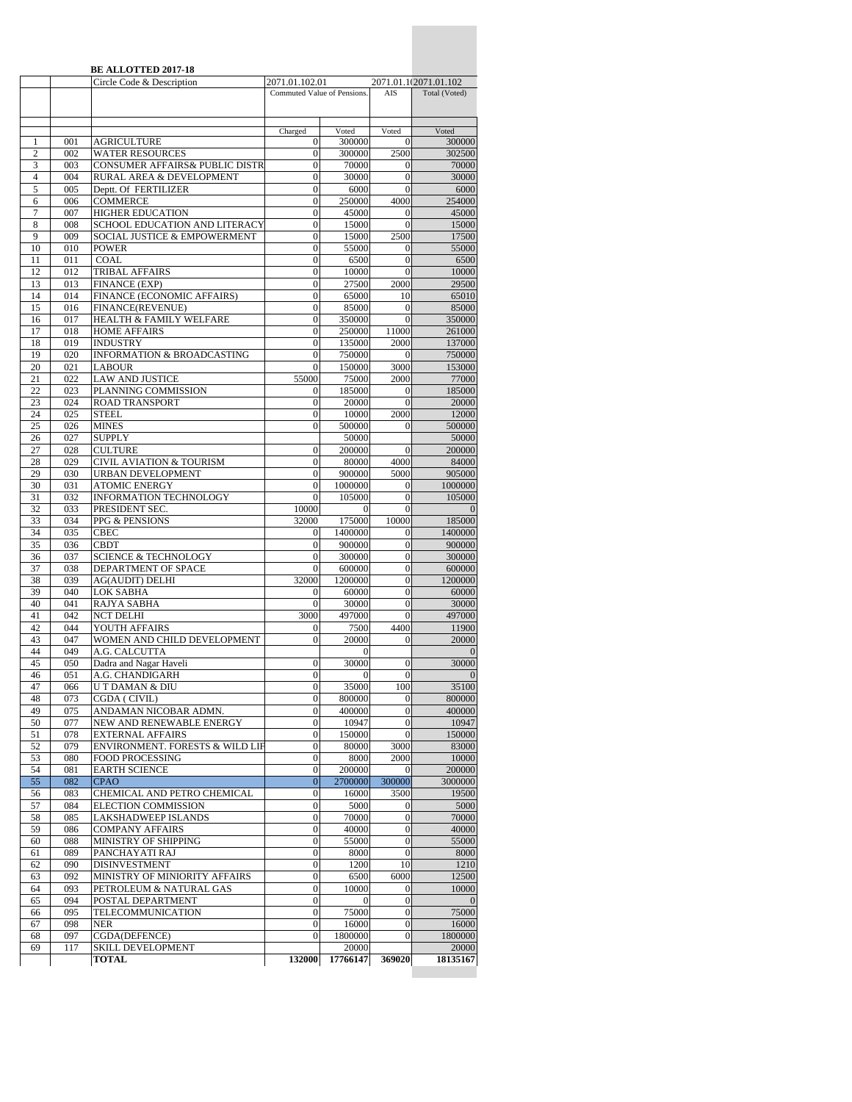|                     |            | <b>BE ALLOTTED 2017-18</b><br>Circle Code & Description  | 2071.01.102.01                       |                   |                                      | 2071.01.1(2071.01.102 |
|---------------------|------------|----------------------------------------------------------|--------------------------------------|-------------------|--------------------------------------|-----------------------|
|                     |            |                                                          | Commuted Value of Pensions.          |                   | AIS                                  | Total (Voted)         |
|                     |            |                                                          |                                      |                   |                                      |                       |
|                     |            |                                                          |                                      |                   |                                      |                       |
|                     |            |                                                          | Charged                              | Voted             | Voted                                | Voted                 |
| 1<br>$\overline{2}$ | 001<br>002 | <b>AGRICULTURE</b>                                       | $\mathbf{0}$<br>$\mathbf{0}$         | 300000<br>300000  | $\overline{0}$<br>2500               | 300000<br>302500      |
| 3                   | 003        | <b>WATER RESOURCES</b><br>CONSUMER AFFAIRS& PUBLIC DISTR | $\mathbf{0}$                         | 70000             | 0                                    | 70000                 |
| $\overline{4}$      | 004        | RURAL AREA & DEVELOPMENT                                 | $\mathbf{0}$                         | 30000             | $\overline{0}$                       | 30000                 |
| 5                   | 005        | Deptt. Of FERTILIZER                                     | $\boldsymbol{0}$                     | 6000              | $\mathbf{0}$                         | 6000                  |
| 6                   | 006        | <b>COMMERCE</b>                                          | $\boldsymbol{0}$                     | 250000            | 4000                                 | 254000                |
| 7                   | 007        | <b>HIGHER EDUCATION</b>                                  | $\overline{0}$                       | 45000             | 0                                    | 45000                 |
| 8                   | 008        | SCHOOL EDUCATION AND LITERACY                            | $\boldsymbol{0}$                     | 15000             | $\mathbf{0}$                         | 15000                 |
| 9<br>10             | 009<br>010 | SOCIAL JUSTICE & EMPOWERMENT<br><b>POWER</b>             | $\mathbf{0}$<br>$\boldsymbol{0}$     | 15000<br>55000    | 2500<br>$\mathbf{0}$                 | 17500<br>55000        |
| 11                  | 011        | COAL                                                     | $\boldsymbol{0}$                     | 6500              | $\boldsymbol{0}$                     | 6500                  |
| 12                  | 012        | TRIBAL AFFAIRS                                           | $\boldsymbol{0}$                     | 10000             | $\theta$                             | 10000                 |
| 13                  | 013        | FINANCE (EXP)                                            | $\overline{0}$                       | 27500             | 2000                                 | 29500                 |
| 14                  | 014        | FINANCE (ECONOMIC AFFAIRS)                               | $\overline{0}$                       | 65000             | 10                                   | 65010                 |
| 15                  | 016        | FINANCE(REVENUE)                                         | $\boldsymbol{0}$                     | 85000             | $\mathbf{0}$                         | 85000                 |
| 16                  | 017        | HEALTH & FAMILY WELFARE                                  | $\mathbf{0}$                         | 350000            | $\theta$                             | 350000                |
| 17<br>18            | 018<br>019 | <b>HOME AFFAIRS</b><br><b>INDUSTRY</b>                   | $\mathbf{0}$<br>$\boldsymbol{0}$     | 250000<br>135000  | 11000<br>2000                        | 261000<br>137000      |
| 19                  | 020        | <b>INFORMATION &amp; BROADCASTING</b>                    | $\mathbf{0}$                         | 750000            | 0                                    | 750000                |
| 20                  | 021        | <b>LABOUR</b>                                            | $\overline{0}$                       | 150000            | 3000                                 | 153000                |
| 21                  | 022        | <b>LAW AND JUSTICE</b>                                   | 55000                                | 75000             | 2000                                 | 77000                 |
| 22                  | 023        | PLANNING COMMISSION                                      | $\mathbf{0}$                         | 185000            | $\mathbf{0}$                         | 185000                |
| 23                  | 024        | <b>ROAD TRANSPORT</b>                                    | $\mathbf{0}$                         | 20000             | $\mathbf{0}$                         | 20000                 |
| 24                  | 025        | <b>STEEL</b>                                             | $\boldsymbol{0}$                     | 10000             | 2000                                 | 12000                 |
| 25<br>26            | 026<br>027 | <b>MINES</b><br><b>SUPPLY</b>                            | $\mathbf{0}$                         | 500000<br>50000   | $\theta$                             | 500000<br>50000       |
| 27                  | 028        | <b>CULTURE</b>                                           | $\boldsymbol{0}$                     | 200000            | $\overline{0}$                       | 200000                |
| 28                  | 029        | CIVIL AVIATION & TOURISM                                 | $\mathbf{0}$                         | 80000             | 4000                                 | 84000                 |
| 29                  | 030        | <b>URBAN DEVELOPMENT</b>                                 | $\mathbf{0}$                         | 900000            | 5000                                 | 905000                |
| 30                  | 031        | <b>ATOMIC ENERGY</b>                                     | $\mathbf{0}$                         | 1000000           | 0                                    | 1000000               |
| 31                  | 032        | <b>INFORMATION TECHNOLOGY</b>                            | $\mathbf{0}$                         | 105000            | $\mathbf{0}$                         | 105000                |
| 32                  | 033        | PRESIDENT SEC.                                           | 10000                                |                   | $\overline{0}$                       |                       |
| 33<br>34            | 034<br>035 | PPG & PENSIONS<br><b>CBEC</b>                            | 32000<br>$\mathbf{0}$                | 175000<br>1400000 | 10000<br>0                           | 185000<br>1400000     |
| 35                  | 036        | <b>CBDT</b>                                              | $\mathbf{0}$                         | 900000            | $\overline{0}$                       | 900000                |
| 36                  | 037        | <b>SCIENCE &amp; TECHNOLOGY</b>                          | 0                                    | 300000            | 0                                    | 300000                |
| 37                  | 038        | DEPARTMENT OF SPACE                                      | $\mathbf{0}$                         | 600000            | $\mathbf{0}$                         | 600000                |
| 38                  | 039        | AG(AUDIT) DELHI                                          | 32000                                | 1200000           | $\overline{0}$                       | 1200000               |
| 39                  | 040        | <b>LOK SABHA</b>                                         | $\mathbf{0}$                         | 60000             | $\boldsymbol{0}$                     | 60000                 |
| 40<br>41            | 041<br>042 | RAJYA SABHA<br><b>NCT DELHI</b>                          | $\Omega$<br>3000                     | 30000<br>497000   | $\mathbf{0}$<br>$\overline{0}$       | 30000<br>497000       |
| 42                  | 044        | YOUTH AFFAIRS                                            | $\mathbf{0}$                         | 7500              | 4400                                 | 11900                 |
| 43                  | 047        | WOMEN AND CHILD DEVELOPMENT                              | $\mathbf{0}$                         | 20000             | 0                                    | 20000                 |
| 44                  | 049        | A.G. CALCUTTA                                            |                                      | 0                 |                                      |                       |
| 45                  | 050        | Dadra and Nagar Haveli                                   | $\overline{0}$                       | 30000             | $\overline{0}$                       | 30000                 |
| 46                  | 051        | A.G. CHANDIGARH                                          | $\overline{0}$                       | $\mathbf{0}$      | $\overline{0}$                       | $\Omega$              |
| 47                  | 066<br>073 | U T DAMAN & DIU<br>CGDA (CIVIL)                          | $\boldsymbol{0}$<br>$\mathbf{0}$     | 35000             | 100                                  | 35100                 |
| 48<br>49            | 075        | ANDAMAN NICOBAR ADMN.                                    | $\boldsymbol{0}$                     | 800000<br>400000  | $\boldsymbol{0}$<br>$\boldsymbol{0}$ | 800000<br>400000      |
| 50                  | 077        | NEW AND RENEWABLE ENERGY                                 | $\boldsymbol{0}$                     | 10947             | $\boldsymbol{0}$                     | 10947                 |
| 51                  | 078        | <b>EXTERNAL AFFAIRS</b>                                  | $\boldsymbol{0}$                     | 150000            | $\overline{0}$                       | 150000                |
| 52                  | 079        | ENVIRONMENT. FORESTS & WILD LIF                          | $\boldsymbol{0}$                     | 80000             | 3000                                 | 83000                 |
| 53                  | 080        | FOOD PROCESSING                                          | $\boldsymbol{0}$                     | 8000              | 2000                                 | 10000                 |
| 54                  | 081        | <b>EARTH SCIENCE</b>                                     | $\boldsymbol{0}$                     | 200000            | $\overline{0}$                       | 200000                |
| 55<br>56            | 082<br>083 | <b>CPAO</b><br>CHEMICAL AND PETRO CHEMICAL               | $\boldsymbol{0}$<br>$\boldsymbol{0}$ | 2700000<br>16000  | 300000<br>3500                       | 3000000<br>19500      |
| 57                  | 084        | ELECTION COMMISSION                                      | $\overline{0}$                       | 5000              | 0                                    | 5000                  |
| 58                  | 085        | <b>LAKSHADWEEP ISLANDS</b>                               | $\boldsymbol{0}$                     | 70000             | $\boldsymbol{0}$                     | 70000                 |
| 59                  | 086        | <b>COMPANY AFFAIRS</b>                                   | $\boldsymbol{0}$                     | 40000             | $\overline{0}$                       | 40000                 |
| 60                  | 088        | MINISTRY OF SHIPPING                                     | $\boldsymbol{0}$                     | 55000             | $\mathbf{0}$                         | 55000                 |
| 61                  | 089        | PANCHAYATI RAJ                                           | $\boldsymbol{0}$                     | 8000              | $\boldsymbol{0}$                     | 8000                  |
| 62                  | 090        | <b>DISINVESTMENT</b>                                     | $\boldsymbol{0}$                     | 1200              | 10                                   | 1210                  |
| 63<br>64            | 092<br>093 | MINISTRY OF MINIORITY AFFAIRS<br>PETROLEUM & NATURAL GAS | $\boldsymbol{0}$<br>$\boldsymbol{0}$ | 6500<br>10000     | 6000<br>0                            | 12500<br>10000        |
| 65                  | 094        | POSTAL DEPARTMENT                                        | $\boldsymbol{0}$                     | $\mathbf{0}$      | $\overline{0}$                       | $\theta$              |
| 66                  | 095        | TELECOMMUNICATION                                        | $\boldsymbol{0}$                     | 75000             | $\boldsymbol{0}$                     | 75000                 |
| 67                  | 098        | <b>NER</b>                                               | $\mathbf{0}$                         | 16000             | 0                                    | 16000                 |
| 68                  | 097        | CGDA(DEFENCE)                                            | $\mathbf{0}$                         | 1800000           | $\overline{0}$                       | 1800000               |
| 69                  | 117        | SKILL DEVELOPMENT                                        |                                      | 20000             |                                      | 20000                 |
|                     |            | <b>TOTAL</b>                                             | 132000                               | 17766147          | 369020                               | 18135167              |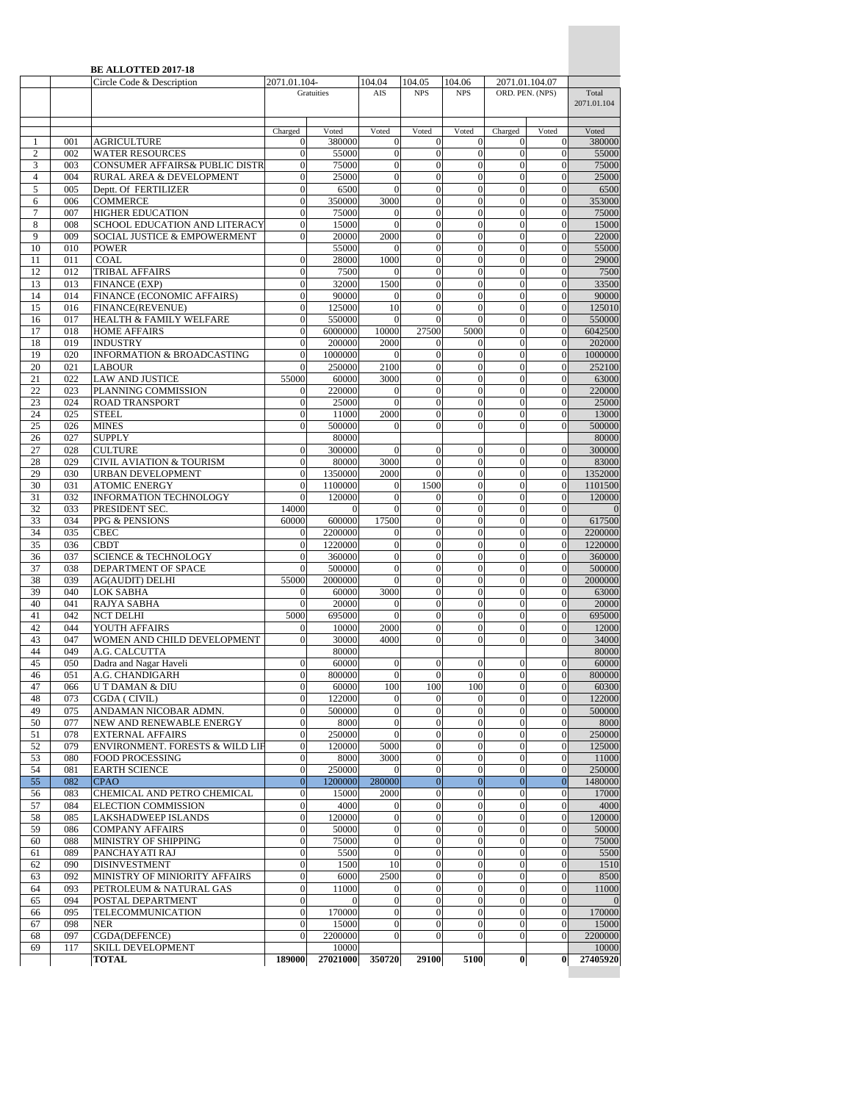|                     |            | <b>BE ALLOTTED 2017-18</b>                                            |                              |                  |                              |                                  |                                  |                              |                                |                   |
|---------------------|------------|-----------------------------------------------------------------------|------------------------------|------------------|------------------------------|----------------------------------|----------------------------------|------------------------------|--------------------------------|-------------------|
|                     |            | Circle Code & Description                                             | 2071.01.104-                 |                  | 104.04                       | 104.05                           | 104.06                           | 2071.01.104.07               |                                |                   |
|                     |            |                                                                       |                              | Gratuities       | AIS                          | <b>NPS</b>                       | <b>NPS</b>                       | ORD. PEN. (NPS)              |                                | Total             |
|                     |            |                                                                       |                              |                  |                              |                                  |                                  |                              |                                | 2071.01.104       |
|                     |            |                                                                       |                              |                  |                              |                                  |                                  |                              |                                |                   |
|                     |            |                                                                       | Charged                      | Voted            | Voted                        | Voted                            | Voted                            | Charged                      | Voted                          | Voted             |
| $\mathbf{1}$        | 001        | AGRICULTURE                                                           | $\theta$                     | 380000           | $\mathbf{0}$                 | $\boldsymbol{0}$                 | $\overline{0}$                   | $\overline{0}$               | $\boldsymbol{0}$               | 380000            |
| $\overline{c}$      | 002        | <b>WATER RESOURCES</b>                                                | $\overline{0}$               | 55000            | $\overline{0}$               | $\mathbf{0}$                     | $\overline{0}$                   | $\mathbf{0}$                 | $\mathbf{0}$                   | 55000             |
| 3<br>$\overline{4}$ | 003<br>004 | <b>CONSUMER AFFAIRS&amp; PUBLIC DISTR</b><br>RURAL AREA & DEVELOPMENT | $\theta$<br>$\theta$         | 75000<br>25000   | $\mathbf{0}$<br>$\mathbf{0}$ | $\mathbf{0}$<br>$\mathbf{0}$     | $\overline{0}$<br>$\theta$       | $\mathbf{0}$<br>$\mathbf{0}$ | $\mathbf{0}$<br>$\overline{0}$ | 75000<br>25000    |
| 5                   | 005        | Deptt. Of FERTILIZER                                                  | $\theta$                     | 6500             | $\overline{0}$               | $\mathbf{0}$                     | $\boldsymbol{0}$                 | $\mathbf{0}$                 | $\mathbf{0}$                   | 6500              |
| 6                   | 006        | <b>COMMERCE</b>                                                       | $\theta$                     | 350000           | 3000                         | $\boldsymbol{0}$                 | $\overline{0}$                   | $\theta$                     | $\overline{0}$                 | 353000            |
| $\overline{7}$      | 007        | <b>HIGHER EDUCATION</b>                                               | $\overline{0}$               | 75000            | 0                            | $\mathbf{0}$                     | $\overline{0}$                   | $\overline{0}$               | $\mathbf{0}$                   | 75000             |
| 8                   | 008        | SCHOOL EDUCATION AND LITERACY                                         | $\theta$                     | 15000            | $\boldsymbol{0}$             | $\mathbf{0}$                     | $\overline{0}$                   | $\mathbf{0}$                 | $\boldsymbol{0}$               | 15000             |
| 9                   | 009        | <b>SOCIAL JUSTICE &amp; EMPOWERMENT</b>                               | $\theta$                     | 20000            | 2000                         | $\mathbf{0}$                     | $\overline{0}$                   | $\mathbf{0}$                 | $\mathbf{0}$                   | 22000             |
| 10                  | 010        | <b>POWER</b>                                                          |                              | 55000            | $\Omega$                     | $\mathbf{0}$                     | $\overline{0}$                   | $\mathbf{0}$                 | $\mathbf{0}$                   | 55000             |
| 11                  | 011        | COAL                                                                  | $\mathbf{0}$                 | 28000            | 1000                         | $\mathbf{0}$                     | $\overline{0}$                   | $\theta$                     | $\mathbf{0}$                   | 29000             |
| 12                  | 012        | TRIBAL AFFAIRS                                                        | $\overline{0}$               | 7500             | $\mathbf{0}$                 | $\boldsymbol{0}$                 | $\overline{0}$                   | $\mathbf{0}$                 | $\mathbf{0}$                   | 7500              |
| 13                  | 013        | FINANCE (EXP)                                                         | $\overline{0}$               | 32000            | 1500                         | $\overline{0}$                   | $\overline{0}$                   | $\mathbf{0}$                 | $\overline{0}$                 | 33500             |
| 14                  | 014        | FINANCE (ECONOMIC AFFAIRS)                                            | $\overline{0}$               | 90000            | $\mathbf{0}$                 | $\boldsymbol{0}$                 | $\overline{0}$                   | $\mathbf{0}$                 | $\overline{0}$                 | 90000             |
| 15                  | 016        | FINANCE(REVENUE)                                                      | $\mathbf{0}$                 | 125000           | 10                           | $\mathbf{0}$                     | $\overline{0}$                   | $\theta$                     | $\mathbf{0}$                   | 125010            |
| 16                  | 017        | HEALTH & FAMILY WELFARE                                               | $\overline{0}$               | 550000           | $\Omega$                     | $\mathbf{0}$                     | $\theta$                         | $\mathbf{0}$                 | $\mathbf{0}$                   | 550000            |
| 17                  | 018        | <b>HOME AFFAIRS</b>                                                   | $\overline{0}$               | 6000000          | 10000                        | 27500                            | 5000                             | $\mathbf{0}$                 | $\mathbf{0}$                   | 6042500           |
| 18                  | 019        | <b>INDUSTRY</b>                                                       | $\overline{0}$               | 200000           | 2000                         | $\boldsymbol{0}$                 | $\mathbf{0}$                     | $\theta$                     | $\boldsymbol{0}$               | 202000            |
| 19                  | 020        | <b>INFORMATION &amp; BROADCASTING</b>                                 | $\overline{0}$               | 1000000          | $\mathbf{0}$                 | $\boldsymbol{0}$                 | $\overline{0}$                   | $\mathbf{0}$                 | $\mathbf{0}$                   | 1000000           |
| 20                  | 021        | <b>LABOUR</b>                                                         | $\overline{0}$               | 250000           | 2100                         | $\boldsymbol{0}$                 | $\overline{0}$                   | $\mathbf{0}$                 | $\overline{0}$                 | 252100            |
| 21                  | 022        | <b>LAW AND JUSTICE</b>                                                | 55000                        | 60000            | 3000                         | $\mathbf{0}$                     | $\overline{0}$                   | $\Omega$                     | $\mathbf{0}$                   | 63000             |
| 22                  | 023        | PLANNING COMMISSION                                                   | $\theta$                     | 220000           | $\mathbf{0}$                 | $\boldsymbol{0}$                 | $\overline{0}$                   | $\mathbf{0}$                 | $\mathbf{0}$                   | 220000            |
| 23                  | 024        | <b>ROAD TRANSPORT</b>                                                 | $\mathbf{0}$                 | 25000            | $\mathbf{0}$                 | $\mathbf{0}$                     | $\overline{0}$                   | $\theta$                     | $\mathbf{0}$                   | 25000             |
| 24                  | 025        | <b>STEEL</b>                                                          | $\mathbf{0}$                 | 11000            | 2000                         | $\mathbf{0}$                     | $\overline{0}$                   | $\theta$                     | $\mathbf{0}$                   | 13000             |
| 25                  | 026        | <b>MINES</b>                                                          | $\overline{0}$               | 500000           | $\Omega$                     | $\boldsymbol{0}$                 | $\theta$                         | $\mathbf{0}$                 | $\mathbf{0}$                   | 500000            |
| 26                  | 027        | <b>SUPPLY</b>                                                         |                              | 80000            |                              |                                  |                                  |                              |                                | 80000             |
| 27                  | 028        | <b>CULTURE</b>                                                        | $\overline{0}$               | 300000           | $\mathbf{0}$                 | $\mathbf{0}$                     | $\overline{0}$                   | $\mathbf{0}$                 | $\mathbf{0}$                   | 300000            |
| 28<br>29            | 029<br>030 | <b>CIVIL AVIATION &amp; TOURISM</b><br>URBAN DEVELOPMENT              | $\mathbf{0}$<br>$\mathbf{0}$ | 80000<br>1350000 | 3000<br>2000                 | $\mathbf{0}$<br>$\mathbf{0}$     | $\overline{0}$<br>$\overline{0}$ | $\theta$<br>$\mathbf{0}$     | $\mathbf{0}$<br>$\mathbf{0}$   | 83000<br>1352000  |
| 30                  | 031        | <b>ATOMIC ENERGY</b>                                                  | $\mathbf{0}$                 | 1100000          | $\mathbf{0}$                 | 1500                             | $\overline{0}$                   | $\theta$                     | $\mathbf{0}$                   | 1101500           |
| 31                  | 032        | INFORMATION TECHNOLOGY                                                | $\overline{0}$               | 120000           | $\mathbf{0}$                 | $\boldsymbol{0}$                 | $\overline{0}$                   | $\mathbf{0}$                 | $\mathbf{0}$                   | 120000            |
| 32                  | 033        | PRESIDENT SEC.                                                        | 14000                        | $\mathbf{0}$     | $\overline{0}$               | $\mathbf{0}$                     | $\overline{0}$                   | $\overline{0}$               | $\overline{0}$                 | $\mathbf{0}$      |
| 33                  | 034        | PPG & PENSIONS                                                        | 60000                        | 600000           | 17500                        | $\boldsymbol{0}$                 | $\overline{0}$                   | $\mathbf{0}$                 | $\mathbf{0}$                   | 617500            |
| 34                  | 035        | <b>CBEC</b>                                                           | $\theta$                     | 2200000          | $\mathbf{0}$                 | $\boldsymbol{0}$                 | $\overline{0}$                   | $\mathbf{0}$                 | $\mathbf{0}$                   | 2200000           |
| 35                  | 036        | <b>CBDT</b>                                                           | $\overline{0}$               | 1220000          | $\overline{0}$               | $\mathbf{0}$                     | $\theta$                         | $\Omega$                     | $\overline{0}$                 | 1220000           |
| 36                  | 037        | <b>SCIENCE &amp; TECHNOLOGY</b>                                       | $\mathbf{0}$                 | 360000           | $\mathbf{0}$                 | $\mathbf{0}$                     | $\overline{0}$                   | $\mathbf{0}$                 | $\overline{0}$                 | 360000            |
| 37                  | 038        | DEPARTMENT OF SPACE                                                   | $\overline{0}$               | 500000           | $\mathbf{0}$                 | $\mathbf{0}$                     | $\overline{0}$                   | $\theta$                     | $\mathbf{0}$                   | 500000            |
| 38                  | 039        | <b>AG(AUDIT) DELHI</b>                                                | 55000                        | 2000000          | $\overline{0}$               | $\mathbf{0}$                     | $\overline{0}$                   | $\overline{0}$               | $\mathbf{0}$                   | 2000000           |
| 39                  | 040        | <b>LOK SABHA</b>                                                      | $\bf{0}$                     | 60000            | 3000                         | $\mathbf{0}$                     | $\overline{0}$                   | $\theta$                     | $\overline{0}$                 | 63000             |
| 40                  | 041        | RAJYA SABHA                                                           | $\theta$                     | 20000            | $\mathbf{0}$                 | $\boldsymbol{0}$                 | $\overline{0}$                   | $\Omega$                     | $\overline{0}$                 | 20000             |
| 41                  | 042        | <b>NCT DELHI</b>                                                      | 5000                         | 695000           | $\Omega$                     | $\boldsymbol{0}$                 | $\overline{0}$                   | $\mathbf{0}$                 | $\mathbf{0}$                   | 695000            |
| 42                  | 044        | YOUTH AFFAIRS                                                         | $\theta$                     | 10000            | 2000                         | $\mathbf{0}$                     | $\overline{0}$                   | $\theta$                     | $\overline{0}$                 | 12000             |
| 43                  | 047        | WOMEN AND CHILD DEVELOPMENT                                           | $\theta$                     | 30000            | 4000                         | $\mathbf{0}$                     | $\mathbf{0}$                     | $\mathbf{0}$                 | $\overline{0}$                 | 34000             |
| 44                  | 049        | A.G. CALCUTTA                                                         |                              | 80000            |                              |                                  |                                  |                              |                                | 80000             |
| 45                  | 050        | Dadra and Nagar Haveli                                                | $\overline{0}$               | 60000            | $\boldsymbol{0}$             | $\boldsymbol{0}$                 | $\overline{0}$                   | $\mathbf{0}$                 | $\overline{0}$                 | 60000             |
| 46                  | 051        | A.G. CHANDIGARH                                                       | $\mathbf{0}$                 | 800000           | $\boldsymbol{0}$             | $\boldsymbol{0}$                 | $\boldsymbol{0}$                 | $\theta$                     | $\boldsymbol{0}$               | 800000            |
| 47                  | 066        | U T DAMAN & DIU                                                       | $\boldsymbol{0}$             | 60000            | 100                          | 100                              | 100                              | $\Omega$                     | $\overline{0}$                 | 60300             |
| 48                  | 073        | CGDA ( CIVIL)                                                         | $\mathbf{0}$                 | 122000           | $\mathbf{0}$                 | $\mathbf{0}$                     | $\mathbf{0}$                     | $\theta$                     | $\mathbf{0}$                   | 122000            |
| 49                  | 075        | ANDAMAN NICOBAR ADMN.                                                 | $\theta$                     | 500000           | $\theta$                     | $\mathbf{0}$                     | $\overline{0}$                   | $\theta$                     | $\overline{0}$                 | 500000            |
| 50                  | 077        | NEW AND RENEWABLE ENERGY                                              | $\boldsymbol{0}$             | 8000             | $\mathbf{0}$                 | $\mathbf{0}$                     | $\mathbf{0}$                     | $\mathbf{0}$                 | $\mathbf{0}$                   | 8000              |
| 51                  | 078        | <b>EXTERNAL AFFAIRS</b>                                               | $\overline{0}$               | 250000           | $\mathbf{0}$                 | $\boldsymbol{0}$                 | $\overline{0}$                   | $\overline{0}$               | $\boldsymbol{0}$               | 250000            |
| 52                  | 079        | ENVIRONMENT. FORESTS & WILD LIF                                       | $\overline{0}$               | 120000           | 5000                         | $\mathbf{0}$                     | $\overline{0}$                   | $\theta$                     | $\overline{0}$                 | 125000            |
| 53<br>54            | 080        | <b>FOOD PROCESSING</b><br><b>EARTH SCIENCE</b>                        | $\boldsymbol{0}$<br>$\theta$ | 8000<br>250000   | 3000                         | $\boldsymbol{0}$<br>$\mathbf{0}$ | $\overline{0}$<br>$\theta$       | $\mathbf{0}$<br>$\mathbf{0}$ | $\mathbf{0}$<br>$\mathbf{0}$   | 11000             |
|                     | 081<br>082 | <b>CPAO</b>                                                           | $\boldsymbol{0}$             | 1200000          | $\Omega$<br>280000           | $\mathbf{0}$                     | $\boldsymbol{0}$                 | $\mathbf{0}$                 | $\mathbf{0}$                   | 250000<br>1480000 |
| 55                  |            |                                                                       | $\mathbf{0}$                 | 15000            | 2000                         | $\mathbf{0}$                     | $\mathbf{0}$                     | $\theta$                     | $\mathbf{0}$                   | 17000             |
| 56<br>57            | 083<br>084 | CHEMICAL AND PETRO CHEMICAL<br>ELECTION COMMISSION                    | $\overline{0}$               | 4000             | 0                            | $\boldsymbol{0}$                 | 0                                | $\mathbf{0}$                 | $\overline{0}$                 | 4000              |
| 58                  | 085        | LAKSHADWEEP ISLANDS                                                   | $\boldsymbol{0}$             | 120000           | $\boldsymbol{0}$             | $\boldsymbol{0}$                 | $\overline{0}$                   | $\mathbf{0}$                 | $\boldsymbol{0}$               | 120000            |
| 59                  | 086        | <b>COMPANY AFFAIRS</b>                                                | $\overline{0}$               | 50000            | $\mathbf{0}$                 | $\boldsymbol{0}$                 | $\overline{0}$                   | $\mathbf{0}$                 | $\boldsymbol{0}$               | 50000             |
| 60                  | 088        | MINISTRY OF SHIPPING                                                  | $\boldsymbol{0}$             | 75000            | $\boldsymbol{0}$             | $\boldsymbol{0}$                 | $\overline{0}$                   | $\mathbf{0}$                 | $\boldsymbol{0}$               | 75000             |
| 61                  | 089        | PANCHAYATI RAJ                                                        | $\mathbf{0}$                 | 5500             | $\mathbf{0}$                 | $\mathbf{0}$                     | $\mathbf{0}$                     | $\theta$                     | $\mathbf{0}$                   | 5500              |
| 62                  | 090        | <b>DISINVESTMENT</b>                                                  | $\boldsymbol{0}$             | 1500             | 10                           | $\mathbf{0}$                     | $\mathbf{0}$                     | $\mathbf{0}$                 | $\mathbf{0}$                   | 1510              |
| 63                  | 092        | MINISTRY OF MINIORITY AFFAIRS                                         | $\overline{0}$               | 6000             | 2500                         | $\mathbf{0}$                     | $\theta$                         | $\overline{0}$               | $\overline{0}$                 | 8500              |
| 64                  | 093        | PETROLEUM & NATURAL GAS                                               | $\overline{0}$               | 11000            | $\boldsymbol{0}$             | $\boldsymbol{0}$                 | $\overline{0}$                   | $\mathbf{0}$                 | $\mathbf{0}$                   | 11000             |
| 65                  | 094        | POSTAL DEPARTMENT                                                     | $\boldsymbol{0}$             | $\Omega$         | $\boldsymbol{0}$             | $\boldsymbol{0}$                 | $\overline{0}$                   | $\overline{0}$               | $\boldsymbol{0}$               | $\overline{0}$    |
| 66                  | 095        | TELECOMMUNICATION                                                     | $\mathbf{0}$                 | 170000           | $\mathbf{0}$                 | $\mathbf{0}$                     | $\theta$                         | $\mathbf{0}$                 | $\overline{0}$                 | 170000            |
| 67                  | 098        | <b>NER</b>                                                            | $\mathbf{0}$                 | 15000            | $\theta$                     | $\mathbf{0}$                     | $\mathbf{0}$                     | $\mathbf{0}$                 | $\mathbf{0}$                   | 15000             |
| 68                  | 097        | CGDA(DEFENCE)                                                         | $\mathbf{0}$                 | 2200000          | $\overline{0}$               | $\boldsymbol{0}$                 | $\overline{0}$                   | $\theta$                     | $\overline{0}$                 | 2200000           |
| 69                  | 117        | SKILL DEVELOPMENT                                                     |                              | 10000            |                              |                                  |                                  |                              |                                | 10000             |
|                     |            | <b>TOTAL</b>                                                          | 189000                       | 27021000         | 350720                       | 29100                            | 5100                             | $\bf{0}$                     | $\bf{0}$                       | 27405920          |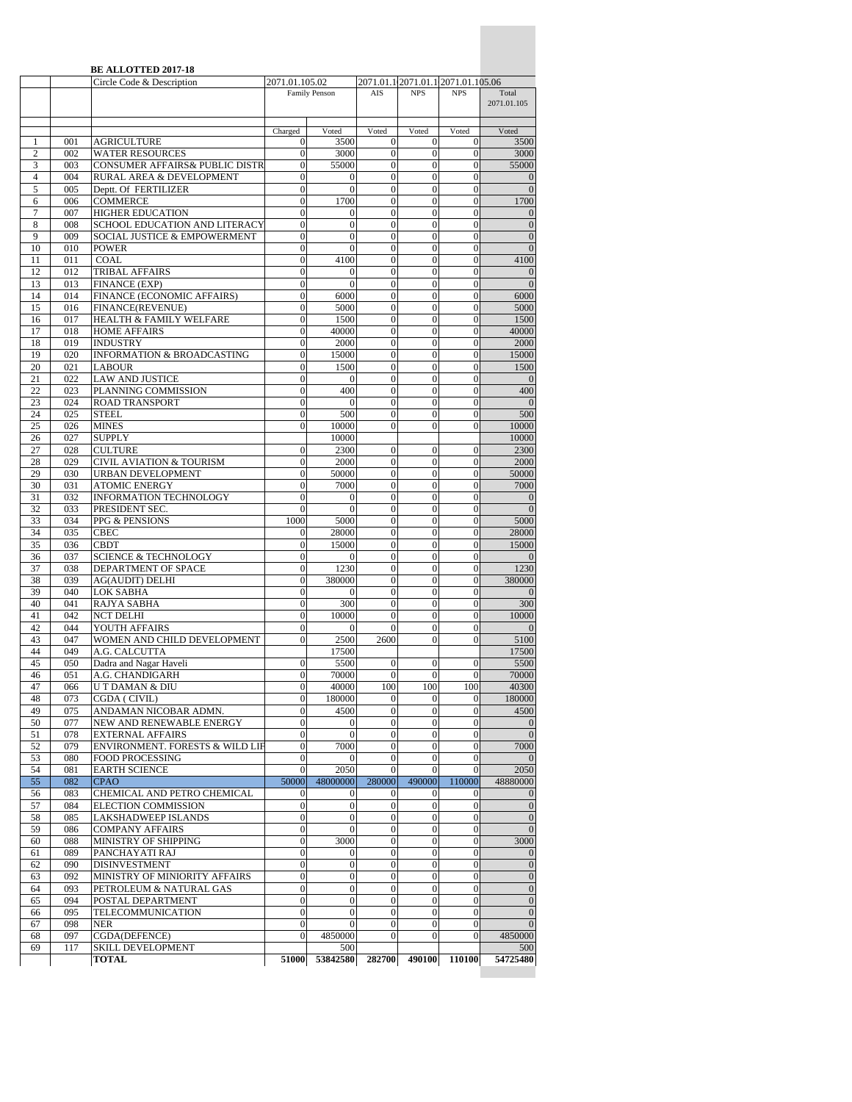|                     |            | <b>BE ALLOTTED 2017-18</b><br>Circle Code & Description  | 2071.01.105.02                   |                                      |                                  | 2071.01.1 2071.01.1 2071.01.105.06   |                                    |                                  |
|---------------------|------------|----------------------------------------------------------|----------------------------------|--------------------------------------|----------------------------------|--------------------------------------|------------------------------------|----------------------------------|
|                     |            |                                                          |                                  | Family Penson                        | AIS                              | <b>NPS</b>                           | <b>NPS</b>                         | Total<br>2071.01.105             |
|                     |            |                                                          | Charged                          | Voted                                | Voted                            | Voted                                | Voted                              | Voted                            |
| 1                   | 001        | <b>AGRICULTURE</b>                                       | 0                                | 3500                                 | $\boldsymbol{0}$                 | $\overline{0}$                       | $\mathbf{0}$                       | 3500                             |
| $\overline{2}$      | 002        | <b>WATER RESOURCES</b>                                   | $\mathbf{0}$                     | 3000                                 | $\boldsymbol{0}$                 | $\bf{0}$                             | $\mathbf{0}$                       | 3000                             |
| 3                   | 003        | CONSUMER AFFAIRS& PUBLIC DISTR                           | $\mathbf{0}$                     | 55000                                | $\mathbf{0}$                     | $\mathbf{0}$                         | $\mathbf{0}$                       | 55000                            |
| $\overline{4}$      | 004        | RURAL AREA & DEVELOPMENT                                 | $\mathbf{0}$                     | 0                                    | $\boldsymbol{0}$                 | $\bf{0}$                             | $\bf{0}$                           | $\theta$                         |
| 5                   | 005        | Deptt. Of FERTILIZER                                     | $\overline{0}$                   | $\overline{0}$                       | $\mathbf{0}$                     | $\overline{0}$                       | $\overline{0}$                     | $\overline{0}$                   |
| 6<br>$\overline{7}$ | 006<br>007 | <b>COMMERCE</b>                                          | $\mathbf{0}$<br>$\mathbf{0}$     | 1700                                 | $\theta$<br>$\mathbf{0}$         | $\overline{0}$<br>$\mathbf{0}$       | $\overline{0}$<br>$\mathbf{0}$     | 1700                             |
| 8                   | 008        | <b>HIGHER EDUCATION</b><br>SCHOOL EDUCATION AND LITERACY | $\Omega$                         | $\mathbf{0}$<br>$\overline{0}$       | $\mathbf{0}$                     | $\overline{0}$                       | $\theta$                           | $\overline{0}$<br>$\overline{0}$ |
| 9                   | 009        | <b>SOCIAL JUSTICE &amp; EMPOWERMENT</b>                  | 0                                | $\mathbf{0}$                         | $\mathbf{0}$                     | $\mathbf{0}$                         | $\theta$                           | $\theta$                         |
| 10                  | 010        | <b>POWER</b>                                             | $\mathbf{0}$                     | $\overline{0}$                       | $\mathbf{0}$                     | $\overline{0}$                       | $\theta$                           | $\overline{0}$                   |
| 11                  | 011        | COAL                                                     | $\mathbf{0}$                     | 4100                                 | $\bf{0}$                         | 0                                    | $\mathbf{0}$                       | 4100                             |
| 12                  | 012        | <b>TRIBAL AFFAIRS</b>                                    | $\mathbf{0}$                     | $\mathbf{0}$                         | $\mathbf{0}$                     | $\overline{0}$                       | $\theta$                           | $\mathbf{0}$                     |
| 13                  | 013        | <b>FINANCE (EXP)</b>                                     | $\mathbf{0}$                     | $\theta$                             | $\overline{0}$                   | $\overline{0}$                       | $\overline{0}$                     | $\overline{0}$                   |
| 14<br>15            | 014        | FINANCE (ECONOMIC AFFAIRS)                               | $\mathbf{0}$                     | 6000<br>5000                         | $\boldsymbol{0}$<br>$\theta$     | $\boldsymbol{0}$<br>$\overline{0}$   | $\boldsymbol{0}$<br>$\overline{0}$ | 6000                             |
| 16                  | 016<br>017 | <b>FINANCE(REVENUE)</b><br>HEALTH & FAMILY WELFARE       | 0<br>$\boldsymbol{0}$            | 1500                                 | $\boldsymbol{0}$                 | $\mathbf{0}$                         | $\boldsymbol{0}$                   | 5000<br>1500                     |
| 17                  | 018        | <b>HOME AFFAIRS</b>                                      | $\mathbf{0}$                     | 40000                                | $\boldsymbol{0}$                 | $\overline{0}$                       | $\theta$                           | 40000                            |
| 18                  | 019        | <b>INDUSTRY</b>                                          | $\mathbf{0}$                     | 2000                                 | $\overline{0}$                   | $\overline{0}$                       | $\overline{0}$                     | 2000                             |
| 19                  | 020        | <b>INFORMATION &amp; BROADCASTING</b>                    | $\mathbf{0}$                     | 15000                                | $\mathbf{0}$                     | $\mathbf{0}$                         | $\boldsymbol{0}$                   | 15000                            |
| 20                  | 021        | <b>LABOUR</b>                                            | $\Omega$                         | 1500                                 | $\boldsymbol{0}$                 | $\overline{0}$                       | $\theta$                           | 1500                             |
| 21                  | 022        | <b>LAW AND JUSTICE</b>                                   | $\mathbf{0}$                     | $\mathbf{0}$                         | $\mathbf{0}$                     | $\bf{0}$                             | $\mathbf{0}$                       | $\overline{0}$                   |
| 22                  | 023        | PLANNING COMMISSION                                      | $\mathbf{0}$                     | 400                                  | $\boldsymbol{0}$                 | $\overline{0}$                       | $\theta$                           | 400                              |
| 23<br>24            | 024<br>025 | <b>ROAD TRANSPORT</b><br><b>STEEL</b>                    | $\mathbf{0}$<br>$\overline{0}$   | $\mathbf{0}$<br>500                  | $\mathbf{0}$<br>$\overline{0}$   | $\bf{0}$<br>$\overline{0}$           | $\mathbf{0}$<br>$\overline{0}$     | $\overline{0}$<br>500            |
| 25                  | 026        | <b>MINES</b>                                             | $\mathbf{0}$                     | 10000                                | $\overline{0}$                   | $\overline{0}$                       | $\overline{0}$                     | 10000                            |
| 26                  | 027        | <b>SUPPLY</b>                                            |                                  | 10000                                |                                  |                                      |                                    | 10000                            |
| 27                  | 028        | <b>CULTURE</b>                                           | $\mathbf{0}$                     | 2300                                 | $\boldsymbol{0}$                 | $\bf{0}$                             | $\mathbf{0}$                       | 2300                             |
| 28                  | 029        | CIVIL AVIATION & TOURISM                                 | $\mathbf{0}$                     | 2000                                 | $\mathbf{0}$                     | $\mathbf{0}$                         | $\theta$                           | 2000                             |
| 29                  | 030        | URBAN DEVELOPMENT                                        | $\overline{0}$                   | 50000                                | $\boldsymbol{0}$                 | $\mathbf{0}$                         | $\boldsymbol{0}$                   | 50000                            |
| 30                  | 031        | <b>ATOMIC ENERGY</b>                                     | $\mathbf{0}$                     | 7000                                 | $\bf{0}$                         | $\mathbf{0}$                         | $\mathbf{0}$                       | 7000                             |
| 31<br>32            | 032<br>033 | INFORMATION TECHNOLOGY                                   | $\mathbf{0}$<br>$\Omega$         | $\mathbf{0}$<br>$\theta$             | $\mathbf{0}$<br>$\boldsymbol{0}$ | $\overline{0}$<br>$\mathbf{0}$       | $\overline{0}$<br>$\overline{0}$   | $\mathbf{0}$<br>$\overline{0}$   |
| 33                  | 034        | PRESIDENT SEC.<br>PPG & PENSIONS                         | 1000                             | 5000                                 | $\boldsymbol{0}$                 | $\mathbf{0}$                         | $\boldsymbol{0}$                   | 5000                             |
| 34                  | 035        | <b>CBEC</b>                                              | 0                                | 28000                                | $\mathbf{0}$                     | $\overline{0}$                       | $\theta$                           | 28000                            |
| 35                  | 036        | <b>CBDT</b>                                              | $\boldsymbol{0}$                 | 15000                                | $\boldsymbol{0}$                 | $\mathbf{0}$                         | $\boldsymbol{0}$                   | 15000                            |
| 36                  | 037        | <b>SCIENCE &amp; TECHNOLOGY</b>                          | $\mathbf{0}$                     | 0                                    | $\boldsymbol{0}$                 | $\overline{0}$                       | $\mathbf{0}$                       | $\mathbf{0}$                     |
| 37                  | 038        | DEPARTMENT OF SPACE                                      | $\mathbf{0}$                     | 1230                                 | $\theta$                         | $\overline{0}$                       | $\theta$                           | 1230                             |
| 38                  | 039        | <b>AG(AUDIT) DELHI</b>                                   | $\mathbf{0}$                     | 380000                               | $\boldsymbol{0}$                 | $\overline{0}$                       | $\theta$                           | 380000                           |
| 39<br>40            | 040<br>041 | LOK SABHA<br>RAJYA SABHA                                 | $\Omega$<br>$\mathbf{0}$         | $\mathbf{0}$<br>300                  | $\theta$<br>$\theta$             | $\mathbf{0}$<br>$\overline{0}$       | $\mathbf{0}$<br>$\theta$           | $\mathbf{0}$<br>300              |
| 41                  | 042        | <b>NCT DELHI</b>                                         | $\mathbf{0}$                     | 10000                                | $\boldsymbol{0}$                 | $\overline{0}$                       | $\theta$                           | 10000                            |
| 42                  | 044        | YOUTH AFFAIRS                                            | $\mathbf{0}$                     | $\mathbf{0}$                         | $\mathbf{0}$                     | $\boldsymbol{0}$                     | $\mathbf{0}$                       | $\overline{0}$                   |
| 43                  | 047        | WOMEN AND CHILD DEVELOPMENT                              | $\theta$                         | 2500                                 | 2600                             | $\overline{0}$                       | $\overline{0}$                     | 5100                             |
| 44                  | 049        | A.G. CALCUTTA                                            |                                  | 17500                                |                                  |                                      |                                    | 17500                            |
| 45                  | 050        | Dadra and Nagar Haveli                                   | $\mathbf{0}$                     | 5500                                 | $\boldsymbol{0}$                 | $\mathbf{0}$                         | $\boldsymbol{0}$                   | 5500                             |
| 46                  | 0.51       | A.G. CHANDIGARH                                          |                                  | 70000                                | $\Omega$                         | $\Omega$                             | $\Omega$                           | 70000                            |
| 47                  | 066        | U T DAMAN & DIU                                          | $\mathbf{0}$<br>$\mathbf{0}$     | 40000                                | 100                              | 100                                  | 100                                | 40300                            |
| 48<br>49            | 073<br>075 | CGDA (CIVIL)<br>ANDAMAN NICOBAR ADMN.                    | $\mathbf{0}$                     | 180000<br>4500                       | $\mathbf{0}$<br>$\boldsymbol{0}$ | $\mathbf{0}$<br>$\mathbf{0}$         | $\boldsymbol{0}$<br>$\overline{0}$ | 180000<br>4500                   |
| 50                  | 077        | NEW AND RENEWABLE ENERGY                                 | $\boldsymbol{0}$                 | $\boldsymbol{0}$                     | $\mathbf{0}$                     | $\boldsymbol{0}$                     | $\boldsymbol{0}$                   | $\mathbf{0}$                     |
| 51                  | 078        | <b>EXTERNAL AFFAIRS</b>                                  | $\mathbf{0}$                     | $\boldsymbol{0}$                     | $\boldsymbol{0}$                 | $\boldsymbol{0}$                     | $\mathbf{0}$                       | $\overline{0}$                   |
| 52                  | 079        | ENVIRONMENT. FORESTS & WILD LIF                          | $\boldsymbol{0}$                 | 7000                                 | $\boldsymbol{0}$                 | $\boldsymbol{0}$                     | $\mathbf{0}$                       | 7000                             |
| 53                  | 080        | <b>FOOD PROCESSING</b>                                   | $\mathbf{0}$                     | 0                                    | $\mathbf{0}$                     | $\boldsymbol{0}$                     | $\boldsymbol{0}$                   | $\mathbf{0}$                     |
| 54                  | 081        | <b>EARTH SCIENCE</b>                                     | $\mathbf{0}$                     | 2050                                 | $\boldsymbol{0}$                 | $\mathbf{0}$                         | $\mathbf{0}$                       | 2050                             |
| 55                  | 082        | <b>CPAO</b>                                              | 50000                            | 48000000                             | 280000                           | 490000                               | 110000                             | 48880000                         |
| 56<br>57            | 083<br>084 | CHEMICAL AND PETRO CHEMICAL<br>ELECTION COMMISSION       | $\mathbf{0}$<br>$\boldsymbol{0}$ | $\boldsymbol{0}$<br>$\boldsymbol{0}$ | $\mathbf{0}$<br>$\boldsymbol{0}$ | $\mathbf{0}$<br>$\mathbf{0}$         | $\mathbf{0}$<br>$\mathbf{0}$       | $\theta$<br>$\overline{0}$       |
| 58                  | 085        | LAKSHADWEEP ISLANDS                                      | $\mathbf{0}$                     | $\boldsymbol{0}$                     | $\boldsymbol{0}$                 | $\boldsymbol{0}$                     | $\theta$                           | $\mathbf{0}$                     |
| 59                  | 086        | <b>COMPANY AFFAIRS</b>                                   | $\boldsymbol{0}$                 | $\boldsymbol{0}$                     | $\mathbf{0}$                     | $\boldsymbol{0}$                     | $\boldsymbol{0}$                   | $\mathbf{0}$                     |
| 60                  | 088        | MINISTRY OF SHIPPING                                     | $\boldsymbol{0}$                 | 3000                                 | $\boldsymbol{0}$                 | $\mathbf{0}$                         | $\mathbf{0}$                       | 3000                             |
| 61                  | 089        | PANCHAYATI RAJ                                           | $\boldsymbol{0}$                 | $\boldsymbol{0}$                     | $\boldsymbol{0}$                 | $\boldsymbol{0}$                     | $\boldsymbol{0}$                   | $\theta$                         |
| 62                  | 090        | <b>DISINVESTMENT</b>                                     | $\boldsymbol{0}$                 | $\boldsymbol{0}$                     | $\boldsymbol{0}$                 | $\boldsymbol{0}$                     | $\overline{0}$                     | $\mathbf{0}$                     |
| 63                  | 092        | MINISTRY OF MINIORITY AFFAIRS                            | $\mathbf{0}$                     | $\boldsymbol{0}$                     | $\boldsymbol{0}$                 | $\mathbf{0}$                         | $\boldsymbol{0}$                   | $\overline{0}$                   |
| 64                  | 093        | PETROLEUM & NATURAL GAS                                  | $\boldsymbol{0}$                 | $\boldsymbol{0}$                     | $\boldsymbol{0}$                 | $\boldsymbol{0}$                     | $\boldsymbol{0}$                   | $\mathbf{0}$                     |
| 65                  | 094        | POSTAL DEPARTMENT                                        | $\mathbf{0}$                     | $\overline{0}$                       | $\mathbf{0}$                     | $\overline{0}$                       | $\overline{0}$                     | $\mathbf{0}$                     |
| 66<br>67            | 095<br>098 | TELECOMMUNICATION<br><b>NER</b>                          | $\mathbf{0}$<br>$\mathbf{0}$     | $\boldsymbol{0}$<br>$\mathbf{0}$     | $\mathbf{0}$<br>$\mathbf{0}$     | $\boldsymbol{0}$<br>$\boldsymbol{0}$ | $\boldsymbol{0}$<br>$\mathbf{0}$   | $\mathbf{0}$<br>$\overline{0}$   |
| 68                  | 097        | CGDA(DEFENCE)                                            | $\boldsymbol{0}$                 | 4850000                              | $\mathbf{0}$                     | $\mathbf{0}$                         | $\boldsymbol{0}$                   | 4850000                          |
| 69                  | 117        | <b>SKILL DEVELOPMENT</b>                                 |                                  | 500                                  |                                  |                                      |                                    | 500                              |
|                     |            | <b>TOTAL</b>                                             | 51000                            | 53842580                             | 282700                           | 490100                               | 110100                             | 54725480                         |
|                     |            |                                                          |                                  |                                      |                                  |                                      |                                    |                                  |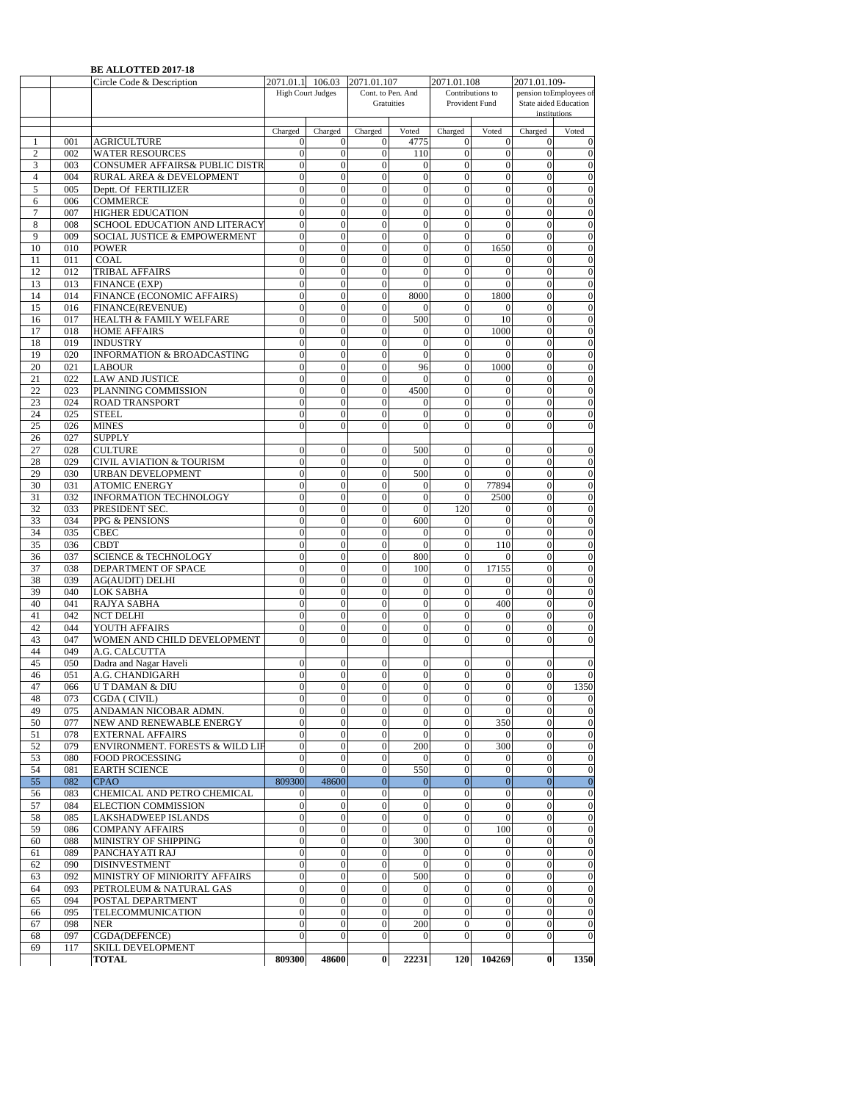|                |            | <b>BE ALLOTTED 2017-18</b>                |                                  |                                  |                                  |                       |                                  |                                    |                              |                                                 |
|----------------|------------|-------------------------------------------|----------------------------------|----------------------------------|----------------------------------|-----------------------|----------------------------------|------------------------------------|------------------------------|-------------------------------------------------|
|                |            | Circle Code & Description                 | 2071.01.1 106.03                 |                                  | 2071.01.107                      |                       | 2071.01.108                      |                                    | 2071.01.109-                 |                                                 |
|                |            |                                           |                                  | <b>High Court Judges</b>         | Gratuities                       | Cont. to Pen. And     |                                  | Contributions to<br>Provident Fund |                              | pension toEmployees of<br>State aided Education |
|                |            |                                           |                                  |                                  |                                  |                       |                                  |                                    | institutions                 |                                                 |
|                |            |                                           |                                  |                                  |                                  |                       |                                  |                                    |                              |                                                 |
|                |            |                                           | Charged                          | Charged                          | Charged                          | Voted                 | Charged                          | Voted                              | Charged                      | Voted                                           |
| 1              | 001        | <b>AGRICULTURE</b>                        | $\mathbf{0}$                     | 0                                | 0                                | 4775                  | 0                                | 0                                  | $\bf{0}$                     | $\mathbf{0}$                                    |
| 2              | 002        | <b>WATER RESOURCES</b>                    | $\mathbf{0}$                     | $\overline{0}$                   | $\theta$                         | 110                   | $\overline{0}$                   | $\overline{0}$                     | $\theta$                     | $\overline{0}$                                  |
| 3              | 003        | <b>CONSUMER AFFAIRS&amp; PUBLIC DISTR</b> | $\mathbf{0}$                     | $\overline{0}$                   | $\overline{0}$                   | $\mathbf{0}$          | $\overline{0}$                   | $\overline{0}$                     | $\overline{0}$               | $\overline{0}$                                  |
| $\overline{4}$ | 004        | RURAL AREA & DEVELOPMENT                  | $\mathbf{0}$                     | $\boldsymbol{0}$                 | $\mathbf{0}$                     | $\boldsymbol{0}$      | $\boldsymbol{0}$                 | $\overline{0}$                     | $\overline{0}$               | $\boldsymbol{0}$                                |
| $\sqrt{5}$     | 005        | Deptt. Of FERTILIZER                      | $\mathbf{0}$                     | $\overline{0}$                   | $\overline{0}$                   | $\mathbf{0}$          | $\overline{0}$                   | $\mathbf{0}$                       | $\mathbf{0}$                 | $\boldsymbol{0}$                                |
| 6              | 006        | <b>COMMERCE</b>                           | $\mathbf{0}$                     | $\overline{0}$                   | $\mathbf{0}$                     | $\mathbf{0}$          | $\mathbf{0}$                     | $\mathbf{0}$                       | $\theta$                     | $\mathbf{0}$                                    |
| 7              | 007        | <b>HIGHER EDUCATION</b>                   | $\mathbf{0}$                     | $\overline{0}$                   | $\boldsymbol{0}$                 | $\mathbf{0}$          | $\mathbf{0}$                     | $\boldsymbol{0}$                   | $\overline{0}$               | $\boldsymbol{0}$                                |
| 8              | 008        | SCHOOL EDUCATION AND LITERACY             | $\mathbf{0}$                     | $\overline{0}$                   | $\Omega$                         | $\mathbf{0}$          | $\overline{0}$                   | $\mathbf{0}$                       | $\theta$                     | $\mathbf{0}$                                    |
| 9              | 009        | SOCIAL JUSTICE & EMPOWERMENT              | $\mathbf{0}$                     | $\overline{0}$                   | $\overline{0}$                   | $\mathbf{0}$          | $\overline{0}$                   | $\mathbf{0}$                       | $\overline{0}$               | $\overline{0}$                                  |
| 10             | 010        | <b>POWER</b>                              | $\mathbf{0}$                     | $\overline{0}$                   | $\overline{0}$                   | $\mathbf{0}$          | $\mathbf{0}$                     | 1650                               | $\overline{0}$               | $\boldsymbol{0}$                                |
| 11             | 011        | <b>COAL</b>                               | $\mathbf{0}$                     | $\overline{0}$                   | $\mathbf{0}$                     | $\mathbf{0}$          | $\mathbf{0}$                     | $\Omega$                           | $\mathbf{0}$                 | $\boldsymbol{0}$                                |
| 12             | 012        | <b>TRIBAL AFFAIRS</b>                     | $\mathbf{0}$                     | $\overline{0}$                   | $\mathbf{0}$                     | $\mathbf{0}$          | $\mathbf{0}$                     | $\overline{0}$                     | $\overline{0}$               | $\boldsymbol{0}$                                |
| 13             | 013        | <b>FINANCE (EXP)</b>                      | $\mathbf{0}$                     | $\overline{0}$                   | $\mathbf{0}$                     | $\mathbf{0}$          | $\mathbf{0}$                     | $\mathbf{0}$                       | $\overline{0}$               | $\boldsymbol{0}$                                |
| 14             | 014        | FINANCE (ECONOMIC AFFAIRS)                | $\mathbf{0}$                     | $\mathbf{0}$                     | $\mathbf{0}$                     | 8000                  | $\overline{0}$                   | 1800                               | $\mathbf{0}$                 | $\mathbf{0}$                                    |
| 15             | 016        | FINANCE(REVENUE)                          | $\overline{0}$                   | $\overline{0}$                   | $\theta$                         | $\Omega$              | $\theta$                         |                                    | $\overline{0}$               | $\overline{0}$                                  |
| 16             | 017        | HEALTH & FAMILY WELFARE                   | $\mathbf{0}$                     | $\overline{0}$                   | $\overline{0}$                   | 500                   | $\overline{0}$                   | 10                                 | $\overline{0}$               | $\boldsymbol{0}$                                |
| 17             | 018        | <b>HOME AFFAIRS</b>                       | $\mathbf{0}$                     | $\overline{0}$                   | $\overline{0}$                   | $\mathbf{0}$          | $\mathbf{0}$                     | 1000                               | $\overline{0}$               | $\boldsymbol{0}$                                |
| 18             | 019        | <b>INDUSTRY</b>                           | $\mathbf{0}$                     | $\overline{0}$                   | $\overline{0}$                   | $\mathbf{0}$          | $\overline{0}$                   | 0                                  | $\theta$                     | $\overline{0}$                                  |
| 19             | 020        | <b>INFORMATION &amp; BROADCASTING</b>     | $\mathbf{0}$                     | $\overline{0}$                   | $\overline{0}$                   | $\mathbf{0}$          | $\overline{0}$                   | $\overline{0}$                     | $\overline{0}$               | $\boldsymbol{0}$                                |
| 20             | 021        | <b>LABOUR</b>                             | $\mathbf{0}$                     | $\overline{0}$                   | $\mathbf{0}$                     | 96                    | $\mathbf{0}$                     | 1000                               | $\overline{0}$               | $\mathbf{0}$                                    |
| 21             | 022        | <b>LAW AND JUSTICE</b>                    | $\overline{0}$                   | $\overline{0}$                   | $\overline{0}$                   | $\theta$              | $\overline{0}$                   | 0                                  | $\overline{0}$               | $\overline{0}$                                  |
| 22             | 023        | PLANNING COMMISSION                       | $\mathbf{0}$                     | $\overline{0}$                   | $\overline{0}$                   | 4500                  | $\overline{0}$                   | $\overline{0}$                     | $\overline{0}$               | $\overline{0}$                                  |
| 23             | 024        | <b>ROAD TRANSPORT</b>                     | $\mathbf{0}$                     | $\overline{0}$                   | $\overline{0}$                   | $\mathbf{0}$          | $\overline{0}$                   | $\boldsymbol{0}$                   | $\overline{0}$               | $\boldsymbol{0}$                                |
| 24             | 025        | <b>STEEL</b>                              | $\mathbf{0}$                     | $\theta$                         | $\theta$                         | $\Omega$              | $\overline{0}$                   | $\theta$                           | $\theta$                     | $\boldsymbol{0}$                                |
| 25             | 026        | <b>MINES</b>                              | $\mathbf{0}$                     | $\overline{0}$                   | $\mathbf{0}$                     | $\mathbf{0}$          | $\overline{0}$                   | $\mathbf{0}$                       | $\mathbf{0}$                 | $\overline{0}$                                  |
| 26             | 027        | <b>SUPPLY</b>                             |                                  |                                  |                                  |                       |                                  |                                    |                              |                                                 |
| 27             | 028        | <b>CULTURE</b>                            | $\mathbf{0}$                     | $\mathbf{0}$                     | $\mathbf{0}$                     | 500                   | 0                                | $\mathbf{0}$                       | $\theta$                     | $\Omega$                                        |
| 28             | 029        | CIVIL AVIATION & TOURISM                  | $\mathbf{0}$                     | $\overline{0}$                   | $\overline{0}$                   | $\Omega$              | $\overline{0}$                   | $\overline{0}$                     | $\overline{0}$               | $\overline{0}$                                  |
| 29             | 030        | <b>URBAN DEVELOPMENT</b>                  | $\mathbf{0}$                     | $\mathbf{0}$                     | $\overline{0}$                   | 500                   | $\mathbf{0}$                     | $\Omega$                           | $\overline{0}$               | $\boldsymbol{0}$                                |
| 30             | 031        | <b>ATOMIC ENERGY</b>                      | $\mathbf{0}$                     | $\overline{0}$                   | $\overline{0}$                   | $\mathbf{0}$          | $\boldsymbol{0}$                 | 77894                              | $\overline{0}$               | $\boldsymbol{0}$                                |
| 31             | 032        | <b>INFORMATION TECHNOLOGY</b>             | $\mathbf{0}$                     | $\overline{0}$                   | $\mathbf{0}$                     | $\mathbf{0}$          | $\mathbf{0}$                     | 2500                               | $\overline{0}$               | $\boldsymbol{0}$                                |
| 32             | 033        | PRESIDENT SEC.                            | $\mathbf{0}$                     | $\overline{0}$                   | 0                                | $\mathbf{0}$          | 120                              | 0                                  | $\boldsymbol{0}$             | $\boldsymbol{0}$                                |
| 33             | 034        | PPG & PENSIONS                            | $\mathbf{0}$                     | $\mathbf{0}$                     | $\mathbf{0}$                     | 600                   | 0                                | $\mathbf{0}$                       | $\Omega$                     | $\boldsymbol{0}$                                |
| 34             | 035        | <b>CBEC</b>                               | $\mathbf{0}$                     | $\overline{0}$                   | $\overline{0}$                   | $\overline{0}$        | $\overline{0}$                   | $\mathbf{0}$                       | $\overline{0}$               | $\overline{0}$                                  |
| 35             | 036        | <b>CBDT</b>                               | $\mathbf{0}$                     | $\overline{0}$                   | $\overline{0}$                   | $\mathbf{0}$          | $\overline{0}$                   | 110                                | $\overline{0}$               | $\boldsymbol{0}$                                |
| 36             | 037        | <b>SCIENCE &amp; TECHNOLOGY</b>           | $\mathbf{0}$                     | $\overline{0}$                   | $\mathbf{0}$                     | 800                   | $\mathbf{0}$                     | $\Omega$                           | $\mathbf{0}$                 | $\boldsymbol{0}$                                |
| 37             | 038        | DEPARTMENT OF SPACE                       | $\mathbf{0}$                     | $\mathbf{0}$                     | $\mathbf{0}$                     | 100                   | $\mathbf{0}$                     | 17155                              | $\mathbf{0}$                 | $\boldsymbol{0}$                                |
| 38             | 039        | <b>AG(AUDIT) DELHI</b>                    | $\mathbf{0}$                     | $\overline{0}$                   | $\overline{0}$                   | $\mathbf{0}$          | $\mathbf{0}$                     | $\mathbf{0}$                       | $\overline{0}$               | $\boldsymbol{0}$                                |
| 39             | 040        | <b>LOK SABHA</b>                          | $\mathbf{0}$                     | $\theta$                         | $\Omega$                         | $\mathbf{0}$          | $\Omega$                         | $\Omega$                           | $\theta$                     | $\overline{0}$                                  |
| 40             | 041        | RAJYA SABHA                               | $\mathbf{0}$                     | $\overline{0}$                   | $\overline{0}$                   | $\mathbf{0}$          | $\overline{0}$                   | 400                                | $\overline{0}$               | $\overline{0}$                                  |
| 41             | 042        | <b>NCT DELHI</b>                          | $\mathbf{0}$                     | $\overline{0}$                   | $\overline{0}$                   | $\mathbf{0}$          | $\overline{0}$                   | $\overline{0}$                     | $\overline{0}$               | $\mathbf{0}$                                    |
| 42             | 044        | YOUTH AFFAIRS                             | $\mathbf{0}$                     | $\boldsymbol{0}$                 | $\boldsymbol{0}$                 | $\boldsymbol{0}$      | $\mathbf{0}$                     | $\boldsymbol{0}$                   | $\overline{0}$               | $\boldsymbol{0}$                                |
| 43             | 047        | WOMEN AND CHILD DEVELOPMENT               | $\mathbf{0}$                     | $\theta$                         | $\theta$                         | $\mathbf{0}$          | $\theta$                         | $\theta$                           | $\theta$                     | $\overline{0}$                                  |
| 44             | 049        | A.G. CALCUTTA                             |                                  |                                  |                                  |                       |                                  |                                    |                              |                                                 |
| 45             | 050        | Dadra and Nagar Haveli                    | $\mathbf{0}$                     | $\mathbf{0}$                     | $\mathbf{0}$                     | $\mathbf{0}$          | 0                                | $\mathbf{0}$                       | $\theta$                     | $\mathbf{0}$                                    |
| 46             | 051        | A.G. CHANDIGARH                           | $\overline{0}$                   | 0                                | $\theta$                         | $\mathbf{0}$          | $\overline{0}$                   | $\overline{0}$                     | $\theta$                     | $\overline{0}$                                  |
| 47             | 066        | <b>UT DAMAN &amp; DIU</b>                 | $\overline{0}$                   | $\overline{0}$                   | $\mathbf{0}$                     | $\theta$              | $\overline{0}$                   | $\mathbf{0}$                       | $\theta$                     | 1350                                            |
| 48             | 073        | CGDA (CIVIL)                              | $\mathbf{0}$                     | $\boldsymbol{0}$                 | $\boldsymbol{0}$                 | $\mathbf{0}$          | $\boldsymbol{0}$                 | $\boldsymbol{0}$                   | $\mathbf{0}$                 | $\mathbf{0}$                                    |
| 49             | 075        | ANDAMAN NICOBAR ADMN.                     | $\mathbf{0}$                     | $\overline{0}$                   | $\mathbf{0}$                     | $\mathbf{0}$          | $\overline{0}$                   | $\mathbf{0}$                       | $\mathbf{0}$                 | $\mathbf{0}$                                    |
| 50             | 077        | <b>NEW AND RENEWABLE ENERGY</b>           | $\mathbf{0}$                     | $\mathbf{0}$                     | $\mathbf{0}$                     | $\theta$              | $\mathbf{0}$                     | 350                                | $\mathbf{0}$                 | $\mathbf{0}$                                    |
| 51             | 078        | <b>EXTERNAL AFFAIRS</b>                   | $\mathbf{0}$                     | $\boldsymbol{0}$                 | $\mathbf{0}$                     | $\mathbf{0}$          | $\boldsymbol{0}$                 | $\mathbf{0}$                       | $\boldsymbol{0}$             | $\boldsymbol{0}$                                |
| 52             | 079        | ENVIRONMENT. FORESTS & WILD LIF           | $\mathbf{0}$                     | $\overline{0}$                   | $\overline{0}$                   | 200                   | $\overline{0}$                   | 300                                | $\theta$                     | $\mathbf{0}$                                    |
| 53             | 080        | <b>FOOD PROCESSING</b>                    | $\mathbf{0}$                     | $\mathbf{0}$                     | $\mathbf{0}$                     | $\mathbf{0}$          | $\overline{0}$                   | $\boldsymbol{0}$                   | $\mathbf{0}$                 | $\boldsymbol{0}$                                |
| 54             | 081        | <b>EARTH SCIENCE</b>                      | $\mathbf{0}$                     | $\overline{0}$                   | $\boldsymbol{0}$                 | 550                   | $\overline{0}$                   | $\boldsymbol{0}$                   | $\mathbf{0}$                 | $\overline{0}$                                  |
| 55             | 082        | <b>CPAO</b>                               | 809300                           | 48600                            | $\mathbf{0}$                     | $\Omega$              | $\overline{0}$                   | $\mathbf{0}$                       | $\Omega$                     | $\boldsymbol{0}$                                |
| 56             | 083        | CHEMICAL AND PETRO CHEMICAL               | $\mathbf{0}$                     | $\boldsymbol{0}$                 | $\mathbf{0}$                     | $\mathbf{0}$          | $\boldsymbol{0}$                 | $\mathbf{0}$                       | $\bf{0}$                     | $\boldsymbol{0}$                                |
| 57             | 084        | <b>ELECTION COMMISSION</b>                | $\boldsymbol{0}$                 | $\boldsymbol{0}$                 | $\boldsymbol{0}$                 | $\mathbf{0}$          | $\boldsymbol{0}$                 | $\boldsymbol{0}$                   | $\mathbf{0}$                 | $\boldsymbol{0}$                                |
| 58             | 085        | LAKSHADWEEP ISLANDS                       | $\mathbf{0}$                     | $\boldsymbol{0}$                 | $\boldsymbol{0}$                 | $\mathbf{0}$          | $\boldsymbol{0}$                 | $\mathbf{0}$                       | $\boldsymbol{0}$             | $\boldsymbol{0}$                                |
| 59             | 086        | <b>COMPANY AFFAIRS</b>                    | $\mathbf{0}$                     | $\overline{0}$                   | $\mathbf{0}$                     | $\mathbf{0}$          | $\overline{0}$                   | 100                                | $\mathbf{0}$                 | $\boldsymbol{0}$                                |
|                | 088        |                                           | $\mathbf{0}$                     | $\boldsymbol{0}$                 | $\mathbf{0}$                     | 300                   | $\boldsymbol{0}$                 | $\mathbf{0}$                       | $\mathbf{0}$                 | $\mathbf{0}$                                    |
| 60             | 089        | MINISTRY OF SHIPPING                      | $\mathbf{0}$                     | $\boldsymbol{0}$                 | $\mathbf{0}$                     | $\overline{0}$        | $\boldsymbol{0}$                 |                                    | $\boldsymbol{0}$             | $\overline{0}$                                  |
| 61             | 090        | PANCHAYATI RAJ                            | $\mathbf{0}$                     | $\mathbf{0}$                     | $\mathbf{0}$                     | $\mathbf{0}$          | $\overline{0}$                   | $\boldsymbol{0}$<br>$\mathbf{0}$   | $\mathbf{0}$                 | $\boldsymbol{0}$                                |
| 62             |            | <b>DISINVESTMENT</b>                      |                                  |                                  |                                  |                       |                                  |                                    |                              | $\mathbf{0}$                                    |
| 63             | 092<br>093 | MINISTRY OF MINIORITY AFFAIRS             | $\boldsymbol{0}$<br>$\mathbf{0}$ | $\boldsymbol{0}$<br>$\mathbf{0}$ | $\mathbf{0}$<br>$\boldsymbol{0}$ | 500<br>$\overline{0}$ | $\boldsymbol{0}$<br>$\mathbf{0}$ | $\boldsymbol{0}$<br>$\mathbf{0}$   | $\mathbf{0}$<br>$\mathbf{0}$ | $\boldsymbol{0}$                                |
| 64             |            | PETROLEUM & NATURAL GAS                   | $\mathbf{0}$                     | $\overline{0}$                   |                                  |                       | $\overline{0}$                   |                                    |                              |                                                 |
| 65             | 094        | POSTAL DEPARTMENT                         |                                  |                                  | $\mathbf{0}$                     | $\mathbf{0}$          |                                  | $\mathbf{0}$                       | $\mathbf{0}$                 | $\boldsymbol{0}$                                |
| 66             | 095        | TELECOMMUNICATION                         | $\mathbf{0}$                     | $\mathbf{0}$                     | $\mathbf{0}$                     | $\mathbf{0}$          | $\boldsymbol{0}$                 | $\mathbf{0}$                       | $\mathbf{0}$                 | $\mathbf{0}$                                    |
| 67             | 098        | <b>NER</b>                                | $\mathbf{0}$                     | $\mathbf{0}$<br>$\Omega$         | $\mathbf{0}$<br>$\Omega$         | 200                   | $\mathbf{0}$<br>$\theta$         | $\mathbf{0}$                       | $\mathbf{0}$                 | $\boldsymbol{0}$<br>$\overline{0}$              |
| 68             | 097        | CGDA(DEFENCE)                             | $\mathbf{0}$                     |                                  |                                  | $\theta$              |                                  | $\Omega$                           | $\Omega$                     |                                                 |
| 69             | 117        | <b>SKILL DEVELOPMENT</b>                  |                                  |                                  |                                  |                       |                                  |                                    |                              |                                                 |
|                |            | <b>TOTAL</b>                              | 809300                           | 48600                            | $\bf{0}$                         | 22231                 |                                  | 120 104269                         | $\bf{0}$                     | 1350                                            |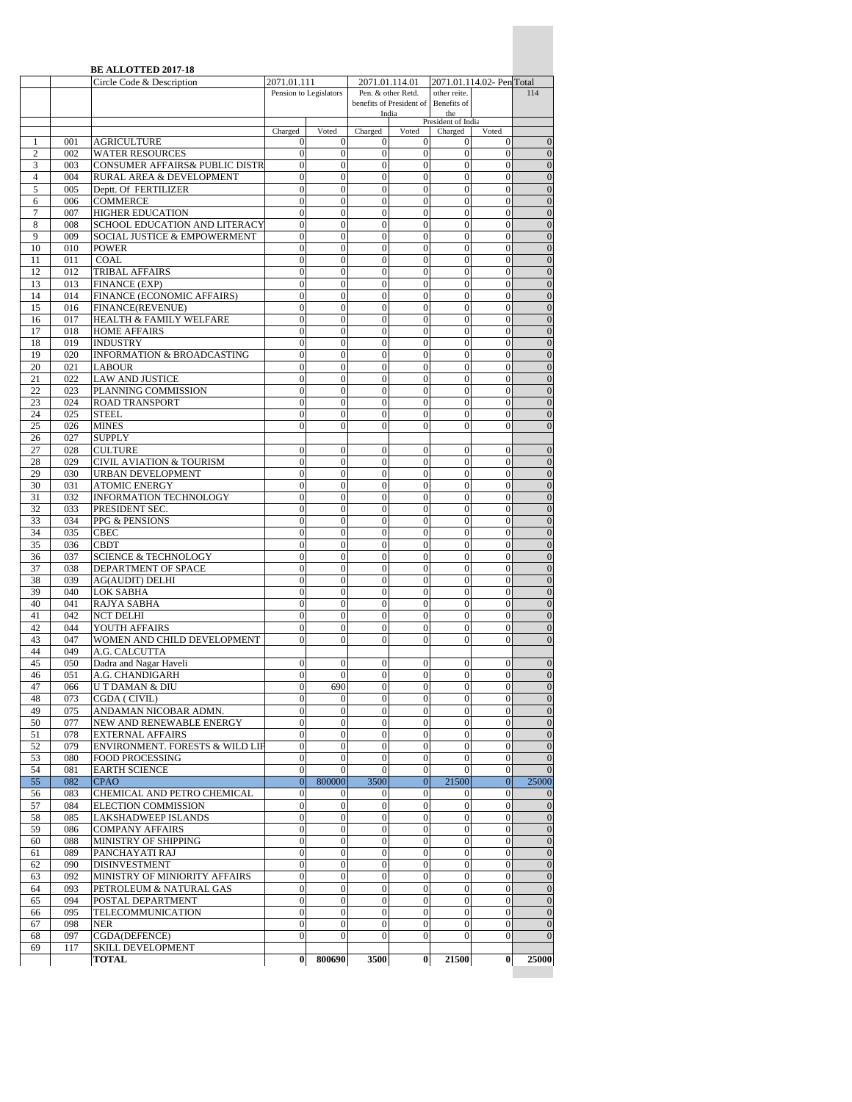|                     |            | <b>BE ALLOTTED 2017-18</b><br>Circle Code & Description  | 2071.01.111                          |                                      |                                      | 2071.01.114.01                                 |                                    | 2071.01.114.02- PenTotal             |                                    |
|---------------------|------------|----------------------------------------------------------|--------------------------------------|--------------------------------------|--------------------------------------|------------------------------------------------|------------------------------------|--------------------------------------|------------------------------------|
|                     |            |                                                          |                                      | Pension to Legislators               |                                      | Pen. & other Retd.<br>benefits of President of | other reite.<br>Benefits of        |                                      | 114                                |
|                     |            |                                                          |                                      |                                      |                                      | India                                          | the<br>President of India          |                                      |                                    |
|                     |            |                                                          | Charged                              | Voted                                | Charged                              | Voted                                          | Charged                            | Voted                                |                                    |
| 1                   | 001        | AGRICULTURE                                              | $\bf{0}$                             | 0                                    | 0                                    | 0                                              | 0                                  | 0                                    | $\overline{0}$                     |
| $\overline{2}$<br>3 | 002<br>003 | <b>WATER RESOURCES</b><br>CONSUMER AFFAIRS& PUBLIC DISTR | $\mathbf{0}$<br>$\mathbf{0}$         | $\mathbf{0}$<br>$\mathbf{0}$         | $\mathbf{0}$<br>$\mathbf{0}$         | $\overline{0}$<br>$\mathbf{0}$                 | $\overline{0}$<br>$\overline{0}$   | $\overline{0}$<br>$\overline{0}$     | $\overline{0}$<br>$\mathbf{0}$     |
| $\overline{4}$      | 004        | RURAL AREA & DEVELOPMENT                                 | $\mathbf{0}$                         | $\mathbf{0}$                         | $\mathbf{0}$                         | $\boldsymbol{0}$                               | $\boldsymbol{0}$                   | $\overline{0}$                       | $\overline{0}$                     |
| 5                   | 005        | Deptt. Of FERTILIZER                                     | $\mathbf{0}$                         | $\mathbf{0}$                         | $\mathbf{0}$                         | $\overline{0}$                                 | $\mathbf{0}$                       | $\overline{0}$                       | $\overline{0}$                     |
| 6                   | 006        | <b>COMMERCE</b>                                          | $\mathbf{0}$                         | $\mathbf{0}$                         | $\boldsymbol{0}$                     | $\boldsymbol{0}$                               | $\boldsymbol{0}$                   | $\boldsymbol{0}$                     | $\mathbf{0}$                       |
| 7<br>8              | 007<br>008 | <b>HIGHER EDUCATION</b><br>SCHOOL EDUCATION AND LITERACY | $\Omega$<br>$\Omega$                 | $\Omega$<br>$\overline{0}$           | $\mathbf{0}$<br>$\overline{0}$       | $\overline{0}$<br>$\overline{0}$               | $\overline{0}$<br>$\overline{0}$   | $\theta$<br>$\overline{0}$           | $\overline{0}$<br>$\overline{0}$   |
| 9                   | 009        | SOCIAL JUSTICE & EMPOWERMENT                             | $\mathbf{0}$                         | $\mathbf{0}$                         | $\boldsymbol{0}$                     | $\boldsymbol{0}$                               | $\overline{0}$                     | $\overline{0}$                       | $\boldsymbol{0}$                   |
| 10                  | 010        | <b>POWER</b>                                             | $\mathbf{0}$                         | $\mathbf{0}$                         | $\mathbf{0}$                         | $\overline{0}$                                 | $\mathbf{0}$                       | $\overline{0}$                       | $\mathbf{0}$                       |
| 11                  | 011        | <b>COAL</b>                                              | $\mathbf{0}$                         | $\mathbf{0}$                         | $\mathbf{0}$                         | $\overline{0}$                                 | $\overline{0}$                     | $\overline{0}$                       | $\overline{0}$                     |
| 12<br>13            | 012<br>013 | TRIBAL AFFAIRS                                           | $\mathbf{0}$<br>$\overline{0}$       | $\mathbf{0}$<br>$\overline{0}$       | $\boldsymbol{0}$<br>$\overline{0}$   | $\mathbf{0}$<br>$\overline{0}$                 | $\boldsymbol{0}$<br>$\overline{0}$ | $\overline{0}$<br>$\overline{0}$     | $\boldsymbol{0}$<br>$\mathbf{0}$   |
| 14                  | 014        | <b>FINANCE (EXP)</b><br>FINANCE (ECONOMIC AFFAIRS)       | $\theta$                             | $\overline{0}$                       | $\overline{0}$                       | $\overline{0}$                                 | $\overline{0}$                     | $\overline{0}$                       | $\overline{0}$                     |
| 15                  | 016        | FINANCE(REVENUE)                                         | $\overline{0}$                       | $\overline{0}$                       | $\boldsymbol{0}$                     | $\overline{0}$                                 | $\overline{0}$                     | $\overline{0}$                       | $\mathbf{0}$                       |
| 16                  | 017        | HEALTH & FAMILY WELFARE                                  | $\mathbf{0}$                         | $\mathbf{0}$                         | $\boldsymbol{0}$                     | $\mathbf{0}$                                   | $\boldsymbol{0}$                   | $\boldsymbol{0}$                     | $\mathbf{0}$                       |
| 17                  | 018        | <b>HOME AFFAIRS</b>                                      | $\overline{0}$                       | $\overline{0}$                       | $\overline{0}$                       | $\overline{0}$                                 | $\overline{0}$                     | $\overline{0}$                       | $\overline{0}$                     |
| 18<br>19            | 019<br>020 | <b>INDUSTRY</b><br><b>INFORMATION &amp; BROADCASTING</b> | $\mathbf{0}$<br>$\mathbf{0}$         | $\boldsymbol{0}$<br>$\overline{0}$   | $\boldsymbol{0}$<br>$\boldsymbol{0}$ | $\boldsymbol{0}$<br>$\boldsymbol{0}$           | $\boldsymbol{0}$<br>$\overline{0}$ | $\boldsymbol{0}$<br>$\overline{0}$   | $\boldsymbol{0}$<br>$\mathbf{0}$   |
| 20                  | 021        | <b>LABOUR</b>                                            | $\overline{0}$                       | 0                                    | $\mathbf{0}$                         | $\overline{0}$                                 | $\theta$                           | $\theta$                             | $\overline{0}$                     |
| 21                  | 022        | <b>LAW AND JUSTICE</b>                                   | $\mathbf{0}$                         | $\overline{0}$                       | $\boldsymbol{0}$                     | $\boldsymbol{0}$                               | $\mathbf{0}$                       | $\overline{0}$                       | $\boldsymbol{0}$                   |
| 22                  | 023        | PLANNING COMMISSION                                      | $\Omega$                             | $\overline{0}$                       | $\overline{0}$                       | $\overline{0}$                                 | $\overline{0}$                     | $\overline{0}$                       | $\mathbf{0}$                       |
| 23<br>24            | 024<br>025 | <b>ROAD TRANSPORT</b><br><b>STEEL</b>                    | $\overline{0}$<br>$\mathbf{0}$       | $\overline{0}$<br>$\mathbf{0}$       | $\boldsymbol{0}$<br>$\mathbf{0}$     | $\boldsymbol{0}$<br>$\overline{0}$             | $\boldsymbol{0}$<br>$\mathbf{0}$   | $\overline{0}$<br>$\overline{0}$     | $\overline{0}$<br>$\overline{0}$   |
| 25                  | 026        | <b>MINES</b>                                             | $\mathbf{0}$                         | $\mathbf{0}$                         | $\mathbf{0}$                         | $\mathbf{0}$                                   | $\mathbf{0}$                       | $\mathbf{0}$                         | $\mathbf{0}$                       |
| 26                  | 027        | <b>SUPPLY</b>                                            |                                      |                                      |                                      |                                                |                                    |                                      |                                    |
| 27                  | 028        | <b>CULTURE</b>                                           | $\overline{0}$                       | $\overline{0}$                       | $\overline{0}$                       | $\overline{0}$                                 | $\overline{0}$                     | $\overline{0}$                       | $\overline{0}$                     |
| 28                  | 029        | CIVIL AVIATION & TOURISM                                 | $\mathbf{0}$                         | $\overline{0}$                       | $\boldsymbol{0}$                     | $\boldsymbol{0}$                               | $\overline{0}$                     | $\overline{0}$                       | $\boldsymbol{0}$                   |
| 29<br>30            | 030<br>031 | URBAN DEVELOPMENT<br><b>ATOMIC ENERGY</b>                | $\mathbf{0}$<br>$\mathbf{0}$         | $\mathbf{0}$<br>$\mathbf{0}$         | $\mathbf{0}$<br>$\mathbf{0}$         | $\overline{0}$<br>$\mathbf{0}$                 | $\mathbf{0}$<br>$\mathbf{0}$       | $\mathbf{0}$<br>$\mathbf{0}$         | $\overline{0}$<br>$\theta$         |
| 31                  | 032        | <b>INFORMATION TECHNOLOGY</b>                            | $\mathbf{0}$                         | $\overline{0}$                       | $\boldsymbol{0}$                     | $\overline{0}$                                 | $\boldsymbol{0}$                   | $\overline{0}$                       | $\mathbf{0}$                       |
| 32                  | 033        | PRESIDENT SEC.                                           | $\Omega$                             | $\mathbf{0}$                         | $\mathbf{0}$                         | $\mathbf{0}$                                   | $\mathbf{0}$                       | $\mathbf{0}$                         | $\overline{0}$                     |
| 33                  | 034        | PPG & PENSIONS                                           | $\overline{0}$                       | $\overline{0}$                       | $\overline{0}$                       | $\overline{0}$                                 | $\overline{0}$                     | $\overline{0}$                       | $\overline{0}$                     |
| 34<br>35            | 035<br>036 | <b>CBEC</b><br><b>CBDT</b>                               | $\mathbf{0}$<br>$\mathbf{0}$         | $\mathbf{0}$<br>$\mathbf{0}$         | $\boldsymbol{0}$<br>$\boldsymbol{0}$ | $\mathbf{0}$<br>$\boldsymbol{0}$               | $\overline{0}$<br>$\boldsymbol{0}$ | $\overline{0}$<br>$\boldsymbol{0}$   | $\mathbf{0}$<br>$\boldsymbol{0}$   |
| 36                  | 037        | <b>SCIENCE &amp; TECHNOLOGY</b>                          | $\mathbf{0}$                         | $\overline{0}$                       | $\mathbf{0}$                         | $\overline{0}$                                 | $\overline{0}$                     | $\overline{0}$                       | $\overline{0}$                     |
| 37                  | 038        | DEPARTMENT OF SPACE                                      | $\boldsymbol{0}$                     | $\boldsymbol{0}$                     | $\boldsymbol{0}$                     | $\boldsymbol{0}$                               | $\boldsymbol{0}$                   | $\boldsymbol{0}$                     | $\mathbf{0}$                       |
| 38                  | 039        | <b>AG(AUDIT) DELHI</b>                                   | $\mathbf{0}$                         | $\overline{0}$                       | $\mathbf{0}$                         | $\overline{0}$                                 | $\mathbf{0}$                       | $\overline{0}$                       | $\overline{0}$                     |
| 39<br>40            | 040<br>041 | LOK SABHA<br>RAJYA SABHA                                 | $\Omega$<br>$\mathbf{0}$             | $\overline{0}$<br>$\overline{0}$     | $\mathbf{0}$<br>$\boldsymbol{0}$     | $\overline{0}$<br>$\boldsymbol{0}$             | $\overline{0}$<br>$\mathbf{0}$     | $\overline{0}$<br>$\overline{0}$     | $\overline{0}$<br>$\boldsymbol{0}$ |
| 41                  | 042        | <b>NCT DELHI</b>                                         | $\mathbf{0}$                         | $\mathbf{0}$                         | $\mathbf{0}$                         | $\overline{0}$                                 | $\overline{0}$                     | $\overline{0}$                       | $\overline{0}$                     |
| 42                  | 044        | YOUTH AFFAIRS                                            | $\mathbf{0}$                         | $\mathbf{0}$                         | $\boldsymbol{0}$                     | $\overline{0}$                                 | $\overline{0}$                     | $\overline{0}$                       | $\overline{0}$                     |
| 43                  | 047        | WOMEN AND CHILD DEVELOPMENT                              | $\mathbf{0}$                         | $\mathbf{0}$                         | $\overline{0}$                       | $\mathbf{0}$                                   | $\mathbf{0}$                       | $\overline{0}$                       | $\mathbf{0}$                       |
| 44<br>45            | 049        | A.G. CALCUTTA                                            | $\Omega$                             | 0                                    |                                      | 0                                              | $\theta$                           | $\Omega$                             | $\overline{0}$                     |
| 46                  | 050<br>051 | Dadra and Nagar Haveli<br>A.G. CHANDIGARH                | $\overline{0}$                       | $\overline{0}$                       | 0<br>$\overline{0}$                  | $\overline{0}$                                 | $\overline{0}$                     | $\overline{0}$                       | $\mathbf{0}$                       |
| 47                  | 066        | U T DAMAN & DIU                                          | $\mathbf{0}$                         | 690                                  | $\overline{0}$                       | $\boldsymbol{0}$                               | $\boldsymbol{0}$                   | $\boldsymbol{0}$                     | $\boldsymbol{0}$                   |
| 48                  | 073        | CGDA (CIVIL)                                             | $\mathbf{0}$                         | $\mathbf{0}$                         | $\boldsymbol{0}$                     | $\overline{0}$                                 | $\mathbf{0}$                       | $\overline{0}$                       | $\overline{0}$                     |
| 49                  | 075        | ANDAMAN NICOBAR ADMN.                                    | $\boldsymbol{0}$                     | $\mathbf{0}$                         | $\mathbf{0}$                         | $\theta$                                       | $\mathbf{0}$                       | $\mathbf{0}$                         | $\mathbf{0}$                       |
| 50<br>51            | 077<br>078 | NEW AND RENEWABLE ENERGY<br><b>EXTERNAL AFFAIRS</b>      | $\boldsymbol{0}$<br>$\boldsymbol{0}$ | $\boldsymbol{0}$<br>$\boldsymbol{0}$ | $\boldsymbol{0}$<br>$\boldsymbol{0}$ | $\boldsymbol{0}$<br>$\boldsymbol{0}$           | $\boldsymbol{0}$<br>$\mathbf{0}$   | $\mathbf{0}$<br>$\overline{0}$       | $\mathbf{0}$<br>$\overline{0}$     |
| 52                  | 079        | ENVIRONMENT. FORESTS & WILD LIF                          | $\boldsymbol{0}$                     | $\overline{0}$                       | $\boldsymbol{0}$                     | $\overline{0}$                                 | $\mathbf{0}$                       | $\overline{0}$                       | $\boldsymbol{0}$                   |
| 53                  | 080        | <b>FOOD PROCESSING</b>                                   | $\mathbf{0}$                         | $\mathbf{0}$                         | $\boldsymbol{0}$                     | $\boldsymbol{0}$                               | $\boldsymbol{0}$                   | $\boldsymbol{0}$                     | $\overline{0}$                     |
| 54                  | 081        | <b>EARTH SCIENCE</b>                                     | $\mathbf{0}$                         | $\mathbf{0}$                         | $\bf{0}$                             | $\mathbf{0}$                                   | $\mathbf{0}$                       | $\boldsymbol{0}$                     | $\overline{0}$                     |
| 55<br>56            | 082<br>083 | <b>CPAO</b><br>CHEMICAL AND PETRO CHEMICAL               | $\mathbf{0}$<br>$\boldsymbol{0}$     | 800000<br>$\bf{0}$                   | 3500<br>$\mathbf{0}$                 | $\overline{0}$<br>$\mathbf{0}$                 | 21500<br>$\bf{0}$                  | $\mathbf{0}$<br>$\boldsymbol{0}$     | 25000<br>$\theta$                  |
| 57                  | 084        | <b>ELECTION COMMISSION</b>                               | $\mathbf{0}$                         | $\mathbf{0}$                         | $\mathbf{0}$                         | $\mathbf{0}$                                   | $\mathbf{0}$                       | $\overline{0}$                       | $\overline{0}$                     |
| 58                  | 085        | LAKSHADWEEP ISLANDS                                      | $\mathbf{0}$                         | $\boldsymbol{0}$                     | $\boldsymbol{0}$                     | $\overline{0}$                                 | $\overline{0}$                     | $\overline{0}$                       | $\overline{0}$                     |
| 59                  | 086        | <b>COMPANY AFFAIRS</b>                                   | $\boldsymbol{0}$                     | $\boldsymbol{0}$                     | $\boldsymbol{0}$                     | $\boldsymbol{0}$                               | $\boldsymbol{0}$                   | $\mathbf{0}$                         | $\mathbf{0}$                       |
| 60<br>61            | 088<br>089 | MINISTRY OF SHIPPING<br>PANCHAYATI RAJ                   | $\mathbf{0}$<br>$\mathbf{0}$         | $\mathbf{0}$<br>$\mathbf{0}$         | $\boldsymbol{0}$<br>$\boldsymbol{0}$ | $\boldsymbol{0}$<br>$\mathbf{0}$               | $\boldsymbol{0}$<br>$\mathbf{0}$   | $\overline{0}$<br>$\overline{0}$     | $\overline{0}$<br>$\overline{0}$   |
| 62                  | 090        | <b>DISINVESTMENT</b>                                     | $\boldsymbol{0}$                     | $\mathbf{0}$                         | $\boldsymbol{0}$                     | $\boldsymbol{0}$                               | $\boldsymbol{0}$                   | $\overline{0}$                       | $\mathbf{0}$                       |
| 63                  | 092        | MINISTRY OF MINIORITY AFFAIRS                            | $\boldsymbol{0}$                     | $\boldsymbol{0}$                     | $\boldsymbol{0}$                     | $\boldsymbol{0}$                               | $\boldsymbol{0}$                   | $\boldsymbol{0}$                     | $\mathbf{0}$                       |
| 64                  | 093        | PETROLEUM & NATURAL GAS                                  | $\mathbf{0}$                         | $\overline{0}$                       | $\boldsymbol{0}$                     | $\overline{0}$                                 | $\overline{0}$                     | $\overline{0}$                       | $\overline{0}$                     |
| 65<br>66            | 094<br>095 | POSTAL DEPARTMENT<br>TELECOMMUNICATION                   | $\mathbf{0}$<br>$\boldsymbol{0}$     | $\boldsymbol{0}$<br>$\boldsymbol{0}$ | $\boldsymbol{0}$<br>$\boldsymbol{0}$ | $\boldsymbol{0}$<br>$\boldsymbol{0}$           | $\overline{0}$<br>$\boldsymbol{0}$ | $\boldsymbol{0}$<br>$\boldsymbol{0}$ | $\mathbf{0}$<br>$\boldsymbol{0}$   |
| 67                  | 098        | <b>NER</b>                                               | $\mathbf{0}$                         | $\Omega$                             | $\mathbf{0}$                         | $\mathbf{0}$                                   | $\theta$                           | $\theta$                             | $\overline{0}$                     |
| 68                  | 097        | CGDA(DEFENCE)                                            | $\mathbf{0}$                         | $\mathbf{0}$                         | $\boldsymbol{0}$                     | $\overline{0}$                                 | $\mathbf{0}$                       | $\boldsymbol{0}$                     | $\boldsymbol{0}$                   |
| 69                  | 117        | SKILL DEVELOPMENT                                        |                                      |                                      |                                      |                                                |                                    |                                      |                                    |
|                     |            | TOTAL                                                    | $\bf{0}$                             | 800690                               | 3500                                 | $\bf{0}$                                       | 21500                              | $\bf{0}$                             | 25000                              |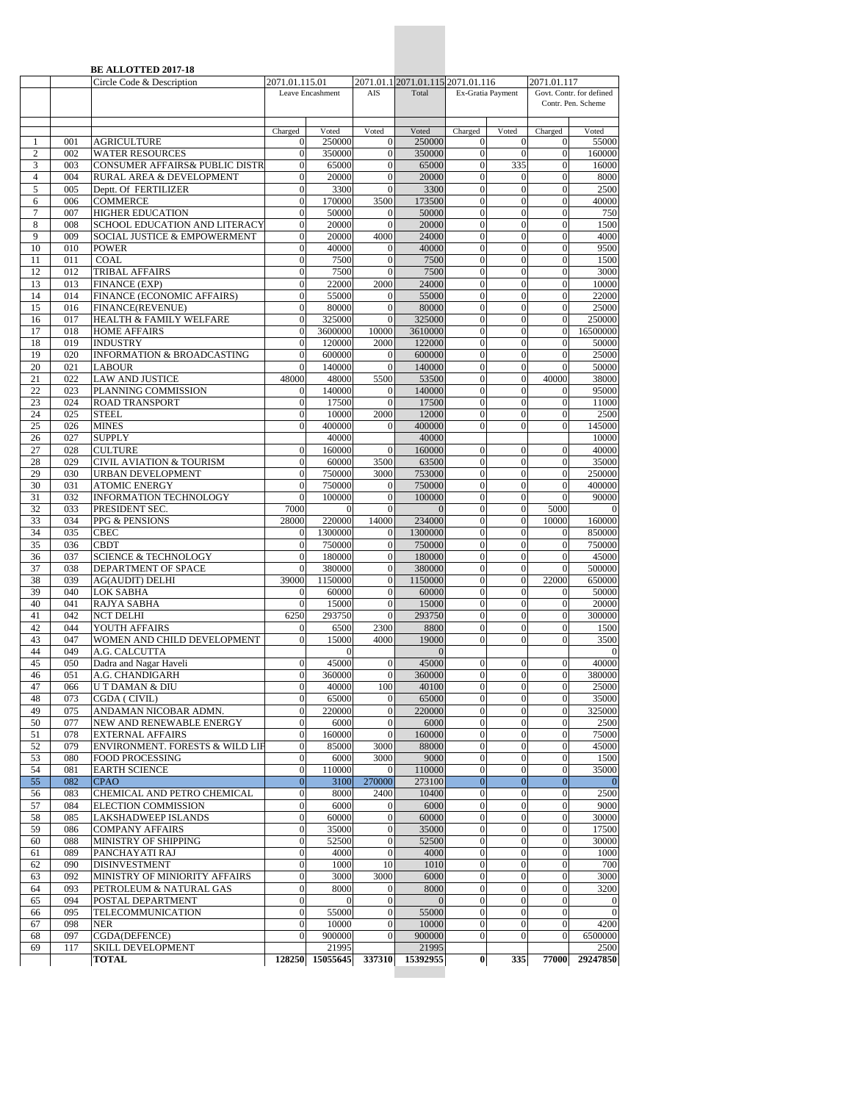| 2071.01.1 2071.01.115 2071.01.116<br>2071.01.115.01<br>Total<br>Leave Encashment<br>AIS<br>Ex-Gratia Payment<br>Govt. Contr. for defined<br>Voted<br>Voted<br>Charged<br>Voted<br>Charged<br>Charged<br>Voted<br>$\mathbf{1}$<br>001<br><b>AGRICULTURE</b><br>$\overline{0}$<br>250000<br>$\theta$<br>250000<br>$\mathbf{0}$<br>$\boldsymbol{0}$<br>$\sqrt{2}$<br><b>WATER RESOURCES</b><br>$\overline{0}$<br>350000<br>$\mathbf{0}$<br>350000<br>$\boldsymbol{0}$<br>$\boldsymbol{0}$<br>002<br>335<br>CONSUMER AFFAIRS& PUBLIC DISTR<br>$\mathbf{0}$<br>$\boldsymbol{0}$<br>3<br>003<br>$\overline{0}$<br>65000<br>65000<br>$\overline{4}$<br>004<br>20000<br>20000<br>$\overline{0}$<br>RURAL AREA & DEVELOPMENT<br>$\overline{0}$<br>$\theta$<br>$\mathbf{0}$<br>5<br>005<br>Deptt. Of FERTILIZER<br>3300<br>$\overline{0}$<br>3300<br>$\boldsymbol{0}$<br>$\boldsymbol{0}$<br>$\overline{0}$<br><b>COMMERCE</b><br>173500<br>$\mathbf{0}$<br>$\mathbf{0}$<br>006<br>$\overline{0}$<br>170000<br>3500<br>6<br>$\tau$<br>007<br><b>HIGHER EDUCATION</b><br>50000<br>50000<br>$\overline{0}$<br>$\overline{0}$<br>$\overline{0}$<br>$\boldsymbol{0}$<br>SCHOOL EDUCATION AND LITERACY<br>20000<br>$\boldsymbol{0}$<br>$\overline{0}$<br>8<br>008<br>$\overline{0}$<br>20000<br>$\mathbf{0}$<br>$\overline{0}$<br>SOCIAL JUSTICE & EMPOWERMENT<br>24000<br>$\mathbf{0}$<br>9<br>009<br>$\overline{0}$<br>20000<br>4000<br>010<br><b>POWER</b><br>$\overline{0}$<br>40000<br>40000<br>$\boldsymbol{0}$<br>$\boldsymbol{0}$<br>$\mathbf{0}$<br>10<br>$\mathbf{0}$<br>$\mathbf{0}$<br>11<br>011<br><b>COAL</b><br>$\overline{0}$<br>7500<br>$\theta$<br>7500<br>$\mathbf{0}$<br>$\mathbf{0}$<br><b>TRIBAL AFFAIRS</b><br>7500<br>$\boldsymbol{0}$<br>$\boldsymbol{0}$<br>12<br>012<br>$\overline{0}$<br>7500<br>$\mathbf{0}$<br>$\mathbf{0}$<br>$\overline{0}$<br>13<br>013<br>FINANCE (EXP)<br>$\overline{0}$<br>22000<br>2000<br>24000<br>$\overline{0}$<br>$\mathbf{0}$<br>55000<br>$\overline{0}$<br>14<br>014<br>FINANCE (ECONOMIC AFFAIRS)<br>$\overline{0}$<br>55000<br>$\overline{0}$<br>$\mathbf{0}$<br>$\mathbf{0}$<br>$\overline{0}$<br>016<br>$\overline{0}$<br>80000<br>$\mathbf{0}$<br>80000<br>$\boldsymbol{0}$<br>15<br>FINANCE(REVENUE)<br>$\mathbf{0}$<br>$\overline{0}$<br>$\overline{0}$<br>$\theta$<br>325000<br>$\overline{0}$<br>$\mathbf{0}$<br>16<br>017<br>HEALTH & FAMILY WELFARE<br>325000<br>3600000<br>3610000<br>$\overline{0}$<br>17<br>018<br><b>HOME AFFAIRS</b><br>$\mathbf{0}$<br>10000<br>$\mathbf{0}$<br>$\overline{0}$<br>18<br>019<br><b>INDUSTRY</b><br>120000<br>122000<br>$\boldsymbol{0}$<br>$\boldsymbol{0}$<br>$\mathbf{0}$<br>2000<br>$\mathbf{0}$<br>19<br>INFORMATION & BROADCASTING<br>600000<br>$\overline{0}$<br>$\overline{0}$<br>020<br>$\overline{0}$<br>600000<br>$\mathbf{0}$<br>$\mathbf{0}$<br>20<br>021<br>$\overline{0}$<br>140000<br>$\overline{0}$<br>140000<br>$\overline{0}$<br>$\mathbf{0}$<br><b>LABOUR</b><br>$\overline{0}$<br><b>LAW AND JUSTICE</b><br>53500<br>$\mathbf{0}$<br>21<br>022<br>48000<br>48000<br>5500<br>40000<br>140000<br>$\boldsymbol{0}$<br>$\mathbf{0}$<br>22<br>023<br>PLANNING COMMISSION<br>140000<br>$\theta$<br>$\mathbf{0}$<br>23<br>17500<br>17500<br>$\mathbf{0}$<br>$\overline{0}$<br>024<br><b>ROAD TRANSPORT</b><br>$\mathbf{0}$<br>$\mathbf{0}$<br>24<br><b>STEEL</b><br>10000<br>2000<br>12000<br>$\boldsymbol{0}$<br>$\boldsymbol{0}$<br>025<br>$\mathbf{0}$<br>$\mathbf{0}$<br>$\theta$<br>25<br>026<br><b>MINES</b><br>$\theta$<br>400000<br>400000<br>$\mathbf{0}$<br>027<br><b>SUPPLY</b><br>40000<br>40000<br>26<br>27<br>028<br><b>CULTURE</b><br>$\overline{0}$<br>160000<br>$\overline{0}$<br>160000<br>$\mathbf{0}$<br>$\mathbf{0}$<br>$\overline{0}$<br>63500<br>$\mathbf{0}$<br>28<br>029<br><b>CIVIL AVIATION &amp; TOURISM</b><br>$\mathbf{0}$<br>60000<br>3500<br>29<br>URBAN DEVELOPMENT<br>750000<br>3000<br>753000<br>$\mathbf{0}$<br>030<br>$\mathbf{0}$<br>$\mathbf{0}$<br>$\mathbf{0}$<br>$\overline{0}$<br>30<br>031<br><b>ATOMIC ENERGY</b><br>$\overline{0}$<br>750000<br>750000<br>$\mathbf{0}$<br>$\mathbf{0}$<br>$\boldsymbol{0}$<br>INFORMATION TECHNOLOGY<br>100000<br>$\overline{0}$<br>31<br>032<br>$\overline{0}$<br>100000<br>$\mathbf{0}$<br>$\mathbf{0}$<br>$\mathbf{0}$<br>32<br>033<br>PRESIDENT SEC.<br>7000<br>$\overline{0}$<br>$\overline{0}$<br>5000<br>$\mathbf{0}$<br>$\Omega$<br>33<br>234000<br>$\overline{0}$<br>034<br>PPG & PENSIONS<br>28000<br>220000<br>14000<br>$\boldsymbol{0}$<br>10000<br>$\mathbf{0}$<br>34<br>1300000<br>1300000<br>$\boldsymbol{0}$<br>035<br><b>CBEC</b><br>$\theta$<br>$\mathbf{0}$<br>$\mathbf{0}$<br>$\overline{0}$<br>35<br><b>CBDT</b><br>$\overline{0}$<br>750000<br>$\mathbf{0}$<br>$\mathbf{0}$<br>036<br>$\mathbf{0}$<br>750000<br><b>SCIENCE &amp; TECHNOLOGY</b><br>180000<br>180000<br>36<br>037<br>$\mathbf{0}$<br>$\boldsymbol{0}$<br>$\boldsymbol{0}$<br>$\mathbf{0}$<br>$\mathbf{0}$<br>380000<br>$\mathbf{0}$<br>$\mathbf{0}$<br>37<br>038<br>DEPARTMENT OF SPACE<br>$\overline{0}$<br>380000<br>$\mathbf{0}$<br>$\mathbf{0}$<br>039<br><b>AG(AUDIT) DELHI</b><br>1150000<br>1150000<br>$\overline{0}$<br>$\overline{0}$<br>22000<br>38<br>39000<br>$\mathbf{0}$<br>39<br>$\boldsymbol{0}$<br>040<br><b>LOK SABHA</b><br>60000<br>$\mathbf{0}$<br>60000<br>$\boldsymbol{0}$<br>$\boldsymbol{0}$<br>$\overline{0}$<br>40<br>$\overline{0}$<br>15000<br>$\mathbf{0}$<br>041<br>RAJYA SABHA<br>$\Omega$<br>15000<br>042<br><b>NCT DELHI</b><br>$\mathbf{0}$<br>293750<br>$\boldsymbol{0}$<br>$\boldsymbol{0}$<br>41<br>6250<br>293750<br>42<br>8800<br>$\mathbf{0}$<br>$\mathbf{0}$<br>044<br>YOUTH AFFAIRS<br>2300<br>$\mathbf{0}$<br>6500<br>WOMEN AND CHILD DEVELOPMENT<br>4000<br>43<br>047<br>15000<br>19000<br>$\overline{0}$<br>$\overline{0}$<br>$\mathbf{0}$<br>44<br>049<br>A.G. CALCUTTA<br>$\mathbf{0}$<br>$\Omega$<br>Dadra and Nagar Haveli<br>45000<br>$\overline{0}$<br>45<br>050<br>$\overline{0}$<br>45000<br>$\boldsymbol{0}$<br>$\mathbf{0}$<br>46<br>A.G. CHANDIGARH<br>$\overline{0}$<br>$\mathbf{0}$<br>360000<br>$\boldsymbol{0}$<br>$\boldsymbol{0}$<br>051<br>360000<br>100<br>$\overline{0}$<br>47<br>$\boldsymbol{0}$<br>40000<br>40100<br>$\Omega$<br>066<br>U T DAMAN & DIU<br>$\mathbf{0}$<br>$\mathbf{0}$<br>$\mathbf{0}$<br>$\mathbf{0}$<br>48<br>073<br>CGDA ( CIVIL)<br>65000<br>65000<br>ANDAMAN NICOBAR ADMN.<br>$\mathbf{0}$<br>49<br>075<br>$\boldsymbol{0}$<br>220000<br>$\mathbf{0}$<br>220000<br>$\mathbf{0}$<br>$\overline{0}$<br>6000<br>$\boldsymbol{0}$<br>50<br>077<br>NEW AND RENEWABLE ENERGY<br>$\boldsymbol{0}$<br>6000<br>$\mathbf{0}$<br>$\boldsymbol{0}$<br>$\mathbf{0}$<br>$\overline{0}$<br>$\boldsymbol{0}$<br>$\overline{0}$<br>51<br>078<br><b>EXTERNAL AFFAIRS</b><br>160000<br>$\mathbf{0}$<br>160000<br>$\mathbf{0}$<br>88000<br>$\boldsymbol{0}$<br>$\boldsymbol{0}$<br>$\mathbf{0}$<br>52<br>079<br>ENVIRONMENT. FORESTS & WILD LIF<br>$\overline{0}$<br>85000<br>3000<br>$\boldsymbol{0}$<br>53<br>080<br><b>FOOD PROCESSING</b><br>$\boldsymbol{0}$<br>6000<br>3000<br>9000<br>$\boldsymbol{0}$<br>$\mathbf{0}$<br>54<br>081<br><b>EARTH SCIENCE</b><br>$\mathbf{0}$<br>110000<br>110000<br>$\mathbf{0}$<br>$\mathbf{0}$<br>$\mathbf{0}$<br>$\mathbf{0}$<br>$\boldsymbol{0}$<br>270000<br>273100<br>$\mathbf{0}$<br> 0 <br>$\mathbf{0}$<br>55<br>082<br><b>CPAO</b><br>3100<br>$\boldsymbol{0}$<br>083<br>CHEMICAL AND PETRO CHEMICAL<br>$\mathbf{0}$<br>8000<br>2400<br>10400<br>$\mathbf{0}$<br>$\theta$<br>56<br>6000<br>57<br>084<br>ELECTION COMMISSION<br>6000<br>$\boldsymbol{0}$<br>$\overline{0}$<br>$\mathbf{0}$<br>$\theta$<br>$\mathbf{0}$<br>58<br>085<br>LAKSHADWEEP ISLANDS<br>$\boldsymbol{0}$<br>60000<br>$\boldsymbol{0}$<br>60000<br>$\boldsymbol{0}$<br>$\boldsymbol{0}$<br>$\mathbf{0}$<br>$\boldsymbol{0}$<br>59<br><b>COMPANY AFFAIRS</b><br>$\overline{0}$<br>35000<br>$\mathbf{0}$<br>35000<br>$\mathbf{0}$<br>086<br>$\boldsymbol{0}$<br>088<br>MINISTRY OF SHIPPING<br>$\boldsymbol{0}$<br>52500<br>$\boldsymbol{0}$<br>52500<br>$\mathbf{0}$<br>60<br>089<br>PANCHAYATI RAJ<br>$\boldsymbol{0}$<br>4000<br>$\boldsymbol{0}$<br>4000<br>$\boldsymbol{0}$<br>$\mathbf{0}$<br>61<br><b>DISINVESTMENT</b><br>10<br>1010<br>$\boldsymbol{0}$<br>$\boldsymbol{0}$<br>62<br>090<br>$\boldsymbol{0}$<br>1000<br>3000<br>$\overline{0}$<br>092<br>MINISTRY OF MINIORITY AFFAIRS<br>$\overline{0}$<br>3000<br>6000<br>$\mathbf{0}$<br>63<br>093<br>PETROLEUM & NATURAL GAS<br>$\overline{0}$<br>8000<br>$\boldsymbol{0}$<br>8000<br>$\boldsymbol{0}$<br>$\boldsymbol{0}$<br>64<br>$\boldsymbol{0}$<br>094<br>POSTAL DEPARTMENT<br>$\boldsymbol{0}$<br>$\boldsymbol{0}$<br>$\Omega$<br>$\boldsymbol{0}$<br>65<br>$\Omega$<br>$\boldsymbol{0}$<br>095<br>TELECOMMUNICATION<br>$\mathbf{0}$<br>55000<br>$\mathbf{0}$<br>55000<br>$\mathbf{0}$<br>66<br>10000<br>10000<br>$\boldsymbol{0}$<br>098<br><b>NER</b><br>$\mathbf{0}$<br>$\mathbf{0}$<br>$\theta$<br>67<br>CGDA(DEFENCE)<br>$\boldsymbol{0}$<br>097<br>$\mathbf{0}$<br>900000<br>$\mathbf{0}$<br>900000<br>$\mathbf{0}$<br>68 |    |     | <b>BE ALLOTTED 2017-18</b> |       |       |  |                  |                                   |
|------------------------------------------------------------------------------------------------------------------------------------------------------------------------------------------------------------------------------------------------------------------------------------------------------------------------------------------------------------------------------------------------------------------------------------------------------------------------------------------------------------------------------------------------------------------------------------------------------------------------------------------------------------------------------------------------------------------------------------------------------------------------------------------------------------------------------------------------------------------------------------------------------------------------------------------------------------------------------------------------------------------------------------------------------------------------------------------------------------------------------------------------------------------------------------------------------------------------------------------------------------------------------------------------------------------------------------------------------------------------------------------------------------------------------------------------------------------------------------------------------------------------------------------------------------------------------------------------------------------------------------------------------------------------------------------------------------------------------------------------------------------------------------------------------------------------------------------------------------------------------------------------------------------------------------------------------------------------------------------------------------------------------------------------------------------------------------------------------------------------------------------------------------------------------------------------------------------------------------------------------------------------------------------------------------------------------------------------------------------------------------------------------------------------------------------------------------------------------------------------------------------------------------------------------------------------------------------------------------------------------------------------------------------------------------------------------------------------------------------------------------------------------------------------------------------------------------------------------------------------------------------------------------------------------------------------------------------------------------------------------------------------------------------------------------------------------------------------------------------------------------------------------------------------------------------------------------------------------------------------------------------------------------------------------------------------------------------------------------------------------------------------------------------------------------------------------------------------------------------------------------------------------------------------------------------------------------------------------------------------------------------------------------------------------------------------------------------------------------------------------------------------------------------------------------------------------------------------------------------------------------------------------------------------------------------------------------------------------------------------------------------------------------------------------------------------------------------------------------------------------------------------------------------------------------------------------------------------------------------------------------------------------------------------------------------------------------------------------------------------------------------------------------------------------------------------------------------------------------------------------------------------------------------------------------------------------------------------------------------------------------------------------------------------------------------------------------------------------------------------------------------------------------------------------------------------------------------------------------------------------------------------------------------------------------------------------------------------------------------------------------------------------------------------------------------------------------------------------------------------------------------------------------------------------------------------------------------------------------------------------------------------------------------------------------------------------------------------------------------------------------------------------------------------------------------------------------------------------------------------------------------------------------------------------------------------------------------------------------------------------------------------------------------------------------------------------------------------------------------------------------------------------------------------------------------------------------------------------------------------------------------------------------------------------------------------------------------------------------------------------------------------------------------------------------------------------------------------------------------------------------------------------------------------------------------------------------------------------------------------------------------------------------------------------------------------------------------------------------------------------------------------------------------------------------------------------------------------------------------------------------------------------------------------------------------------------------------------------------------------------------------------------------------------------------------------------------------------------------------------------------------------------------------------------------------------------------------------------------------------------------------------------------------------------------------------------------------------------------------------------------------------------------------------------------------------------------------------------------------------------------------------------------------------------------------------------------------------------------------------------------------------------------------------------------------------------------------------------------------------------------------------------------------------------------------------------------------------------------------------------------------------------------------------------------------------------------------------------------------------------------------------------------------------------------------------------------------------------------------------------------------------------------------------------------------------------------------------------------------------------------------------------------------------------------------------------------------------------------------------------------------------------------------------------------------------------------------------------------------------------------------------------------------------------------------------------------------------------------------------------------------------------------------------------------------------------------------------------------------------------------------------------------------------------------------------------------------------------------------------------------------------------------------------------------------------------------------------------------------------------------------------------------------------------------------------------------------------------------------------------------------------------------------------------------------------------------------------------------------------------------------------------------------------------------------------------------------------------------------------------------------------------------------------------------------------------------------------------------------------------------------------------------------------|----|-----|----------------------------|-------|-------|--|------------------|-----------------------------------|
|                                                                                                                                                                                                                                                                                                                                                                                                                                                                                                                                                                                                                                                                                                                                                                                                                                                                                                                                                                                                                                                                                                                                                                                                                                                                                                                                                                                                                                                                                                                                                                                                                                                                                                                                                                                                                                                                                                                                                                                                                                                                                                                                                                                                                                                                                                                                                                                                                                                                                                                                                                                                                                                                                                                                                                                                                                                                                                                                                                                                                                                                                                                                                                                                                                                                                                                                                                                                                                                                                                                                                                                                                                                                                                                                                                                                                                                                                                                                                                                                                                                                                                                                                                                                                                                                                                                                                                                                                                                                                                                                                                                                                                                                                                                                                                                                                                                                                                                                                                                                                                                                                                                                                                                                                                                                                                                                                                                                                                                                                                                                                                                                                                                                                                                                                                                                                                                                                                                                                                                                                                                                                                                                                                                                                                                                                                                                                                                                                                                                                                                                                                                                                                                                                                                                                                                                                                                                                                                                                                                                                                                                                                                                                                                                                                                                                                                                                                                                                                                                                                                                                                                                                                                                                                                                                                                                                                                                                                                                                                                                                                                                                                                                                                                                                                                                                                                                                                                                                                                                                                                                                                                                                                                                                                                                                                                                                                                                                                                                                                                                                                                                                                                                                                        |    |     | Circle Code & Description  |       |       |  | 2071.01.117      |                                   |
|                                                                                                                                                                                                                                                                                                                                                                                                                                                                                                                                                                                                                                                                                                                                                                                                                                                                                                                                                                                                                                                                                                                                                                                                                                                                                                                                                                                                                                                                                                                                                                                                                                                                                                                                                                                                                                                                                                                                                                                                                                                                                                                                                                                                                                                                                                                                                                                                                                                                                                                                                                                                                                                                                                                                                                                                                                                                                                                                                                                                                                                                                                                                                                                                                                                                                                                                                                                                                                                                                                                                                                                                                                                                                                                                                                                                                                                                                                                                                                                                                                                                                                                                                                                                                                                                                                                                                                                                                                                                                                                                                                                                                                                                                                                                                                                                                                                                                                                                                                                                                                                                                                                                                                                                                                                                                                                                                                                                                                                                                                                                                                                                                                                                                                                                                                                                                                                                                                                                                                                                                                                                                                                                                                                                                                                                                                                                                                                                                                                                                                                                                                                                                                                                                                                                                                                                                                                                                                                                                                                                                                                                                                                                                                                                                                                                                                                                                                                                                                                                                                                                                                                                                                                                                                                                                                                                                                                                                                                                                                                                                                                                                                                                                                                                                                                                                                                                                                                                                                                                                                                                                                                                                                                                                                                                                                                                                                                                                                                                                                                                                                                                                                                                                                        |    |     |                            |       |       |  |                  | Contr. Pen. Scheme                |
|                                                                                                                                                                                                                                                                                                                                                                                                                                                                                                                                                                                                                                                                                                                                                                                                                                                                                                                                                                                                                                                                                                                                                                                                                                                                                                                                                                                                                                                                                                                                                                                                                                                                                                                                                                                                                                                                                                                                                                                                                                                                                                                                                                                                                                                                                                                                                                                                                                                                                                                                                                                                                                                                                                                                                                                                                                                                                                                                                                                                                                                                                                                                                                                                                                                                                                                                                                                                                                                                                                                                                                                                                                                                                                                                                                                                                                                                                                                                                                                                                                                                                                                                                                                                                                                                                                                                                                                                                                                                                                                                                                                                                                                                                                                                                                                                                                                                                                                                                                                                                                                                                                                                                                                                                                                                                                                                                                                                                                                                                                                                                                                                                                                                                                                                                                                                                                                                                                                                                                                                                                                                                                                                                                                                                                                                                                                                                                                                                                                                                                                                                                                                                                                                                                                                                                                                                                                                                                                                                                                                                                                                                                                                                                                                                                                                                                                                                                                                                                                                                                                                                                                                                                                                                                                                                                                                                                                                                                                                                                                                                                                                                                                                                                                                                                                                                                                                                                                                                                                                                                                                                                                                                                                                                                                                                                                                                                                                                                                                                                                                                                                                                                                                                                        |    |     |                            |       |       |  |                  |                                   |
|                                                                                                                                                                                                                                                                                                                                                                                                                                                                                                                                                                                                                                                                                                                                                                                                                                                                                                                                                                                                                                                                                                                                                                                                                                                                                                                                                                                                                                                                                                                                                                                                                                                                                                                                                                                                                                                                                                                                                                                                                                                                                                                                                                                                                                                                                                                                                                                                                                                                                                                                                                                                                                                                                                                                                                                                                                                                                                                                                                                                                                                                                                                                                                                                                                                                                                                                                                                                                                                                                                                                                                                                                                                                                                                                                                                                                                                                                                                                                                                                                                                                                                                                                                                                                                                                                                                                                                                                                                                                                                                                                                                                                                                                                                                                                                                                                                                                                                                                                                                                                                                                                                                                                                                                                                                                                                                                                                                                                                                                                                                                                                                                                                                                                                                                                                                                                                                                                                                                                                                                                                                                                                                                                                                                                                                                                                                                                                                                                                                                                                                                                                                                                                                                                                                                                                                                                                                                                                                                                                                                                                                                                                                                                                                                                                                                                                                                                                                                                                                                                                                                                                                                                                                                                                                                                                                                                                                                                                                                                                                                                                                                                                                                                                                                                                                                                                                                                                                                                                                                                                                                                                                                                                                                                                                                                                                                                                                                                                                                                                                                                                                                                                                                                                        |    |     |                            |       |       |  |                  | Voted                             |
|                                                                                                                                                                                                                                                                                                                                                                                                                                                                                                                                                                                                                                                                                                                                                                                                                                                                                                                                                                                                                                                                                                                                                                                                                                                                                                                                                                                                                                                                                                                                                                                                                                                                                                                                                                                                                                                                                                                                                                                                                                                                                                                                                                                                                                                                                                                                                                                                                                                                                                                                                                                                                                                                                                                                                                                                                                                                                                                                                                                                                                                                                                                                                                                                                                                                                                                                                                                                                                                                                                                                                                                                                                                                                                                                                                                                                                                                                                                                                                                                                                                                                                                                                                                                                                                                                                                                                                                                                                                                                                                                                                                                                                                                                                                                                                                                                                                                                                                                                                                                                                                                                                                                                                                                                                                                                                                                                                                                                                                                                                                                                                                                                                                                                                                                                                                                                                                                                                                                                                                                                                                                                                                                                                                                                                                                                                                                                                                                                                                                                                                                                                                                                                                                                                                                                                                                                                                                                                                                                                                                                                                                                                                                                                                                                                                                                                                                                                                                                                                                                                                                                                                                                                                                                                                                                                                                                                                                                                                                                                                                                                                                                                                                                                                                                                                                                                                                                                                                                                                                                                                                                                                                                                                                                                                                                                                                                                                                                                                                                                                                                                                                                                                                                                        |    |     |                            |       |       |  | $\mathbf{0}$     | 55000                             |
|                                                                                                                                                                                                                                                                                                                                                                                                                                                                                                                                                                                                                                                                                                                                                                                                                                                                                                                                                                                                                                                                                                                                                                                                                                                                                                                                                                                                                                                                                                                                                                                                                                                                                                                                                                                                                                                                                                                                                                                                                                                                                                                                                                                                                                                                                                                                                                                                                                                                                                                                                                                                                                                                                                                                                                                                                                                                                                                                                                                                                                                                                                                                                                                                                                                                                                                                                                                                                                                                                                                                                                                                                                                                                                                                                                                                                                                                                                                                                                                                                                                                                                                                                                                                                                                                                                                                                                                                                                                                                                                                                                                                                                                                                                                                                                                                                                                                                                                                                                                                                                                                                                                                                                                                                                                                                                                                                                                                                                                                                                                                                                                                                                                                                                                                                                                                                                                                                                                                                                                                                                                                                                                                                                                                                                                                                                                                                                                                                                                                                                                                                                                                                                                                                                                                                                                                                                                                                                                                                                                                                                                                                                                                                                                                                                                                                                                                                                                                                                                                                                                                                                                                                                                                                                                                                                                                                                                                                                                                                                                                                                                                                                                                                                                                                                                                                                                                                                                                                                                                                                                                                                                                                                                                                                                                                                                                                                                                                                                                                                                                                                                                                                                                                                        |    |     |                            |       |       |  | $\mathbf{0}$     | 160000                            |
|                                                                                                                                                                                                                                                                                                                                                                                                                                                                                                                                                                                                                                                                                                                                                                                                                                                                                                                                                                                                                                                                                                                                                                                                                                                                                                                                                                                                                                                                                                                                                                                                                                                                                                                                                                                                                                                                                                                                                                                                                                                                                                                                                                                                                                                                                                                                                                                                                                                                                                                                                                                                                                                                                                                                                                                                                                                                                                                                                                                                                                                                                                                                                                                                                                                                                                                                                                                                                                                                                                                                                                                                                                                                                                                                                                                                                                                                                                                                                                                                                                                                                                                                                                                                                                                                                                                                                                                                                                                                                                                                                                                                                                                                                                                                                                                                                                                                                                                                                                                                                                                                                                                                                                                                                                                                                                                                                                                                                                                                                                                                                                                                                                                                                                                                                                                                                                                                                                                                                                                                                                                                                                                                                                                                                                                                                                                                                                                                                                                                                                                                                                                                                                                                                                                                                                                                                                                                                                                                                                                                                                                                                                                                                                                                                                                                                                                                                                                                                                                                                                                                                                                                                                                                                                                                                                                                                                                                                                                                                                                                                                                                                                                                                                                                                                                                                                                                                                                                                                                                                                                                                                                                                                                                                                                                                                                                                                                                                                                                                                                                                                                                                                                                                                        |    |     |                            |       |       |  | $\mathbf{0}$     | 16000                             |
|                                                                                                                                                                                                                                                                                                                                                                                                                                                                                                                                                                                                                                                                                                                                                                                                                                                                                                                                                                                                                                                                                                                                                                                                                                                                                                                                                                                                                                                                                                                                                                                                                                                                                                                                                                                                                                                                                                                                                                                                                                                                                                                                                                                                                                                                                                                                                                                                                                                                                                                                                                                                                                                                                                                                                                                                                                                                                                                                                                                                                                                                                                                                                                                                                                                                                                                                                                                                                                                                                                                                                                                                                                                                                                                                                                                                                                                                                                                                                                                                                                                                                                                                                                                                                                                                                                                                                                                                                                                                                                                                                                                                                                                                                                                                                                                                                                                                                                                                                                                                                                                                                                                                                                                                                                                                                                                                                                                                                                                                                                                                                                                                                                                                                                                                                                                                                                                                                                                                                                                                                                                                                                                                                                                                                                                                                                                                                                                                                                                                                                                                                                                                                                                                                                                                                                                                                                                                                                                                                                                                                                                                                                                                                                                                                                                                                                                                                                                                                                                                                                                                                                                                                                                                                                                                                                                                                                                                                                                                                                                                                                                                                                                                                                                                                                                                                                                                                                                                                                                                                                                                                                                                                                                                                                                                                                                                                                                                                                                                                                                                                                                                                                                                                                        |    |     |                            |       |       |  | $\mathbf{0}$     | 8000                              |
|                                                                                                                                                                                                                                                                                                                                                                                                                                                                                                                                                                                                                                                                                                                                                                                                                                                                                                                                                                                                                                                                                                                                                                                                                                                                                                                                                                                                                                                                                                                                                                                                                                                                                                                                                                                                                                                                                                                                                                                                                                                                                                                                                                                                                                                                                                                                                                                                                                                                                                                                                                                                                                                                                                                                                                                                                                                                                                                                                                                                                                                                                                                                                                                                                                                                                                                                                                                                                                                                                                                                                                                                                                                                                                                                                                                                                                                                                                                                                                                                                                                                                                                                                                                                                                                                                                                                                                                                                                                                                                                                                                                                                                                                                                                                                                                                                                                                                                                                                                                                                                                                                                                                                                                                                                                                                                                                                                                                                                                                                                                                                                                                                                                                                                                                                                                                                                                                                                                                                                                                                                                                                                                                                                                                                                                                                                                                                                                                                                                                                                                                                                                                                                                                                                                                                                                                                                                                                                                                                                                                                                                                                                                                                                                                                                                                                                                                                                                                                                                                                                                                                                                                                                                                                                                                                                                                                                                                                                                                                                                                                                                                                                                                                                                                                                                                                                                                                                                                                                                                                                                                                                                                                                                                                                                                                                                                                                                                                                                                                                                                                                                                                                                                                                        |    |     |                            |       |       |  | $\mathbf{0}$     | 2500                              |
|                                                                                                                                                                                                                                                                                                                                                                                                                                                                                                                                                                                                                                                                                                                                                                                                                                                                                                                                                                                                                                                                                                                                                                                                                                                                                                                                                                                                                                                                                                                                                                                                                                                                                                                                                                                                                                                                                                                                                                                                                                                                                                                                                                                                                                                                                                                                                                                                                                                                                                                                                                                                                                                                                                                                                                                                                                                                                                                                                                                                                                                                                                                                                                                                                                                                                                                                                                                                                                                                                                                                                                                                                                                                                                                                                                                                                                                                                                                                                                                                                                                                                                                                                                                                                                                                                                                                                                                                                                                                                                                                                                                                                                                                                                                                                                                                                                                                                                                                                                                                                                                                                                                                                                                                                                                                                                                                                                                                                                                                                                                                                                                                                                                                                                                                                                                                                                                                                                                                                                                                                                                                                                                                                                                                                                                                                                                                                                                                                                                                                                                                                                                                                                                                                                                                                                                                                                                                                                                                                                                                                                                                                                                                                                                                                                                                                                                                                                                                                                                                                                                                                                                                                                                                                                                                                                                                                                                                                                                                                                                                                                                                                                                                                                                                                                                                                                                                                                                                                                                                                                                                                                                                                                                                                                                                                                                                                                                                                                                                                                                                                                                                                                                                                                        |    |     |                            |       |       |  | $\mathbf{0}$     | 40000                             |
|                                                                                                                                                                                                                                                                                                                                                                                                                                                                                                                                                                                                                                                                                                                                                                                                                                                                                                                                                                                                                                                                                                                                                                                                                                                                                                                                                                                                                                                                                                                                                                                                                                                                                                                                                                                                                                                                                                                                                                                                                                                                                                                                                                                                                                                                                                                                                                                                                                                                                                                                                                                                                                                                                                                                                                                                                                                                                                                                                                                                                                                                                                                                                                                                                                                                                                                                                                                                                                                                                                                                                                                                                                                                                                                                                                                                                                                                                                                                                                                                                                                                                                                                                                                                                                                                                                                                                                                                                                                                                                                                                                                                                                                                                                                                                                                                                                                                                                                                                                                                                                                                                                                                                                                                                                                                                                                                                                                                                                                                                                                                                                                                                                                                                                                                                                                                                                                                                                                                                                                                                                                                                                                                                                                                                                                                                                                                                                                                                                                                                                                                                                                                                                                                                                                                                                                                                                                                                                                                                                                                                                                                                                                                                                                                                                                                                                                                                                                                                                                                                                                                                                                                                                                                                                                                                                                                                                                                                                                                                                                                                                                                                                                                                                                                                                                                                                                                                                                                                                                                                                                                                                                                                                                                                                                                                                                                                                                                                                                                                                                                                                                                                                                                                                        |    |     |                            |       |       |  | $\mathbf{0}$     | 750                               |
|                                                                                                                                                                                                                                                                                                                                                                                                                                                                                                                                                                                                                                                                                                                                                                                                                                                                                                                                                                                                                                                                                                                                                                                                                                                                                                                                                                                                                                                                                                                                                                                                                                                                                                                                                                                                                                                                                                                                                                                                                                                                                                                                                                                                                                                                                                                                                                                                                                                                                                                                                                                                                                                                                                                                                                                                                                                                                                                                                                                                                                                                                                                                                                                                                                                                                                                                                                                                                                                                                                                                                                                                                                                                                                                                                                                                                                                                                                                                                                                                                                                                                                                                                                                                                                                                                                                                                                                                                                                                                                                                                                                                                                                                                                                                                                                                                                                                                                                                                                                                                                                                                                                                                                                                                                                                                                                                                                                                                                                                                                                                                                                                                                                                                                                                                                                                                                                                                                                                                                                                                                                                                                                                                                                                                                                                                                                                                                                                                                                                                                                                                                                                                                                                                                                                                                                                                                                                                                                                                                                                                                                                                                                                                                                                                                                                                                                                                                                                                                                                                                                                                                                                                                                                                                                                                                                                                                                                                                                                                                                                                                                                                                                                                                                                                                                                                                                                                                                                                                                                                                                                                                                                                                                                                                                                                                                                                                                                                                                                                                                                                                                                                                                                                                        |    |     |                            |       |       |  | $\mathbf{0}$     | 1500                              |
|                                                                                                                                                                                                                                                                                                                                                                                                                                                                                                                                                                                                                                                                                                                                                                                                                                                                                                                                                                                                                                                                                                                                                                                                                                                                                                                                                                                                                                                                                                                                                                                                                                                                                                                                                                                                                                                                                                                                                                                                                                                                                                                                                                                                                                                                                                                                                                                                                                                                                                                                                                                                                                                                                                                                                                                                                                                                                                                                                                                                                                                                                                                                                                                                                                                                                                                                                                                                                                                                                                                                                                                                                                                                                                                                                                                                                                                                                                                                                                                                                                                                                                                                                                                                                                                                                                                                                                                                                                                                                                                                                                                                                                                                                                                                                                                                                                                                                                                                                                                                                                                                                                                                                                                                                                                                                                                                                                                                                                                                                                                                                                                                                                                                                                                                                                                                                                                                                                                                                                                                                                                                                                                                                                                                                                                                                                                                                                                                                                                                                                                                                                                                                                                                                                                                                                                                                                                                                                                                                                                                                                                                                                                                                                                                                                                                                                                                                                                                                                                                                                                                                                                                                                                                                                                                                                                                                                                                                                                                                                                                                                                                                                                                                                                                                                                                                                                                                                                                                                                                                                                                                                                                                                                                                                                                                                                                                                                                                                                                                                                                                                                                                                                                                                        |    |     |                            |       |       |  | $\mathbf{0}$     | 4000                              |
|                                                                                                                                                                                                                                                                                                                                                                                                                                                                                                                                                                                                                                                                                                                                                                                                                                                                                                                                                                                                                                                                                                                                                                                                                                                                                                                                                                                                                                                                                                                                                                                                                                                                                                                                                                                                                                                                                                                                                                                                                                                                                                                                                                                                                                                                                                                                                                                                                                                                                                                                                                                                                                                                                                                                                                                                                                                                                                                                                                                                                                                                                                                                                                                                                                                                                                                                                                                                                                                                                                                                                                                                                                                                                                                                                                                                                                                                                                                                                                                                                                                                                                                                                                                                                                                                                                                                                                                                                                                                                                                                                                                                                                                                                                                                                                                                                                                                                                                                                                                                                                                                                                                                                                                                                                                                                                                                                                                                                                                                                                                                                                                                                                                                                                                                                                                                                                                                                                                                                                                                                                                                                                                                                                                                                                                                                                                                                                                                                                                                                                                                                                                                                                                                                                                                                                                                                                                                                                                                                                                                                                                                                                                                                                                                                                                                                                                                                                                                                                                                                                                                                                                                                                                                                                                                                                                                                                                                                                                                                                                                                                                                                                                                                                                                                                                                                                                                                                                                                                                                                                                                                                                                                                                                                                                                                                                                                                                                                                                                                                                                                                                                                                                                                                        |    |     |                            |       |       |  |                  | 9500                              |
|                                                                                                                                                                                                                                                                                                                                                                                                                                                                                                                                                                                                                                                                                                                                                                                                                                                                                                                                                                                                                                                                                                                                                                                                                                                                                                                                                                                                                                                                                                                                                                                                                                                                                                                                                                                                                                                                                                                                                                                                                                                                                                                                                                                                                                                                                                                                                                                                                                                                                                                                                                                                                                                                                                                                                                                                                                                                                                                                                                                                                                                                                                                                                                                                                                                                                                                                                                                                                                                                                                                                                                                                                                                                                                                                                                                                                                                                                                                                                                                                                                                                                                                                                                                                                                                                                                                                                                                                                                                                                                                                                                                                                                                                                                                                                                                                                                                                                                                                                                                                                                                                                                                                                                                                                                                                                                                                                                                                                                                                                                                                                                                                                                                                                                                                                                                                                                                                                                                                                                                                                                                                                                                                                                                                                                                                                                                                                                                                                                                                                                                                                                                                                                                                                                                                                                                                                                                                                                                                                                                                                                                                                                                                                                                                                                                                                                                                                                                                                                                                                                                                                                                                                                                                                                                                                                                                                                                                                                                                                                                                                                                                                                                                                                                                                                                                                                                                                                                                                                                                                                                                                                                                                                                                                                                                                                                                                                                                                                                                                                                                                                                                                                                                                                        |    |     |                            |       |       |  |                  | 1500                              |
|                                                                                                                                                                                                                                                                                                                                                                                                                                                                                                                                                                                                                                                                                                                                                                                                                                                                                                                                                                                                                                                                                                                                                                                                                                                                                                                                                                                                                                                                                                                                                                                                                                                                                                                                                                                                                                                                                                                                                                                                                                                                                                                                                                                                                                                                                                                                                                                                                                                                                                                                                                                                                                                                                                                                                                                                                                                                                                                                                                                                                                                                                                                                                                                                                                                                                                                                                                                                                                                                                                                                                                                                                                                                                                                                                                                                                                                                                                                                                                                                                                                                                                                                                                                                                                                                                                                                                                                                                                                                                                                                                                                                                                                                                                                                                                                                                                                                                                                                                                                                                                                                                                                                                                                                                                                                                                                                                                                                                                                                                                                                                                                                                                                                                                                                                                                                                                                                                                                                                                                                                                                                                                                                                                                                                                                                                                                                                                                                                                                                                                                                                                                                                                                                                                                                                                                                                                                                                                                                                                                                                                                                                                                                                                                                                                                                                                                                                                                                                                                                                                                                                                                                                                                                                                                                                                                                                                                                                                                                                                                                                                                                                                                                                                                                                                                                                                                                                                                                                                                                                                                                                                                                                                                                                                                                                                                                                                                                                                                                                                                                                                                                                                                                                                        |    |     |                            |       |       |  |                  | 3000                              |
|                                                                                                                                                                                                                                                                                                                                                                                                                                                                                                                                                                                                                                                                                                                                                                                                                                                                                                                                                                                                                                                                                                                                                                                                                                                                                                                                                                                                                                                                                                                                                                                                                                                                                                                                                                                                                                                                                                                                                                                                                                                                                                                                                                                                                                                                                                                                                                                                                                                                                                                                                                                                                                                                                                                                                                                                                                                                                                                                                                                                                                                                                                                                                                                                                                                                                                                                                                                                                                                                                                                                                                                                                                                                                                                                                                                                                                                                                                                                                                                                                                                                                                                                                                                                                                                                                                                                                                                                                                                                                                                                                                                                                                                                                                                                                                                                                                                                                                                                                                                                                                                                                                                                                                                                                                                                                                                                                                                                                                                                                                                                                                                                                                                                                                                                                                                                                                                                                                                                                                                                                                                                                                                                                                                                                                                                                                                                                                                                                                                                                                                                                                                                                                                                                                                                                                                                                                                                                                                                                                                                                                                                                                                                                                                                                                                                                                                                                                                                                                                                                                                                                                                                                                                                                                                                                                                                                                                                                                                                                                                                                                                                                                                                                                                                                                                                                                                                                                                                                                                                                                                                                                                                                                                                                                                                                                                                                                                                                                                                                                                                                                                                                                                                                                        |    |     |                            |       |       |  |                  | 10000                             |
|                                                                                                                                                                                                                                                                                                                                                                                                                                                                                                                                                                                                                                                                                                                                                                                                                                                                                                                                                                                                                                                                                                                                                                                                                                                                                                                                                                                                                                                                                                                                                                                                                                                                                                                                                                                                                                                                                                                                                                                                                                                                                                                                                                                                                                                                                                                                                                                                                                                                                                                                                                                                                                                                                                                                                                                                                                                                                                                                                                                                                                                                                                                                                                                                                                                                                                                                                                                                                                                                                                                                                                                                                                                                                                                                                                                                                                                                                                                                                                                                                                                                                                                                                                                                                                                                                                                                                                                                                                                                                                                                                                                                                                                                                                                                                                                                                                                                                                                                                                                                                                                                                                                                                                                                                                                                                                                                                                                                                                                                                                                                                                                                                                                                                                                                                                                                                                                                                                                                                                                                                                                                                                                                                                                                                                                                                                                                                                                                                                                                                                                                                                                                                                                                                                                                                                                                                                                                                                                                                                                                                                                                                                                                                                                                                                                                                                                                                                                                                                                                                                                                                                                                                                                                                                                                                                                                                                                                                                                                                                                                                                                                                                                                                                                                                                                                                                                                                                                                                                                                                                                                                                                                                                                                                                                                                                                                                                                                                                                                                                                                                                                                                                                                                                        |    |     |                            |       |       |  |                  | 22000<br>25000                    |
|                                                                                                                                                                                                                                                                                                                                                                                                                                                                                                                                                                                                                                                                                                                                                                                                                                                                                                                                                                                                                                                                                                                                                                                                                                                                                                                                                                                                                                                                                                                                                                                                                                                                                                                                                                                                                                                                                                                                                                                                                                                                                                                                                                                                                                                                                                                                                                                                                                                                                                                                                                                                                                                                                                                                                                                                                                                                                                                                                                                                                                                                                                                                                                                                                                                                                                                                                                                                                                                                                                                                                                                                                                                                                                                                                                                                                                                                                                                                                                                                                                                                                                                                                                                                                                                                                                                                                                                                                                                                                                                                                                                                                                                                                                                                                                                                                                                                                                                                                                                                                                                                                                                                                                                                                                                                                                                                                                                                                                                                                                                                                                                                                                                                                                                                                                                                                                                                                                                                                                                                                                                                                                                                                                                                                                                                                                                                                                                                                                                                                                                                                                                                                                                                                                                                                                                                                                                                                                                                                                                                                                                                                                                                                                                                                                                                                                                                                                                                                                                                                                                                                                                                                                                                                                                                                                                                                                                                                                                                                                                                                                                                                                                                                                                                                                                                                                                                                                                                                                                                                                                                                                                                                                                                                                                                                                                                                                                                                                                                                                                                                                                                                                                                                                        |    |     |                            |       |       |  |                  | 250000                            |
|                                                                                                                                                                                                                                                                                                                                                                                                                                                                                                                                                                                                                                                                                                                                                                                                                                                                                                                                                                                                                                                                                                                                                                                                                                                                                                                                                                                                                                                                                                                                                                                                                                                                                                                                                                                                                                                                                                                                                                                                                                                                                                                                                                                                                                                                                                                                                                                                                                                                                                                                                                                                                                                                                                                                                                                                                                                                                                                                                                                                                                                                                                                                                                                                                                                                                                                                                                                                                                                                                                                                                                                                                                                                                                                                                                                                                                                                                                                                                                                                                                                                                                                                                                                                                                                                                                                                                                                                                                                                                                                                                                                                                                                                                                                                                                                                                                                                                                                                                                                                                                                                                                                                                                                                                                                                                                                                                                                                                                                                                                                                                                                                                                                                                                                                                                                                                                                                                                                                                                                                                                                                                                                                                                                                                                                                                                                                                                                                                                                                                                                                                                                                                                                                                                                                                                                                                                                                                                                                                                                                                                                                                                                                                                                                                                                                                                                                                                                                                                                                                                                                                                                                                                                                                                                                                                                                                                                                                                                                                                                                                                                                                                                                                                                                                                                                                                                                                                                                                                                                                                                                                                                                                                                                                                                                                                                                                                                                                                                                                                                                                                                                                                                                                                        |    |     |                            |       |       |  |                  | 16500000                          |
|                                                                                                                                                                                                                                                                                                                                                                                                                                                                                                                                                                                                                                                                                                                                                                                                                                                                                                                                                                                                                                                                                                                                                                                                                                                                                                                                                                                                                                                                                                                                                                                                                                                                                                                                                                                                                                                                                                                                                                                                                                                                                                                                                                                                                                                                                                                                                                                                                                                                                                                                                                                                                                                                                                                                                                                                                                                                                                                                                                                                                                                                                                                                                                                                                                                                                                                                                                                                                                                                                                                                                                                                                                                                                                                                                                                                                                                                                                                                                                                                                                                                                                                                                                                                                                                                                                                                                                                                                                                                                                                                                                                                                                                                                                                                                                                                                                                                                                                                                                                                                                                                                                                                                                                                                                                                                                                                                                                                                                                                                                                                                                                                                                                                                                                                                                                                                                                                                                                                                                                                                                                                                                                                                                                                                                                                                                                                                                                                                                                                                                                                                                                                                                                                                                                                                                                                                                                                                                                                                                                                                                                                                                                                                                                                                                                                                                                                                                                                                                                                                                                                                                                                                                                                                                                                                                                                                                                                                                                                                                                                                                                                                                                                                                                                                                                                                                                                                                                                                                                                                                                                                                                                                                                                                                                                                                                                                                                                                                                                                                                                                                                                                                                                                                        |    |     |                            |       |       |  |                  | 50000                             |
|                                                                                                                                                                                                                                                                                                                                                                                                                                                                                                                                                                                                                                                                                                                                                                                                                                                                                                                                                                                                                                                                                                                                                                                                                                                                                                                                                                                                                                                                                                                                                                                                                                                                                                                                                                                                                                                                                                                                                                                                                                                                                                                                                                                                                                                                                                                                                                                                                                                                                                                                                                                                                                                                                                                                                                                                                                                                                                                                                                                                                                                                                                                                                                                                                                                                                                                                                                                                                                                                                                                                                                                                                                                                                                                                                                                                                                                                                                                                                                                                                                                                                                                                                                                                                                                                                                                                                                                                                                                                                                                                                                                                                                                                                                                                                                                                                                                                                                                                                                                                                                                                                                                                                                                                                                                                                                                                                                                                                                                                                                                                                                                                                                                                                                                                                                                                                                                                                                                                                                                                                                                                                                                                                                                                                                                                                                                                                                                                                                                                                                                                                                                                                                                                                                                                                                                                                                                                                                                                                                                                                                                                                                                                                                                                                                                                                                                                                                                                                                                                                                                                                                                                                                                                                                                                                                                                                                                                                                                                                                                                                                                                                                                                                                                                                                                                                                                                                                                                                                                                                                                                                                                                                                                                                                                                                                                                                                                                                                                                                                                                                                                                                                                                                                        |    |     |                            |       |       |  |                  | 25000                             |
|                                                                                                                                                                                                                                                                                                                                                                                                                                                                                                                                                                                                                                                                                                                                                                                                                                                                                                                                                                                                                                                                                                                                                                                                                                                                                                                                                                                                                                                                                                                                                                                                                                                                                                                                                                                                                                                                                                                                                                                                                                                                                                                                                                                                                                                                                                                                                                                                                                                                                                                                                                                                                                                                                                                                                                                                                                                                                                                                                                                                                                                                                                                                                                                                                                                                                                                                                                                                                                                                                                                                                                                                                                                                                                                                                                                                                                                                                                                                                                                                                                                                                                                                                                                                                                                                                                                                                                                                                                                                                                                                                                                                                                                                                                                                                                                                                                                                                                                                                                                                                                                                                                                                                                                                                                                                                                                                                                                                                                                                                                                                                                                                                                                                                                                                                                                                                                                                                                                                                                                                                                                                                                                                                                                                                                                                                                                                                                                                                                                                                                                                                                                                                                                                                                                                                                                                                                                                                                                                                                                                                                                                                                                                                                                                                                                                                                                                                                                                                                                                                                                                                                                                                                                                                                                                                                                                                                                                                                                                                                                                                                                                                                                                                                                                                                                                                                                                                                                                                                                                                                                                                                                                                                                                                                                                                                                                                                                                                                                                                                                                                                                                                                                                                                        |    |     |                            |       |       |  | $\mathbf{0}$     | 50000                             |
|                                                                                                                                                                                                                                                                                                                                                                                                                                                                                                                                                                                                                                                                                                                                                                                                                                                                                                                                                                                                                                                                                                                                                                                                                                                                                                                                                                                                                                                                                                                                                                                                                                                                                                                                                                                                                                                                                                                                                                                                                                                                                                                                                                                                                                                                                                                                                                                                                                                                                                                                                                                                                                                                                                                                                                                                                                                                                                                                                                                                                                                                                                                                                                                                                                                                                                                                                                                                                                                                                                                                                                                                                                                                                                                                                                                                                                                                                                                                                                                                                                                                                                                                                                                                                                                                                                                                                                                                                                                                                                                                                                                                                                                                                                                                                                                                                                                                                                                                                                                                                                                                                                                                                                                                                                                                                                                                                                                                                                                                                                                                                                                                                                                                                                                                                                                                                                                                                                                                                                                                                                                                                                                                                                                                                                                                                                                                                                                                                                                                                                                                                                                                                                                                                                                                                                                                                                                                                                                                                                                                                                                                                                                                                                                                                                                                                                                                                                                                                                                                                                                                                                                                                                                                                                                                                                                                                                                                                                                                                                                                                                                                                                                                                                                                                                                                                                                                                                                                                                                                                                                                                                                                                                                                                                                                                                                                                                                                                                                                                                                                                                                                                                                                                                        |    |     |                            |       |       |  |                  | 38000                             |
|                                                                                                                                                                                                                                                                                                                                                                                                                                                                                                                                                                                                                                                                                                                                                                                                                                                                                                                                                                                                                                                                                                                                                                                                                                                                                                                                                                                                                                                                                                                                                                                                                                                                                                                                                                                                                                                                                                                                                                                                                                                                                                                                                                                                                                                                                                                                                                                                                                                                                                                                                                                                                                                                                                                                                                                                                                                                                                                                                                                                                                                                                                                                                                                                                                                                                                                                                                                                                                                                                                                                                                                                                                                                                                                                                                                                                                                                                                                                                                                                                                                                                                                                                                                                                                                                                                                                                                                                                                                                                                                                                                                                                                                                                                                                                                                                                                                                                                                                                                                                                                                                                                                                                                                                                                                                                                                                                                                                                                                                                                                                                                                                                                                                                                                                                                                                                                                                                                                                                                                                                                                                                                                                                                                                                                                                                                                                                                                                                                                                                                                                                                                                                                                                                                                                                                                                                                                                                                                                                                                                                                                                                                                                                                                                                                                                                                                                                                                                                                                                                                                                                                                                                                                                                                                                                                                                                                                                                                                                                                                                                                                                                                                                                                                                                                                                                                                                                                                                                                                                                                                                                                                                                                                                                                                                                                                                                                                                                                                                                                                                                                                                                                                                                                        |    |     |                            |       |       |  | $\mathbf{0}$     | 95000                             |
|                                                                                                                                                                                                                                                                                                                                                                                                                                                                                                                                                                                                                                                                                                                                                                                                                                                                                                                                                                                                                                                                                                                                                                                                                                                                                                                                                                                                                                                                                                                                                                                                                                                                                                                                                                                                                                                                                                                                                                                                                                                                                                                                                                                                                                                                                                                                                                                                                                                                                                                                                                                                                                                                                                                                                                                                                                                                                                                                                                                                                                                                                                                                                                                                                                                                                                                                                                                                                                                                                                                                                                                                                                                                                                                                                                                                                                                                                                                                                                                                                                                                                                                                                                                                                                                                                                                                                                                                                                                                                                                                                                                                                                                                                                                                                                                                                                                                                                                                                                                                                                                                                                                                                                                                                                                                                                                                                                                                                                                                                                                                                                                                                                                                                                                                                                                                                                                                                                                                                                                                                                                                                                                                                                                                                                                                                                                                                                                                                                                                                                                                                                                                                                                                                                                                                                                                                                                                                                                                                                                                                                                                                                                                                                                                                                                                                                                                                                                                                                                                                                                                                                                                                                                                                                                                                                                                                                                                                                                                                                                                                                                                                                                                                                                                                                                                                                                                                                                                                                                                                                                                                                                                                                                                                                                                                                                                                                                                                                                                                                                                                                                                                                                                                                        |    |     |                            |       |       |  | $\mathbf{0}$     | 11000                             |
|                                                                                                                                                                                                                                                                                                                                                                                                                                                                                                                                                                                                                                                                                                                                                                                                                                                                                                                                                                                                                                                                                                                                                                                                                                                                                                                                                                                                                                                                                                                                                                                                                                                                                                                                                                                                                                                                                                                                                                                                                                                                                                                                                                                                                                                                                                                                                                                                                                                                                                                                                                                                                                                                                                                                                                                                                                                                                                                                                                                                                                                                                                                                                                                                                                                                                                                                                                                                                                                                                                                                                                                                                                                                                                                                                                                                                                                                                                                                                                                                                                                                                                                                                                                                                                                                                                                                                                                                                                                                                                                                                                                                                                                                                                                                                                                                                                                                                                                                                                                                                                                                                                                                                                                                                                                                                                                                                                                                                                                                                                                                                                                                                                                                                                                                                                                                                                                                                                                                                                                                                                                                                                                                                                                                                                                                                                                                                                                                                                                                                                                                                                                                                                                                                                                                                                                                                                                                                                                                                                                                                                                                                                                                                                                                                                                                                                                                                                                                                                                                                                                                                                                                                                                                                                                                                                                                                                                                                                                                                                                                                                                                                                                                                                                                                                                                                                                                                                                                                                                                                                                                                                                                                                                                                                                                                                                                                                                                                                                                                                                                                                                                                                                                                                        |    |     |                            |       |       |  | $\mathbf{0}$     | 2500                              |
|                                                                                                                                                                                                                                                                                                                                                                                                                                                                                                                                                                                                                                                                                                                                                                                                                                                                                                                                                                                                                                                                                                                                                                                                                                                                                                                                                                                                                                                                                                                                                                                                                                                                                                                                                                                                                                                                                                                                                                                                                                                                                                                                                                                                                                                                                                                                                                                                                                                                                                                                                                                                                                                                                                                                                                                                                                                                                                                                                                                                                                                                                                                                                                                                                                                                                                                                                                                                                                                                                                                                                                                                                                                                                                                                                                                                                                                                                                                                                                                                                                                                                                                                                                                                                                                                                                                                                                                                                                                                                                                                                                                                                                                                                                                                                                                                                                                                                                                                                                                                                                                                                                                                                                                                                                                                                                                                                                                                                                                                                                                                                                                                                                                                                                                                                                                                                                                                                                                                                                                                                                                                                                                                                                                                                                                                                                                                                                                                                                                                                                                                                                                                                                                                                                                                                                                                                                                                                                                                                                                                                                                                                                                                                                                                                                                                                                                                                                                                                                                                                                                                                                                                                                                                                                                                                                                                                                                                                                                                                                                                                                                                                                                                                                                                                                                                                                                                                                                                                                                                                                                                                                                                                                                                                                                                                                                                                                                                                                                                                                                                                                                                                                                                                                        |    |     |                            |       |       |  | $\mathbf{0}$     | 145000                            |
|                                                                                                                                                                                                                                                                                                                                                                                                                                                                                                                                                                                                                                                                                                                                                                                                                                                                                                                                                                                                                                                                                                                                                                                                                                                                                                                                                                                                                                                                                                                                                                                                                                                                                                                                                                                                                                                                                                                                                                                                                                                                                                                                                                                                                                                                                                                                                                                                                                                                                                                                                                                                                                                                                                                                                                                                                                                                                                                                                                                                                                                                                                                                                                                                                                                                                                                                                                                                                                                                                                                                                                                                                                                                                                                                                                                                                                                                                                                                                                                                                                                                                                                                                                                                                                                                                                                                                                                                                                                                                                                                                                                                                                                                                                                                                                                                                                                                                                                                                                                                                                                                                                                                                                                                                                                                                                                                                                                                                                                                                                                                                                                                                                                                                                                                                                                                                                                                                                                                                                                                                                                                                                                                                                                                                                                                                                                                                                                                                                                                                                                                                                                                                                                                                                                                                                                                                                                                                                                                                                                                                                                                                                                                                                                                                                                                                                                                                                                                                                                                                                                                                                                                                                                                                                                                                                                                                                                                                                                                                                                                                                                                                                                                                                                                                                                                                                                                                                                                                                                                                                                                                                                                                                                                                                                                                                                                                                                                                                                                                                                                                                                                                                                                                                        |    |     |                            |       |       |  |                  | 10000                             |
|                                                                                                                                                                                                                                                                                                                                                                                                                                                                                                                                                                                                                                                                                                                                                                                                                                                                                                                                                                                                                                                                                                                                                                                                                                                                                                                                                                                                                                                                                                                                                                                                                                                                                                                                                                                                                                                                                                                                                                                                                                                                                                                                                                                                                                                                                                                                                                                                                                                                                                                                                                                                                                                                                                                                                                                                                                                                                                                                                                                                                                                                                                                                                                                                                                                                                                                                                                                                                                                                                                                                                                                                                                                                                                                                                                                                                                                                                                                                                                                                                                                                                                                                                                                                                                                                                                                                                                                                                                                                                                                                                                                                                                                                                                                                                                                                                                                                                                                                                                                                                                                                                                                                                                                                                                                                                                                                                                                                                                                                                                                                                                                                                                                                                                                                                                                                                                                                                                                                                                                                                                                                                                                                                                                                                                                                                                                                                                                                                                                                                                                                                                                                                                                                                                                                                                                                                                                                                                                                                                                                                                                                                                                                                                                                                                                                                                                                                                                                                                                                                                                                                                                                                                                                                                                                                                                                                                                                                                                                                                                                                                                                                                                                                                                                                                                                                                                                                                                                                                                                                                                                                                                                                                                                                                                                                                                                                                                                                                                                                                                                                                                                                                                                                                        |    |     |                            |       |       |  | $\mathbf{0}$     | 40000                             |
|                                                                                                                                                                                                                                                                                                                                                                                                                                                                                                                                                                                                                                                                                                                                                                                                                                                                                                                                                                                                                                                                                                                                                                                                                                                                                                                                                                                                                                                                                                                                                                                                                                                                                                                                                                                                                                                                                                                                                                                                                                                                                                                                                                                                                                                                                                                                                                                                                                                                                                                                                                                                                                                                                                                                                                                                                                                                                                                                                                                                                                                                                                                                                                                                                                                                                                                                                                                                                                                                                                                                                                                                                                                                                                                                                                                                                                                                                                                                                                                                                                                                                                                                                                                                                                                                                                                                                                                                                                                                                                                                                                                                                                                                                                                                                                                                                                                                                                                                                                                                                                                                                                                                                                                                                                                                                                                                                                                                                                                                                                                                                                                                                                                                                                                                                                                                                                                                                                                                                                                                                                                                                                                                                                                                                                                                                                                                                                                                                                                                                                                                                                                                                                                                                                                                                                                                                                                                                                                                                                                                                                                                                                                                                                                                                                                                                                                                                                                                                                                                                                                                                                                                                                                                                                                                                                                                                                                                                                                                                                                                                                                                                                                                                                                                                                                                                                                                                                                                                                                                                                                                                                                                                                                                                                                                                                                                                                                                                                                                                                                                                                                                                                                                                                        |    |     |                            |       |       |  | $\Omega$         | 35000                             |
|                                                                                                                                                                                                                                                                                                                                                                                                                                                                                                                                                                                                                                                                                                                                                                                                                                                                                                                                                                                                                                                                                                                                                                                                                                                                                                                                                                                                                                                                                                                                                                                                                                                                                                                                                                                                                                                                                                                                                                                                                                                                                                                                                                                                                                                                                                                                                                                                                                                                                                                                                                                                                                                                                                                                                                                                                                                                                                                                                                                                                                                                                                                                                                                                                                                                                                                                                                                                                                                                                                                                                                                                                                                                                                                                                                                                                                                                                                                                                                                                                                                                                                                                                                                                                                                                                                                                                                                                                                                                                                                                                                                                                                                                                                                                                                                                                                                                                                                                                                                                                                                                                                                                                                                                                                                                                                                                                                                                                                                                                                                                                                                                                                                                                                                                                                                                                                                                                                                                                                                                                                                                                                                                                                                                                                                                                                                                                                                                                                                                                                                                                                                                                                                                                                                                                                                                                                                                                                                                                                                                                                                                                                                                                                                                                                                                                                                                                                                                                                                                                                                                                                                                                                                                                                                                                                                                                                                                                                                                                                                                                                                                                                                                                                                                                                                                                                                                                                                                                                                                                                                                                                                                                                                                                                                                                                                                                                                                                                                                                                                                                                                                                                                                                                        |    |     |                            |       |       |  |                  | 250000                            |
|                                                                                                                                                                                                                                                                                                                                                                                                                                                                                                                                                                                                                                                                                                                                                                                                                                                                                                                                                                                                                                                                                                                                                                                                                                                                                                                                                                                                                                                                                                                                                                                                                                                                                                                                                                                                                                                                                                                                                                                                                                                                                                                                                                                                                                                                                                                                                                                                                                                                                                                                                                                                                                                                                                                                                                                                                                                                                                                                                                                                                                                                                                                                                                                                                                                                                                                                                                                                                                                                                                                                                                                                                                                                                                                                                                                                                                                                                                                                                                                                                                                                                                                                                                                                                                                                                                                                                                                                                                                                                                                                                                                                                                                                                                                                                                                                                                                                                                                                                                                                                                                                                                                                                                                                                                                                                                                                                                                                                                                                                                                                                                                                                                                                                                                                                                                                                                                                                                                                                                                                                                                                                                                                                                                                                                                                                                                                                                                                                                                                                                                                                                                                                                                                                                                                                                                                                                                                                                                                                                                                                                                                                                                                                                                                                                                                                                                                                                                                                                                                                                                                                                                                                                                                                                                                                                                                                                                                                                                                                                                                                                                                                                                                                                                                                                                                                                                                                                                                                                                                                                                                                                                                                                                                                                                                                                                                                                                                                                                                                                                                                                                                                                                                                                        |    |     |                            |       |       |  |                  | 400000                            |
|                                                                                                                                                                                                                                                                                                                                                                                                                                                                                                                                                                                                                                                                                                                                                                                                                                                                                                                                                                                                                                                                                                                                                                                                                                                                                                                                                                                                                                                                                                                                                                                                                                                                                                                                                                                                                                                                                                                                                                                                                                                                                                                                                                                                                                                                                                                                                                                                                                                                                                                                                                                                                                                                                                                                                                                                                                                                                                                                                                                                                                                                                                                                                                                                                                                                                                                                                                                                                                                                                                                                                                                                                                                                                                                                                                                                                                                                                                                                                                                                                                                                                                                                                                                                                                                                                                                                                                                                                                                                                                                                                                                                                                                                                                                                                                                                                                                                                                                                                                                                                                                                                                                                                                                                                                                                                                                                                                                                                                                                                                                                                                                                                                                                                                                                                                                                                                                                                                                                                                                                                                                                                                                                                                                                                                                                                                                                                                                                                                                                                                                                                                                                                                                                                                                                                                                                                                                                                                                                                                                                                                                                                                                                                                                                                                                                                                                                                                                                                                                                                                                                                                                                                                                                                                                                                                                                                                                                                                                                                                                                                                                                                                                                                                                                                                                                                                                                                                                                                                                                                                                                                                                                                                                                                                                                                                                                                                                                                                                                                                                                                                                                                                                                                                        |    |     |                            |       |       |  |                  | 90000                             |
|                                                                                                                                                                                                                                                                                                                                                                                                                                                                                                                                                                                                                                                                                                                                                                                                                                                                                                                                                                                                                                                                                                                                                                                                                                                                                                                                                                                                                                                                                                                                                                                                                                                                                                                                                                                                                                                                                                                                                                                                                                                                                                                                                                                                                                                                                                                                                                                                                                                                                                                                                                                                                                                                                                                                                                                                                                                                                                                                                                                                                                                                                                                                                                                                                                                                                                                                                                                                                                                                                                                                                                                                                                                                                                                                                                                                                                                                                                                                                                                                                                                                                                                                                                                                                                                                                                                                                                                                                                                                                                                                                                                                                                                                                                                                                                                                                                                                                                                                                                                                                                                                                                                                                                                                                                                                                                                                                                                                                                                                                                                                                                                                                                                                                                                                                                                                                                                                                                                                                                                                                                                                                                                                                                                                                                                                                                                                                                                                                                                                                                                                                                                                                                                                                                                                                                                                                                                                                                                                                                                                                                                                                                                                                                                                                                                                                                                                                                                                                                                                                                                                                                                                                                                                                                                                                                                                                                                                                                                                                                                                                                                                                                                                                                                                                                                                                                                                                                                                                                                                                                                                                                                                                                                                                                                                                                                                                                                                                                                                                                                                                                                                                                                                                                        |    |     |                            |       |       |  |                  | $\boldsymbol{0}$                  |
|                                                                                                                                                                                                                                                                                                                                                                                                                                                                                                                                                                                                                                                                                                                                                                                                                                                                                                                                                                                                                                                                                                                                                                                                                                                                                                                                                                                                                                                                                                                                                                                                                                                                                                                                                                                                                                                                                                                                                                                                                                                                                                                                                                                                                                                                                                                                                                                                                                                                                                                                                                                                                                                                                                                                                                                                                                                                                                                                                                                                                                                                                                                                                                                                                                                                                                                                                                                                                                                                                                                                                                                                                                                                                                                                                                                                                                                                                                                                                                                                                                                                                                                                                                                                                                                                                                                                                                                                                                                                                                                                                                                                                                                                                                                                                                                                                                                                                                                                                                                                                                                                                                                                                                                                                                                                                                                                                                                                                                                                                                                                                                                                                                                                                                                                                                                                                                                                                                                                                                                                                                                                                                                                                                                                                                                                                                                                                                                                                                                                                                                                                                                                                                                                                                                                                                                                                                                                                                                                                                                                                                                                                                                                                                                                                                                                                                                                                                                                                                                                                                                                                                                                                                                                                                                                                                                                                                                                                                                                                                                                                                                                                                                                                                                                                                                                                                                                                                                                                                                                                                                                                                                                                                                                                                                                                                                                                                                                                                                                                                                                                                                                                                                                                                        |    |     |                            |       |       |  |                  | 160000<br>850000                  |
|                                                                                                                                                                                                                                                                                                                                                                                                                                                                                                                                                                                                                                                                                                                                                                                                                                                                                                                                                                                                                                                                                                                                                                                                                                                                                                                                                                                                                                                                                                                                                                                                                                                                                                                                                                                                                                                                                                                                                                                                                                                                                                                                                                                                                                                                                                                                                                                                                                                                                                                                                                                                                                                                                                                                                                                                                                                                                                                                                                                                                                                                                                                                                                                                                                                                                                                                                                                                                                                                                                                                                                                                                                                                                                                                                                                                                                                                                                                                                                                                                                                                                                                                                                                                                                                                                                                                                                                                                                                                                                                                                                                                                                                                                                                                                                                                                                                                                                                                                                                                                                                                                                                                                                                                                                                                                                                                                                                                                                                                                                                                                                                                                                                                                                                                                                                                                                                                                                                                                                                                                                                                                                                                                                                                                                                                                                                                                                                                                                                                                                                                                                                                                                                                                                                                                                                                                                                                                                                                                                                                                                                                                                                                                                                                                                                                                                                                                                                                                                                                                                                                                                                                                                                                                                                                                                                                                                                                                                                                                                                                                                                                                                                                                                                                                                                                                                                                                                                                                                                                                                                                                                                                                                                                                                                                                                                                                                                                                                                                                                                                                                                                                                                                                                        |    |     |                            |       |       |  |                  | 750000                            |
|                                                                                                                                                                                                                                                                                                                                                                                                                                                                                                                                                                                                                                                                                                                                                                                                                                                                                                                                                                                                                                                                                                                                                                                                                                                                                                                                                                                                                                                                                                                                                                                                                                                                                                                                                                                                                                                                                                                                                                                                                                                                                                                                                                                                                                                                                                                                                                                                                                                                                                                                                                                                                                                                                                                                                                                                                                                                                                                                                                                                                                                                                                                                                                                                                                                                                                                                                                                                                                                                                                                                                                                                                                                                                                                                                                                                                                                                                                                                                                                                                                                                                                                                                                                                                                                                                                                                                                                                                                                                                                                                                                                                                                                                                                                                                                                                                                                                                                                                                                                                                                                                                                                                                                                                                                                                                                                                                                                                                                                                                                                                                                                                                                                                                                                                                                                                                                                                                                                                                                                                                                                                                                                                                                                                                                                                                                                                                                                                                                                                                                                                                                                                                                                                                                                                                                                                                                                                                                                                                                                                                                                                                                                                                                                                                                                                                                                                                                                                                                                                                                                                                                                                                                                                                                                                                                                                                                                                                                                                                                                                                                                                                                                                                                                                                                                                                                                                                                                                                                                                                                                                                                                                                                                                                                                                                                                                                                                                                                                                                                                                                                                                                                                                                                        |    |     |                            |       |       |  |                  | 45000                             |
|                                                                                                                                                                                                                                                                                                                                                                                                                                                                                                                                                                                                                                                                                                                                                                                                                                                                                                                                                                                                                                                                                                                                                                                                                                                                                                                                                                                                                                                                                                                                                                                                                                                                                                                                                                                                                                                                                                                                                                                                                                                                                                                                                                                                                                                                                                                                                                                                                                                                                                                                                                                                                                                                                                                                                                                                                                                                                                                                                                                                                                                                                                                                                                                                                                                                                                                                                                                                                                                                                                                                                                                                                                                                                                                                                                                                                                                                                                                                                                                                                                                                                                                                                                                                                                                                                                                                                                                                                                                                                                                                                                                                                                                                                                                                                                                                                                                                                                                                                                                                                                                                                                                                                                                                                                                                                                                                                                                                                                                                                                                                                                                                                                                                                                                                                                                                                                                                                                                                                                                                                                                                                                                                                                                                                                                                                                                                                                                                                                                                                                                                                                                                                                                                                                                                                                                                                                                                                                                                                                                                                                                                                                                                                                                                                                                                                                                                                                                                                                                                                                                                                                                                                                                                                                                                                                                                                                                                                                                                                                                                                                                                                                                                                                                                                                                                                                                                                                                                                                                                                                                                                                                                                                                                                                                                                                                                                                                                                                                                                                                                                                                                                                                                                                        |    |     |                            |       |       |  |                  | 500000                            |
|                                                                                                                                                                                                                                                                                                                                                                                                                                                                                                                                                                                                                                                                                                                                                                                                                                                                                                                                                                                                                                                                                                                                                                                                                                                                                                                                                                                                                                                                                                                                                                                                                                                                                                                                                                                                                                                                                                                                                                                                                                                                                                                                                                                                                                                                                                                                                                                                                                                                                                                                                                                                                                                                                                                                                                                                                                                                                                                                                                                                                                                                                                                                                                                                                                                                                                                                                                                                                                                                                                                                                                                                                                                                                                                                                                                                                                                                                                                                                                                                                                                                                                                                                                                                                                                                                                                                                                                                                                                                                                                                                                                                                                                                                                                                                                                                                                                                                                                                                                                                                                                                                                                                                                                                                                                                                                                                                                                                                                                                                                                                                                                                                                                                                                                                                                                                                                                                                                                                                                                                                                                                                                                                                                                                                                                                                                                                                                                                                                                                                                                                                                                                                                                                                                                                                                                                                                                                                                                                                                                                                                                                                                                                                                                                                                                                                                                                                                                                                                                                                                                                                                                                                                                                                                                                                                                                                                                                                                                                                                                                                                                                                                                                                                                                                                                                                                                                                                                                                                                                                                                                                                                                                                                                                                                                                                                                                                                                                                                                                                                                                                                                                                                                                                        |    |     |                            |       |       |  |                  | 650000                            |
|                                                                                                                                                                                                                                                                                                                                                                                                                                                                                                                                                                                                                                                                                                                                                                                                                                                                                                                                                                                                                                                                                                                                                                                                                                                                                                                                                                                                                                                                                                                                                                                                                                                                                                                                                                                                                                                                                                                                                                                                                                                                                                                                                                                                                                                                                                                                                                                                                                                                                                                                                                                                                                                                                                                                                                                                                                                                                                                                                                                                                                                                                                                                                                                                                                                                                                                                                                                                                                                                                                                                                                                                                                                                                                                                                                                                                                                                                                                                                                                                                                                                                                                                                                                                                                                                                                                                                                                                                                                                                                                                                                                                                                                                                                                                                                                                                                                                                                                                                                                                                                                                                                                                                                                                                                                                                                                                                                                                                                                                                                                                                                                                                                                                                                                                                                                                                                                                                                                                                                                                                                                                                                                                                                                                                                                                                                                                                                                                                                                                                                                                                                                                                                                                                                                                                                                                                                                                                                                                                                                                                                                                                                                                                                                                                                                                                                                                                                                                                                                                                                                                                                                                                                                                                                                                                                                                                                                                                                                                                                                                                                                                                                                                                                                                                                                                                                                                                                                                                                                                                                                                                                                                                                                                                                                                                                                                                                                                                                                                                                                                                                                                                                                                                                        |    |     |                            |       |       |  | $\mathbf{0}$     | 50000                             |
|                                                                                                                                                                                                                                                                                                                                                                                                                                                                                                                                                                                                                                                                                                                                                                                                                                                                                                                                                                                                                                                                                                                                                                                                                                                                                                                                                                                                                                                                                                                                                                                                                                                                                                                                                                                                                                                                                                                                                                                                                                                                                                                                                                                                                                                                                                                                                                                                                                                                                                                                                                                                                                                                                                                                                                                                                                                                                                                                                                                                                                                                                                                                                                                                                                                                                                                                                                                                                                                                                                                                                                                                                                                                                                                                                                                                                                                                                                                                                                                                                                                                                                                                                                                                                                                                                                                                                                                                                                                                                                                                                                                                                                                                                                                                                                                                                                                                                                                                                                                                                                                                                                                                                                                                                                                                                                                                                                                                                                                                                                                                                                                                                                                                                                                                                                                                                                                                                                                                                                                                                                                                                                                                                                                                                                                                                                                                                                                                                                                                                                                                                                                                                                                                                                                                                                                                                                                                                                                                                                                                                                                                                                                                                                                                                                                                                                                                                                                                                                                                                                                                                                                                                                                                                                                                                                                                                                                                                                                                                                                                                                                                                                                                                                                                                                                                                                                                                                                                                                                                                                                                                                                                                                                                                                                                                                                                                                                                                                                                                                                                                                                                                                                                                                        |    |     |                            |       |       |  | $\mathbf{0}$     | 20000                             |
|                                                                                                                                                                                                                                                                                                                                                                                                                                                                                                                                                                                                                                                                                                                                                                                                                                                                                                                                                                                                                                                                                                                                                                                                                                                                                                                                                                                                                                                                                                                                                                                                                                                                                                                                                                                                                                                                                                                                                                                                                                                                                                                                                                                                                                                                                                                                                                                                                                                                                                                                                                                                                                                                                                                                                                                                                                                                                                                                                                                                                                                                                                                                                                                                                                                                                                                                                                                                                                                                                                                                                                                                                                                                                                                                                                                                                                                                                                                                                                                                                                                                                                                                                                                                                                                                                                                                                                                                                                                                                                                                                                                                                                                                                                                                                                                                                                                                                                                                                                                                                                                                                                                                                                                                                                                                                                                                                                                                                                                                                                                                                                                                                                                                                                                                                                                                                                                                                                                                                                                                                                                                                                                                                                                                                                                                                                                                                                                                                                                                                                                                                                                                                                                                                                                                                                                                                                                                                                                                                                                                                                                                                                                                                                                                                                                                                                                                                                                                                                                                                                                                                                                                                                                                                                                                                                                                                                                                                                                                                                                                                                                                                                                                                                                                                                                                                                                                                                                                                                                                                                                                                                                                                                                                                                                                                                                                                                                                                                                                                                                                                                                                                                                                                                        |    |     |                            |       |       |  | $\mathbf{0}$     | 300000                            |
|                                                                                                                                                                                                                                                                                                                                                                                                                                                                                                                                                                                                                                                                                                                                                                                                                                                                                                                                                                                                                                                                                                                                                                                                                                                                                                                                                                                                                                                                                                                                                                                                                                                                                                                                                                                                                                                                                                                                                                                                                                                                                                                                                                                                                                                                                                                                                                                                                                                                                                                                                                                                                                                                                                                                                                                                                                                                                                                                                                                                                                                                                                                                                                                                                                                                                                                                                                                                                                                                                                                                                                                                                                                                                                                                                                                                                                                                                                                                                                                                                                                                                                                                                                                                                                                                                                                                                                                                                                                                                                                                                                                                                                                                                                                                                                                                                                                                                                                                                                                                                                                                                                                                                                                                                                                                                                                                                                                                                                                                                                                                                                                                                                                                                                                                                                                                                                                                                                                                                                                                                                                                                                                                                                                                                                                                                                                                                                                                                                                                                                                                                                                                                                                                                                                                                                                                                                                                                                                                                                                                                                                                                                                                                                                                                                                                                                                                                                                                                                                                                                                                                                                                                                                                                                                                                                                                                                                                                                                                                                                                                                                                                                                                                                                                                                                                                                                                                                                                                                                                                                                                                                                                                                                                                                                                                                                                                                                                                                                                                                                                                                                                                                                                                                        |    |     |                            |       |       |  | $\mathbf{0}$     | 1500                              |
|                                                                                                                                                                                                                                                                                                                                                                                                                                                                                                                                                                                                                                                                                                                                                                                                                                                                                                                                                                                                                                                                                                                                                                                                                                                                                                                                                                                                                                                                                                                                                                                                                                                                                                                                                                                                                                                                                                                                                                                                                                                                                                                                                                                                                                                                                                                                                                                                                                                                                                                                                                                                                                                                                                                                                                                                                                                                                                                                                                                                                                                                                                                                                                                                                                                                                                                                                                                                                                                                                                                                                                                                                                                                                                                                                                                                                                                                                                                                                                                                                                                                                                                                                                                                                                                                                                                                                                                                                                                                                                                                                                                                                                                                                                                                                                                                                                                                                                                                                                                                                                                                                                                                                                                                                                                                                                                                                                                                                                                                                                                                                                                                                                                                                                                                                                                                                                                                                                                                                                                                                                                                                                                                                                                                                                                                                                                                                                                                                                                                                                                                                                                                                                                                                                                                                                                                                                                                                                                                                                                                                                                                                                                                                                                                                                                                                                                                                                                                                                                                                                                                                                                                                                                                                                                                                                                                                                                                                                                                                                                                                                                                                                                                                                                                                                                                                                                                                                                                                                                                                                                                                                                                                                                                                                                                                                                                                                                                                                                                                                                                                                                                                                                                                                        |    |     |                            |       |       |  | $\mathbf{0}$     | 3500                              |
|                                                                                                                                                                                                                                                                                                                                                                                                                                                                                                                                                                                                                                                                                                                                                                                                                                                                                                                                                                                                                                                                                                                                                                                                                                                                                                                                                                                                                                                                                                                                                                                                                                                                                                                                                                                                                                                                                                                                                                                                                                                                                                                                                                                                                                                                                                                                                                                                                                                                                                                                                                                                                                                                                                                                                                                                                                                                                                                                                                                                                                                                                                                                                                                                                                                                                                                                                                                                                                                                                                                                                                                                                                                                                                                                                                                                                                                                                                                                                                                                                                                                                                                                                                                                                                                                                                                                                                                                                                                                                                                                                                                                                                                                                                                                                                                                                                                                                                                                                                                                                                                                                                                                                                                                                                                                                                                                                                                                                                                                                                                                                                                                                                                                                                                                                                                                                                                                                                                                                                                                                                                                                                                                                                                                                                                                                                                                                                                                                                                                                                                                                                                                                                                                                                                                                                                                                                                                                                                                                                                                                                                                                                                                                                                                                                                                                                                                                                                                                                                                                                                                                                                                                                                                                                                                                                                                                                                                                                                                                                                                                                                                                                                                                                                                                                                                                                                                                                                                                                                                                                                                                                                                                                                                                                                                                                                                                                                                                                                                                                                                                                                                                                                                                                        |    |     |                            |       |       |  |                  | $\boldsymbol{0}$                  |
|                                                                                                                                                                                                                                                                                                                                                                                                                                                                                                                                                                                                                                                                                                                                                                                                                                                                                                                                                                                                                                                                                                                                                                                                                                                                                                                                                                                                                                                                                                                                                                                                                                                                                                                                                                                                                                                                                                                                                                                                                                                                                                                                                                                                                                                                                                                                                                                                                                                                                                                                                                                                                                                                                                                                                                                                                                                                                                                                                                                                                                                                                                                                                                                                                                                                                                                                                                                                                                                                                                                                                                                                                                                                                                                                                                                                                                                                                                                                                                                                                                                                                                                                                                                                                                                                                                                                                                                                                                                                                                                                                                                                                                                                                                                                                                                                                                                                                                                                                                                                                                                                                                                                                                                                                                                                                                                                                                                                                                                                                                                                                                                                                                                                                                                                                                                                                                                                                                                                                                                                                                                                                                                                                                                                                                                                                                                                                                                                                                                                                                                                                                                                                                                                                                                                                                                                                                                                                                                                                                                                                                                                                                                                                                                                                                                                                                                                                                                                                                                                                                                                                                                                                                                                                                                                                                                                                                                                                                                                                                                                                                                                                                                                                                                                                                                                                                                                                                                                                                                                                                                                                                                                                                                                                                                                                                                                                                                                                                                                                                                                                                                                                                                                                                        |    |     |                            |       |       |  | $\mathbf{0}$     | 40000                             |
|                                                                                                                                                                                                                                                                                                                                                                                                                                                                                                                                                                                                                                                                                                                                                                                                                                                                                                                                                                                                                                                                                                                                                                                                                                                                                                                                                                                                                                                                                                                                                                                                                                                                                                                                                                                                                                                                                                                                                                                                                                                                                                                                                                                                                                                                                                                                                                                                                                                                                                                                                                                                                                                                                                                                                                                                                                                                                                                                                                                                                                                                                                                                                                                                                                                                                                                                                                                                                                                                                                                                                                                                                                                                                                                                                                                                                                                                                                                                                                                                                                                                                                                                                                                                                                                                                                                                                                                                                                                                                                                                                                                                                                                                                                                                                                                                                                                                                                                                                                                                                                                                                                                                                                                                                                                                                                                                                                                                                                                                                                                                                                                                                                                                                                                                                                                                                                                                                                                                                                                                                                                                                                                                                                                                                                                                                                                                                                                                                                                                                                                                                                                                                                                                                                                                                                                                                                                                                                                                                                                                                                                                                                                                                                                                                                                                                                                                                                                                                                                                                                                                                                                                                                                                                                                                                                                                                                                                                                                                                                                                                                                                                                                                                                                                                                                                                                                                                                                                                                                                                                                                                                                                                                                                                                                                                                                                                                                                                                                                                                                                                                                                                                                                                                        |    |     |                            |       |       |  | $\mathbf{0}$     | 380000                            |
|                                                                                                                                                                                                                                                                                                                                                                                                                                                                                                                                                                                                                                                                                                                                                                                                                                                                                                                                                                                                                                                                                                                                                                                                                                                                                                                                                                                                                                                                                                                                                                                                                                                                                                                                                                                                                                                                                                                                                                                                                                                                                                                                                                                                                                                                                                                                                                                                                                                                                                                                                                                                                                                                                                                                                                                                                                                                                                                                                                                                                                                                                                                                                                                                                                                                                                                                                                                                                                                                                                                                                                                                                                                                                                                                                                                                                                                                                                                                                                                                                                                                                                                                                                                                                                                                                                                                                                                                                                                                                                                                                                                                                                                                                                                                                                                                                                                                                                                                                                                                                                                                                                                                                                                                                                                                                                                                                                                                                                                                                                                                                                                                                                                                                                                                                                                                                                                                                                                                                                                                                                                                                                                                                                                                                                                                                                                                                                                                                                                                                                                                                                                                                                                                                                                                                                                                                                                                                                                                                                                                                                                                                                                                                                                                                                                                                                                                                                                                                                                                                                                                                                                                                                                                                                                                                                                                                                                                                                                                                                                                                                                                                                                                                                                                                                                                                                                                                                                                                                                                                                                                                                                                                                                                                                                                                                                                                                                                                                                                                                                                                                                                                                                                                                        |    |     |                            |       |       |  | $\boldsymbol{0}$ | 25000                             |
|                                                                                                                                                                                                                                                                                                                                                                                                                                                                                                                                                                                                                                                                                                                                                                                                                                                                                                                                                                                                                                                                                                                                                                                                                                                                                                                                                                                                                                                                                                                                                                                                                                                                                                                                                                                                                                                                                                                                                                                                                                                                                                                                                                                                                                                                                                                                                                                                                                                                                                                                                                                                                                                                                                                                                                                                                                                                                                                                                                                                                                                                                                                                                                                                                                                                                                                                                                                                                                                                                                                                                                                                                                                                                                                                                                                                                                                                                                                                                                                                                                                                                                                                                                                                                                                                                                                                                                                                                                                                                                                                                                                                                                                                                                                                                                                                                                                                                                                                                                                                                                                                                                                                                                                                                                                                                                                                                                                                                                                                                                                                                                                                                                                                                                                                                                                                                                                                                                                                                                                                                                                                                                                                                                                                                                                                                                                                                                                                                                                                                                                                                                                                                                                                                                                                                                                                                                                                                                                                                                                                                                                                                                                                                                                                                                                                                                                                                                                                                                                                                                                                                                                                                                                                                                                                                                                                                                                                                                                                                                                                                                                                                                                                                                                                                                                                                                                                                                                                                                                                                                                                                                                                                                                                                                                                                                                                                                                                                                                                                                                                                                                                                                                                                                        |    |     |                            |       |       |  | $\overline{0}$   | 35000                             |
|                                                                                                                                                                                                                                                                                                                                                                                                                                                                                                                                                                                                                                                                                                                                                                                                                                                                                                                                                                                                                                                                                                                                                                                                                                                                                                                                                                                                                                                                                                                                                                                                                                                                                                                                                                                                                                                                                                                                                                                                                                                                                                                                                                                                                                                                                                                                                                                                                                                                                                                                                                                                                                                                                                                                                                                                                                                                                                                                                                                                                                                                                                                                                                                                                                                                                                                                                                                                                                                                                                                                                                                                                                                                                                                                                                                                                                                                                                                                                                                                                                                                                                                                                                                                                                                                                                                                                                                                                                                                                                                                                                                                                                                                                                                                                                                                                                                                                                                                                                                                                                                                                                                                                                                                                                                                                                                                                                                                                                                                                                                                                                                                                                                                                                                                                                                                                                                                                                                                                                                                                                                                                                                                                                                                                                                                                                                                                                                                                                                                                                                                                                                                                                                                                                                                                                                                                                                                                                                                                                                                                                                                                                                                                                                                                                                                                                                                                                                                                                                                                                                                                                                                                                                                                                                                                                                                                                                                                                                                                                                                                                                                                                                                                                                                                                                                                                                                                                                                                                                                                                                                                                                                                                                                                                                                                                                                                                                                                                                                                                                                                                                                                                                                                                        |    |     |                            |       |       |  |                  | 325000                            |
|                                                                                                                                                                                                                                                                                                                                                                                                                                                                                                                                                                                                                                                                                                                                                                                                                                                                                                                                                                                                                                                                                                                                                                                                                                                                                                                                                                                                                                                                                                                                                                                                                                                                                                                                                                                                                                                                                                                                                                                                                                                                                                                                                                                                                                                                                                                                                                                                                                                                                                                                                                                                                                                                                                                                                                                                                                                                                                                                                                                                                                                                                                                                                                                                                                                                                                                                                                                                                                                                                                                                                                                                                                                                                                                                                                                                                                                                                                                                                                                                                                                                                                                                                                                                                                                                                                                                                                                                                                                                                                                                                                                                                                                                                                                                                                                                                                                                                                                                                                                                                                                                                                                                                                                                                                                                                                                                                                                                                                                                                                                                                                                                                                                                                                                                                                                                                                                                                                                                                                                                                                                                                                                                                                                                                                                                                                                                                                                                                                                                                                                                                                                                                                                                                                                                                                                                                                                                                                                                                                                                                                                                                                                                                                                                                                                                                                                                                                                                                                                                                                                                                                                                                                                                                                                                                                                                                                                                                                                                                                                                                                                                                                                                                                                                                                                                                                                                                                                                                                                                                                                                                                                                                                                                                                                                                                                                                                                                                                                                                                                                                                                                                                                                                                        |    |     |                            |       |       |  |                  | 2500                              |
|                                                                                                                                                                                                                                                                                                                                                                                                                                                                                                                                                                                                                                                                                                                                                                                                                                                                                                                                                                                                                                                                                                                                                                                                                                                                                                                                                                                                                                                                                                                                                                                                                                                                                                                                                                                                                                                                                                                                                                                                                                                                                                                                                                                                                                                                                                                                                                                                                                                                                                                                                                                                                                                                                                                                                                                                                                                                                                                                                                                                                                                                                                                                                                                                                                                                                                                                                                                                                                                                                                                                                                                                                                                                                                                                                                                                                                                                                                                                                                                                                                                                                                                                                                                                                                                                                                                                                                                                                                                                                                                                                                                                                                                                                                                                                                                                                                                                                                                                                                                                                                                                                                                                                                                                                                                                                                                                                                                                                                                                                                                                                                                                                                                                                                                                                                                                                                                                                                                                                                                                                                                                                                                                                                                                                                                                                                                                                                                                                                                                                                                                                                                                                                                                                                                                                                                                                                                                                                                                                                                                                                                                                                                                                                                                                                                                                                                                                                                                                                                                                                                                                                                                                                                                                                                                                                                                                                                                                                                                                                                                                                                                                                                                                                                                                                                                                                                                                                                                                                                                                                                                                                                                                                                                                                                                                                                                                                                                                                                                                                                                                                                                                                                                                                        |    |     |                            |       |       |  |                  | 75000                             |
|                                                                                                                                                                                                                                                                                                                                                                                                                                                                                                                                                                                                                                                                                                                                                                                                                                                                                                                                                                                                                                                                                                                                                                                                                                                                                                                                                                                                                                                                                                                                                                                                                                                                                                                                                                                                                                                                                                                                                                                                                                                                                                                                                                                                                                                                                                                                                                                                                                                                                                                                                                                                                                                                                                                                                                                                                                                                                                                                                                                                                                                                                                                                                                                                                                                                                                                                                                                                                                                                                                                                                                                                                                                                                                                                                                                                                                                                                                                                                                                                                                                                                                                                                                                                                                                                                                                                                                                                                                                                                                                                                                                                                                                                                                                                                                                                                                                                                                                                                                                                                                                                                                                                                                                                                                                                                                                                                                                                                                                                                                                                                                                                                                                                                                                                                                                                                                                                                                                                                                                                                                                                                                                                                                                                                                                                                                                                                                                                                                                                                                                                                                                                                                                                                                                                                                                                                                                                                                                                                                                                                                                                                                                                                                                                                                                                                                                                                                                                                                                                                                                                                                                                                                                                                                                                                                                                                                                                                                                                                                                                                                                                                                                                                                                                                                                                                                                                                                                                                                                                                                                                                                                                                                                                                                                                                                                                                                                                                                                                                                                                                                                                                                                                                                        |    |     |                            |       |       |  |                  | 45000                             |
|                                                                                                                                                                                                                                                                                                                                                                                                                                                                                                                                                                                                                                                                                                                                                                                                                                                                                                                                                                                                                                                                                                                                                                                                                                                                                                                                                                                                                                                                                                                                                                                                                                                                                                                                                                                                                                                                                                                                                                                                                                                                                                                                                                                                                                                                                                                                                                                                                                                                                                                                                                                                                                                                                                                                                                                                                                                                                                                                                                                                                                                                                                                                                                                                                                                                                                                                                                                                                                                                                                                                                                                                                                                                                                                                                                                                                                                                                                                                                                                                                                                                                                                                                                                                                                                                                                                                                                                                                                                                                                                                                                                                                                                                                                                                                                                                                                                                                                                                                                                                                                                                                                                                                                                                                                                                                                                                                                                                                                                                                                                                                                                                                                                                                                                                                                                                                                                                                                                                                                                                                                                                                                                                                                                                                                                                                                                                                                                                                                                                                                                                                                                                                                                                                                                                                                                                                                                                                                                                                                                                                                                                                                                                                                                                                                                                                                                                                                                                                                                                                                                                                                                                                                                                                                                                                                                                                                                                                                                                                                                                                                                                                                                                                                                                                                                                                                                                                                                                                                                                                                                                                                                                                                                                                                                                                                                                                                                                                                                                                                                                                                                                                                                                                                        |    |     |                            |       |       |  |                  | 1500                              |
|                                                                                                                                                                                                                                                                                                                                                                                                                                                                                                                                                                                                                                                                                                                                                                                                                                                                                                                                                                                                                                                                                                                                                                                                                                                                                                                                                                                                                                                                                                                                                                                                                                                                                                                                                                                                                                                                                                                                                                                                                                                                                                                                                                                                                                                                                                                                                                                                                                                                                                                                                                                                                                                                                                                                                                                                                                                                                                                                                                                                                                                                                                                                                                                                                                                                                                                                                                                                                                                                                                                                                                                                                                                                                                                                                                                                                                                                                                                                                                                                                                                                                                                                                                                                                                                                                                                                                                                                                                                                                                                                                                                                                                                                                                                                                                                                                                                                                                                                                                                                                                                                                                                                                                                                                                                                                                                                                                                                                                                                                                                                                                                                                                                                                                                                                                                                                                                                                                                                                                                                                                                                                                                                                                                                                                                                                                                                                                                                                                                                                                                                                                                                                                                                                                                                                                                                                                                                                                                                                                                                                                                                                                                                                                                                                                                                                                                                                                                                                                                                                                                                                                                                                                                                                                                                                                                                                                                                                                                                                                                                                                                                                                                                                                                                                                                                                                                                                                                                                                                                                                                                                                                                                                                                                                                                                                                                                                                                                                                                                                                                                                                                                                                                                                        |    |     |                            |       |       |  |                  | 35000<br>$\overline{\phantom{0}}$ |
|                                                                                                                                                                                                                                                                                                                                                                                                                                                                                                                                                                                                                                                                                                                                                                                                                                                                                                                                                                                                                                                                                                                                                                                                                                                                                                                                                                                                                                                                                                                                                                                                                                                                                                                                                                                                                                                                                                                                                                                                                                                                                                                                                                                                                                                                                                                                                                                                                                                                                                                                                                                                                                                                                                                                                                                                                                                                                                                                                                                                                                                                                                                                                                                                                                                                                                                                                                                                                                                                                                                                                                                                                                                                                                                                                                                                                                                                                                                                                                                                                                                                                                                                                                                                                                                                                                                                                                                                                                                                                                                                                                                                                                                                                                                                                                                                                                                                                                                                                                                                                                                                                                                                                                                                                                                                                                                                                                                                                                                                                                                                                                                                                                                                                                                                                                                                                                                                                                                                                                                                                                                                                                                                                                                                                                                                                                                                                                                                                                                                                                                                                                                                                                                                                                                                                                                                                                                                                                                                                                                                                                                                                                                                                                                                                                                                                                                                                                                                                                                                                                                                                                                                                                                                                                                                                                                                                                                                                                                                                                                                                                                                                                                                                                                                                                                                                                                                                                                                                                                                                                                                                                                                                                                                                                                                                                                                                                                                                                                                                                                                                                                                                                                                                                        |    |     |                            |       |       |  |                  | 2500                              |
|                                                                                                                                                                                                                                                                                                                                                                                                                                                                                                                                                                                                                                                                                                                                                                                                                                                                                                                                                                                                                                                                                                                                                                                                                                                                                                                                                                                                                                                                                                                                                                                                                                                                                                                                                                                                                                                                                                                                                                                                                                                                                                                                                                                                                                                                                                                                                                                                                                                                                                                                                                                                                                                                                                                                                                                                                                                                                                                                                                                                                                                                                                                                                                                                                                                                                                                                                                                                                                                                                                                                                                                                                                                                                                                                                                                                                                                                                                                                                                                                                                                                                                                                                                                                                                                                                                                                                                                                                                                                                                                                                                                                                                                                                                                                                                                                                                                                                                                                                                                                                                                                                                                                                                                                                                                                                                                                                                                                                                                                                                                                                                                                                                                                                                                                                                                                                                                                                                                                                                                                                                                                                                                                                                                                                                                                                                                                                                                                                                                                                                                                                                                                                                                                                                                                                                                                                                                                                                                                                                                                                                                                                                                                                                                                                                                                                                                                                                                                                                                                                                                                                                                                                                                                                                                                                                                                                                                                                                                                                                                                                                                                                                                                                                                                                                                                                                                                                                                                                                                                                                                                                                                                                                                                                                                                                                                                                                                                                                                                                                                                                                                                                                                                                                        |    |     |                            |       |       |  |                  | 9000                              |
|                                                                                                                                                                                                                                                                                                                                                                                                                                                                                                                                                                                                                                                                                                                                                                                                                                                                                                                                                                                                                                                                                                                                                                                                                                                                                                                                                                                                                                                                                                                                                                                                                                                                                                                                                                                                                                                                                                                                                                                                                                                                                                                                                                                                                                                                                                                                                                                                                                                                                                                                                                                                                                                                                                                                                                                                                                                                                                                                                                                                                                                                                                                                                                                                                                                                                                                                                                                                                                                                                                                                                                                                                                                                                                                                                                                                                                                                                                                                                                                                                                                                                                                                                                                                                                                                                                                                                                                                                                                                                                                                                                                                                                                                                                                                                                                                                                                                                                                                                                                                                                                                                                                                                                                                                                                                                                                                                                                                                                                                                                                                                                                                                                                                                                                                                                                                                                                                                                                                                                                                                                                                                                                                                                                                                                                                                                                                                                                                                                                                                                                                                                                                                                                                                                                                                                                                                                                                                                                                                                                                                                                                                                                                                                                                                                                                                                                                                                                                                                                                                                                                                                                                                                                                                                                                                                                                                                                                                                                                                                                                                                                                                                                                                                                                                                                                                                                                                                                                                                                                                                                                                                                                                                                                                                                                                                                                                                                                                                                                                                                                                                                                                                                                                                        |    |     |                            |       |       |  |                  | 30000                             |
|                                                                                                                                                                                                                                                                                                                                                                                                                                                                                                                                                                                                                                                                                                                                                                                                                                                                                                                                                                                                                                                                                                                                                                                                                                                                                                                                                                                                                                                                                                                                                                                                                                                                                                                                                                                                                                                                                                                                                                                                                                                                                                                                                                                                                                                                                                                                                                                                                                                                                                                                                                                                                                                                                                                                                                                                                                                                                                                                                                                                                                                                                                                                                                                                                                                                                                                                                                                                                                                                                                                                                                                                                                                                                                                                                                                                                                                                                                                                                                                                                                                                                                                                                                                                                                                                                                                                                                                                                                                                                                                                                                                                                                                                                                                                                                                                                                                                                                                                                                                                                                                                                                                                                                                                                                                                                                                                                                                                                                                                                                                                                                                                                                                                                                                                                                                                                                                                                                                                                                                                                                                                                                                                                                                                                                                                                                                                                                                                                                                                                                                                                                                                                                                                                                                                                                                                                                                                                                                                                                                                                                                                                                                                                                                                                                                                                                                                                                                                                                                                                                                                                                                                                                                                                                                                                                                                                                                                                                                                                                                                                                                                                                                                                                                                                                                                                                                                                                                                                                                                                                                                                                                                                                                                                                                                                                                                                                                                                                                                                                                                                                                                                                                                                                        |    |     |                            |       |       |  | $\theta$         | 17500                             |
|                                                                                                                                                                                                                                                                                                                                                                                                                                                                                                                                                                                                                                                                                                                                                                                                                                                                                                                                                                                                                                                                                                                                                                                                                                                                                                                                                                                                                                                                                                                                                                                                                                                                                                                                                                                                                                                                                                                                                                                                                                                                                                                                                                                                                                                                                                                                                                                                                                                                                                                                                                                                                                                                                                                                                                                                                                                                                                                                                                                                                                                                                                                                                                                                                                                                                                                                                                                                                                                                                                                                                                                                                                                                                                                                                                                                                                                                                                                                                                                                                                                                                                                                                                                                                                                                                                                                                                                                                                                                                                                                                                                                                                                                                                                                                                                                                                                                                                                                                                                                                                                                                                                                                                                                                                                                                                                                                                                                                                                                                                                                                                                                                                                                                                                                                                                                                                                                                                                                                                                                                                                                                                                                                                                                                                                                                                                                                                                                                                                                                                                                                                                                                                                                                                                                                                                                                                                                                                                                                                                                                                                                                                                                                                                                                                                                                                                                                                                                                                                                                                                                                                                                                                                                                                                                                                                                                                                                                                                                                                                                                                                                                                                                                                                                                                                                                                                                                                                                                                                                                                                                                                                                                                                                                                                                                                                                                                                                                                                                                                                                                                                                                                                                                                        |    |     |                            |       |       |  | $\theta$         | 30000                             |
|                                                                                                                                                                                                                                                                                                                                                                                                                                                                                                                                                                                                                                                                                                                                                                                                                                                                                                                                                                                                                                                                                                                                                                                                                                                                                                                                                                                                                                                                                                                                                                                                                                                                                                                                                                                                                                                                                                                                                                                                                                                                                                                                                                                                                                                                                                                                                                                                                                                                                                                                                                                                                                                                                                                                                                                                                                                                                                                                                                                                                                                                                                                                                                                                                                                                                                                                                                                                                                                                                                                                                                                                                                                                                                                                                                                                                                                                                                                                                                                                                                                                                                                                                                                                                                                                                                                                                                                                                                                                                                                                                                                                                                                                                                                                                                                                                                                                                                                                                                                                                                                                                                                                                                                                                                                                                                                                                                                                                                                                                                                                                                                                                                                                                                                                                                                                                                                                                                                                                                                                                                                                                                                                                                                                                                                                                                                                                                                                                                                                                                                                                                                                                                                                                                                                                                                                                                                                                                                                                                                                                                                                                                                                                                                                                                                                                                                                                                                                                                                                                                                                                                                                                                                                                                                                                                                                                                                                                                                                                                                                                                                                                                                                                                                                                                                                                                                                                                                                                                                                                                                                                                                                                                                                                                                                                                                                                                                                                                                                                                                                                                                                                                                                                                        |    |     |                            |       |       |  | $\overline{0}$   | 1000                              |
|                                                                                                                                                                                                                                                                                                                                                                                                                                                                                                                                                                                                                                                                                                                                                                                                                                                                                                                                                                                                                                                                                                                                                                                                                                                                                                                                                                                                                                                                                                                                                                                                                                                                                                                                                                                                                                                                                                                                                                                                                                                                                                                                                                                                                                                                                                                                                                                                                                                                                                                                                                                                                                                                                                                                                                                                                                                                                                                                                                                                                                                                                                                                                                                                                                                                                                                                                                                                                                                                                                                                                                                                                                                                                                                                                                                                                                                                                                                                                                                                                                                                                                                                                                                                                                                                                                                                                                                                                                                                                                                                                                                                                                                                                                                                                                                                                                                                                                                                                                                                                                                                                                                                                                                                                                                                                                                                                                                                                                                                                                                                                                                                                                                                                                                                                                                                                                                                                                                                                                                                                                                                                                                                                                                                                                                                                                                                                                                                                                                                                                                                                                                                                                                                                                                                                                                                                                                                                                                                                                                                                                                                                                                                                                                                                                                                                                                                                                                                                                                                                                                                                                                                                                                                                                                                                                                                                                                                                                                                                                                                                                                                                                                                                                                                                                                                                                                                                                                                                                                                                                                                                                                                                                                                                                                                                                                                                                                                                                                                                                                                                                                                                                                                                                        |    |     |                            |       |       |  | $\mathbf{0}$     | 700                               |
|                                                                                                                                                                                                                                                                                                                                                                                                                                                                                                                                                                                                                                                                                                                                                                                                                                                                                                                                                                                                                                                                                                                                                                                                                                                                                                                                                                                                                                                                                                                                                                                                                                                                                                                                                                                                                                                                                                                                                                                                                                                                                                                                                                                                                                                                                                                                                                                                                                                                                                                                                                                                                                                                                                                                                                                                                                                                                                                                                                                                                                                                                                                                                                                                                                                                                                                                                                                                                                                                                                                                                                                                                                                                                                                                                                                                                                                                                                                                                                                                                                                                                                                                                                                                                                                                                                                                                                                                                                                                                                                                                                                                                                                                                                                                                                                                                                                                                                                                                                                                                                                                                                                                                                                                                                                                                                                                                                                                                                                                                                                                                                                                                                                                                                                                                                                                                                                                                                                                                                                                                                                                                                                                                                                                                                                                                                                                                                                                                                                                                                                                                                                                                                                                                                                                                                                                                                                                                                                                                                                                                                                                                                                                                                                                                                                                                                                                                                                                                                                                                                                                                                                                                                                                                                                                                                                                                                                                                                                                                                                                                                                                                                                                                                                                                                                                                                                                                                                                                                                                                                                                                                                                                                                                                                                                                                                                                                                                                                                                                                                                                                                                                                                                                                        |    |     |                            |       |       |  | $\mathbf{0}$     | 3000                              |
|                                                                                                                                                                                                                                                                                                                                                                                                                                                                                                                                                                                                                                                                                                                                                                                                                                                                                                                                                                                                                                                                                                                                                                                                                                                                                                                                                                                                                                                                                                                                                                                                                                                                                                                                                                                                                                                                                                                                                                                                                                                                                                                                                                                                                                                                                                                                                                                                                                                                                                                                                                                                                                                                                                                                                                                                                                                                                                                                                                                                                                                                                                                                                                                                                                                                                                                                                                                                                                                                                                                                                                                                                                                                                                                                                                                                                                                                                                                                                                                                                                                                                                                                                                                                                                                                                                                                                                                                                                                                                                                                                                                                                                                                                                                                                                                                                                                                                                                                                                                                                                                                                                                                                                                                                                                                                                                                                                                                                                                                                                                                                                                                                                                                                                                                                                                                                                                                                                                                                                                                                                                                                                                                                                                                                                                                                                                                                                                                                                                                                                                                                                                                                                                                                                                                                                                                                                                                                                                                                                                                                                                                                                                                                                                                                                                                                                                                                                                                                                                                                                                                                                                                                                                                                                                                                                                                                                                                                                                                                                                                                                                                                                                                                                                                                                                                                                                                                                                                                                                                                                                                                                                                                                                                                                                                                                                                                                                                                                                                                                                                                                                                                                                                                                        |    |     |                            |       |       |  | $\mathbf{0}$     | 3200                              |
|                                                                                                                                                                                                                                                                                                                                                                                                                                                                                                                                                                                                                                                                                                                                                                                                                                                                                                                                                                                                                                                                                                                                                                                                                                                                                                                                                                                                                                                                                                                                                                                                                                                                                                                                                                                                                                                                                                                                                                                                                                                                                                                                                                                                                                                                                                                                                                                                                                                                                                                                                                                                                                                                                                                                                                                                                                                                                                                                                                                                                                                                                                                                                                                                                                                                                                                                                                                                                                                                                                                                                                                                                                                                                                                                                                                                                                                                                                                                                                                                                                                                                                                                                                                                                                                                                                                                                                                                                                                                                                                                                                                                                                                                                                                                                                                                                                                                                                                                                                                                                                                                                                                                                                                                                                                                                                                                                                                                                                                                                                                                                                                                                                                                                                                                                                                                                                                                                                                                                                                                                                                                                                                                                                                                                                                                                                                                                                                                                                                                                                                                                                                                                                                                                                                                                                                                                                                                                                                                                                                                                                                                                                                                                                                                                                                                                                                                                                                                                                                                                                                                                                                                                                                                                                                                                                                                                                                                                                                                                                                                                                                                                                                                                                                                                                                                                                                                                                                                                                                                                                                                                                                                                                                                                                                                                                                                                                                                                                                                                                                                                                                                                                                                                                        |    |     |                            |       |       |  | $\mathbf{0}$     | $\boldsymbol{0}$                  |
|                                                                                                                                                                                                                                                                                                                                                                                                                                                                                                                                                                                                                                                                                                                                                                                                                                                                                                                                                                                                                                                                                                                                                                                                                                                                                                                                                                                                                                                                                                                                                                                                                                                                                                                                                                                                                                                                                                                                                                                                                                                                                                                                                                                                                                                                                                                                                                                                                                                                                                                                                                                                                                                                                                                                                                                                                                                                                                                                                                                                                                                                                                                                                                                                                                                                                                                                                                                                                                                                                                                                                                                                                                                                                                                                                                                                                                                                                                                                                                                                                                                                                                                                                                                                                                                                                                                                                                                                                                                                                                                                                                                                                                                                                                                                                                                                                                                                                                                                                                                                                                                                                                                                                                                                                                                                                                                                                                                                                                                                                                                                                                                                                                                                                                                                                                                                                                                                                                                                                                                                                                                                                                                                                                                                                                                                                                                                                                                                                                                                                                                                                                                                                                                                                                                                                                                                                                                                                                                                                                                                                                                                                                                                                                                                                                                                                                                                                                                                                                                                                                                                                                                                                                                                                                                                                                                                                                                                                                                                                                                                                                                                                                                                                                                                                                                                                                                                                                                                                                                                                                                                                                                                                                                                                                                                                                                                                                                                                                                                                                                                                                                                                                                                                                        |    |     |                            |       |       |  | $\theta$         | $\boldsymbol{0}$                  |
|                                                                                                                                                                                                                                                                                                                                                                                                                                                                                                                                                                                                                                                                                                                                                                                                                                                                                                                                                                                                                                                                                                                                                                                                                                                                                                                                                                                                                                                                                                                                                                                                                                                                                                                                                                                                                                                                                                                                                                                                                                                                                                                                                                                                                                                                                                                                                                                                                                                                                                                                                                                                                                                                                                                                                                                                                                                                                                                                                                                                                                                                                                                                                                                                                                                                                                                                                                                                                                                                                                                                                                                                                                                                                                                                                                                                                                                                                                                                                                                                                                                                                                                                                                                                                                                                                                                                                                                                                                                                                                                                                                                                                                                                                                                                                                                                                                                                                                                                                                                                                                                                                                                                                                                                                                                                                                                                                                                                                                                                                                                                                                                                                                                                                                                                                                                                                                                                                                                                                                                                                                                                                                                                                                                                                                                                                                                                                                                                                                                                                                                                                                                                                                                                                                                                                                                                                                                                                                                                                                                                                                                                                                                                                                                                                                                                                                                                                                                                                                                                                                                                                                                                                                                                                                                                                                                                                                                                                                                                                                                                                                                                                                                                                                                                                                                                                                                                                                                                                                                                                                                                                                                                                                                                                                                                                                                                                                                                                                                                                                                                                                                                                                                                                                        |    |     |                            |       |       |  | $\overline{0}$   | 4200                              |
|                                                                                                                                                                                                                                                                                                                                                                                                                                                                                                                                                                                                                                                                                                                                                                                                                                                                                                                                                                                                                                                                                                                                                                                                                                                                                                                                                                                                                                                                                                                                                                                                                                                                                                                                                                                                                                                                                                                                                                                                                                                                                                                                                                                                                                                                                                                                                                                                                                                                                                                                                                                                                                                                                                                                                                                                                                                                                                                                                                                                                                                                                                                                                                                                                                                                                                                                                                                                                                                                                                                                                                                                                                                                                                                                                                                                                                                                                                                                                                                                                                                                                                                                                                                                                                                                                                                                                                                                                                                                                                                                                                                                                                                                                                                                                                                                                                                                                                                                                                                                                                                                                                                                                                                                                                                                                                                                                                                                                                                                                                                                                                                                                                                                                                                                                                                                                                                                                                                                                                                                                                                                                                                                                                                                                                                                                                                                                                                                                                                                                                                                                                                                                                                                                                                                                                                                                                                                                                                                                                                                                                                                                                                                                                                                                                                                                                                                                                                                                                                                                                                                                                                                                                                                                                                                                                                                                                                                                                                                                                                                                                                                                                                                                                                                                                                                                                                                                                                                                                                                                                                                                                                                                                                                                                                                                                                                                                                                                                                                                                                                                                                                                                                                                                        |    |     |                            |       |       |  | $\theta$         | 6500000                           |
|                                                                                                                                                                                                                                                                                                                                                                                                                                                                                                                                                                                                                                                                                                                                                                                                                                                                                                                                                                                                                                                                                                                                                                                                                                                                                                                                                                                                                                                                                                                                                                                                                                                                                                                                                                                                                                                                                                                                                                                                                                                                                                                                                                                                                                                                                                                                                                                                                                                                                                                                                                                                                                                                                                                                                                                                                                                                                                                                                                                                                                                                                                                                                                                                                                                                                                                                                                                                                                                                                                                                                                                                                                                                                                                                                                                                                                                                                                                                                                                                                                                                                                                                                                                                                                                                                                                                                                                                                                                                                                                                                                                                                                                                                                                                                                                                                                                                                                                                                                                                                                                                                                                                                                                                                                                                                                                                                                                                                                                                                                                                                                                                                                                                                                                                                                                                                                                                                                                                                                                                                                                                                                                                                                                                                                                                                                                                                                                                                                                                                                                                                                                                                                                                                                                                                                                                                                                                                                                                                                                                                                                                                                                                                                                                                                                                                                                                                                                                                                                                                                                                                                                                                                                                                                                                                                                                                                                                                                                                                                                                                                                                                                                                                                                                                                                                                                                                                                                                                                                                                                                                                                                                                                                                                                                                                                                                                                                                                                                                                                                                                                                                                                                                                                        | 69 | 117 | <b>SKILL DEVELOPMENT</b>   | 21995 | 21995 |  |                  | 2500                              |
| 128250 15055645 337310<br>$\bf{0}$<br>335<br><b>TOTAL</b><br>15392955                                                                                                                                                                                                                                                                                                                                                                                                                                                                                                                                                                                                                                                                                                                                                                                                                                                                                                                                                                                                                                                                                                                                                                                                                                                                                                                                                                                                                                                                                                                                                                                                                                                                                                                                                                                                                                                                                                                                                                                                                                                                                                                                                                                                                                                                                                                                                                                                                                                                                                                                                                                                                                                                                                                                                                                                                                                                                                                                                                                                                                                                                                                                                                                                                                                                                                                                                                                                                                                                                                                                                                                                                                                                                                                                                                                                                                                                                                                                                                                                                                                                                                                                                                                                                                                                                                                                                                                                                                                                                                                                                                                                                                                                                                                                                                                                                                                                                                                                                                                                                                                                                                                                                                                                                                                                                                                                                                                                                                                                                                                                                                                                                                                                                                                                                                                                                                                                                                                                                                                                                                                                                                                                                                                                                                                                                                                                                                                                                                                                                                                                                                                                                                                                                                                                                                                                                                                                                                                                                                                                                                                                                                                                                                                                                                                                                                                                                                                                                                                                                                                                                                                                                                                                                                                                                                                                                                                                                                                                                                                                                                                                                                                                                                                                                                                                                                                                                                                                                                                                                                                                                                                                                                                                                                                                                                                                                                                                                                                                                                                                                                                                                                  |    |     |                            |       |       |  | 77000            | 29247850                          |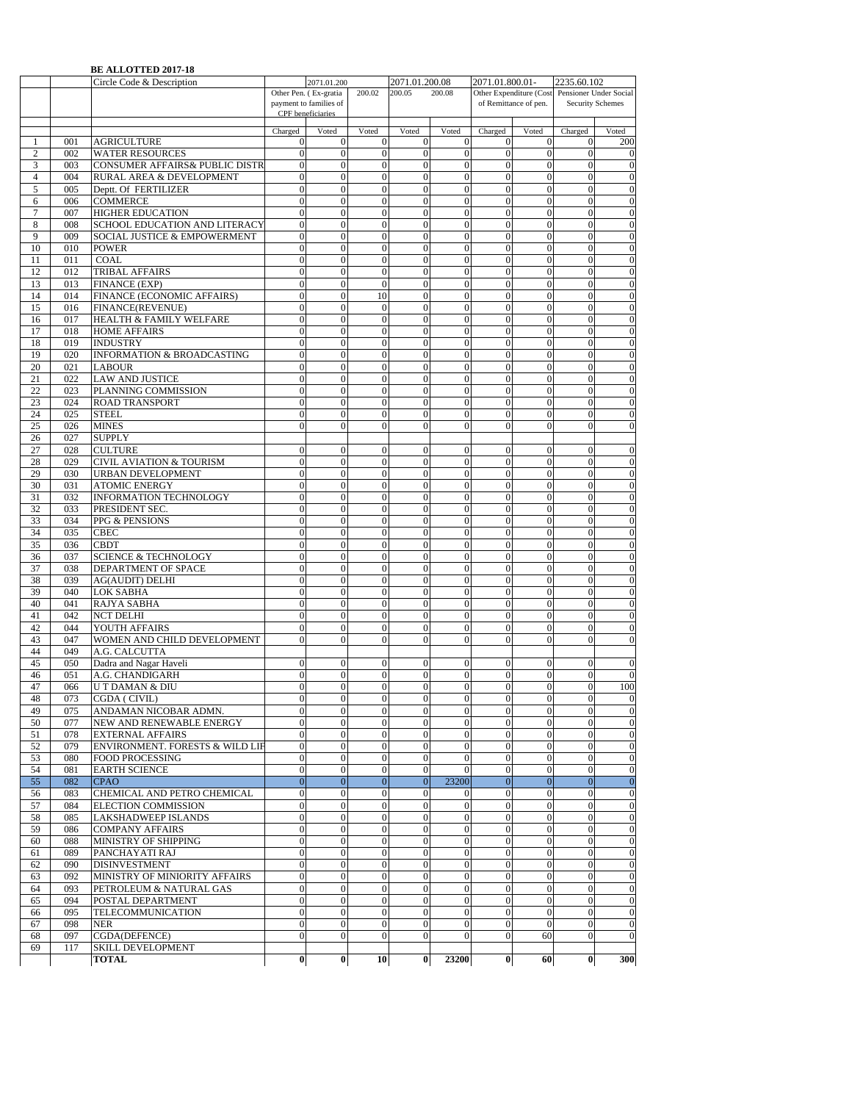|                |     | <b>BE ALLOTTED 2017-18</b>                |                   |                        |                  |                  |                  |                  |                       |                                                |                  |
|----------------|-----|-------------------------------------------|-------------------|------------------------|------------------|------------------|------------------|------------------|-----------------------|------------------------------------------------|------------------|
|                |     | Circle Code & Description                 |                   | 2071.01.200            |                  | 2071.01.200.08   |                  | 2071.01.800.01-  |                       | 2235.60.102                                    |                  |
|                |     |                                           |                   | Other Pen. (Ex-gratia  | 200.02           | 200.05           | 200.08           |                  |                       | Other Expenditure (Cost Pensioner Under Social |                  |
|                |     |                                           | CPF beneficiaries | payment to families of |                  |                  |                  |                  | of Remittance of pen. |                                                | Security Schemes |
|                |     |                                           |                   |                        |                  |                  |                  |                  |                       |                                                |                  |
|                |     |                                           | Charged           | Voted                  | Voted            | Voted            | Voted            | Charged          | Voted                 | Charged                                        | Voted            |
| 1              | 001 | <b>AGRICULTURE</b>                        | $\mathbf{0}$      | $\mathbf{0}$           | $\mathbf{0}$     | $\mathbf{0}$     | $\mathbf{0}$     | 0                | $\mathbf{0}$          | 0                                              | 200              |
| $\mathfrak{2}$ | 002 | <b>WATER RESOURCES</b>                    | $\mathbf{0}$      | $\overline{0}$         | $\mathbf{0}$     | $\overline{0}$   | $\mathbf{0}$     | $\mathbf{0}$     | $\mathbf{0}$          | $\theta$                                       | $\mathbf{0}$     |
| 3              | 003 | <b>CONSUMER AFFAIRS&amp; PUBLIC DISTR</b> | $\mathbf{0}$      | $\overline{0}$         | $\mathbf{0}$     | $\overline{0}$   | $\mathbf{0}$     | $\mathbf{0}$     | $\mathbf{0}$          | $\overline{0}$                                 | $\theta$         |
| $\overline{4}$ | 004 | RURAL AREA & DEVELOPMENT                  | $\boldsymbol{0}$  | $\mathbf{0}$           | $\boldsymbol{0}$ | $\boldsymbol{0}$ | $\boldsymbol{0}$ | $\mathbf{0}$     | $\mathbf{0}$          | $\mathbf{0}$                                   | $\boldsymbol{0}$ |
| 5              | 005 | Deptt. Of FERTILIZER                      | $\overline{0}$    | $\mathbf{0}$           | $\mathbf{0}$     | $\overline{0}$   | $\mathbf{0}$     | $\mathbf{0}$     | $\mathbf{0}$          | $\Omega$                                       | $\boldsymbol{0}$ |
| 6              | 006 | <b>COMMERCE</b>                           | $\mathbf{0}$      | $\mathbf{0}$           | $\mathbf{0}$     | $\mathbf{0}$     | $\mathbf{0}$     | $\mathbf{0}$     | $\mathbf{0}$          | $\mathbf{0}$                                   | $\mathbf{0}$     |
| $\tau$         | 007 | <b>HIGHER EDUCATION</b>                   | $\boldsymbol{0}$  | $\boldsymbol{0}$       | $\boldsymbol{0}$ | $\boldsymbol{0}$ | $\boldsymbol{0}$ | $\boldsymbol{0}$ | $\boldsymbol{0}$      | $\mathbf{0}$                                   | $\boldsymbol{0}$ |
| 8              | 008 | SCHOOL EDUCATION AND LITERACY             | $\boldsymbol{0}$  | $\mathbf{0}$           | $\mathbf{0}$     | $\mathbf{0}$     | $\mathbf{0}$     | $\mathbf{0}$     | $\mathbf{0}$          | $\mathbf{0}$                                   | $\boldsymbol{0}$ |
| 9              | 009 | SOCIAL JUSTICE & EMPOWERMENT              | $\mathbf{0}$      | $\overline{0}$         | $\boldsymbol{0}$ | $\overline{0}$   | $\mathbf{0}$     | $\overline{0}$   | $\mathbf{0}$          | $\theta$                                       | $\boldsymbol{0}$ |
| 10             | 010 | <b>POWER</b>                              | $\mathbf{0}$      | $\overline{0}$         | $\mathbf{0}$     | $\overline{0}$   | $\mathbf{0}$     | $\mathbf{0}$     | $\mathbf{0}$          | $\mathbf{0}$                                   | $\boldsymbol{0}$ |
| 11             | 011 | <b>COAL</b>                               | $\boldsymbol{0}$  | $\overline{0}$         | $\overline{0}$   | $\overline{0}$   | $\mathbf{0}$     | $\mathbf{0}$     | $\mathbf{0}$          | $\mathbf{0}$                                   | $\boldsymbol{0}$ |
| 12             | 012 | TRIBAL AFFAIRS                            | $\mathbf{0}$      | $\mathbf{0}$           | $\mathbf{0}$     | $\overline{0}$   | $\mathbf{0}$     | $\mathbf{0}$     | $\mathbf{0}$          | $\mathbf{0}$                                   | $\mathbf{0}$     |
| 13             | 013 | <b>FINANCE (EXP)</b>                      | $\boldsymbol{0}$  | $\mathbf{0}$           | $\mathbf{0}$     | $\mathbf{0}$     | $\mathbf{0}$     | $\mathbf{0}$     | $\mathbf{0}$          | $\mathbf{0}$                                   | $\boldsymbol{0}$ |
| 14             | 014 | FINANCE (ECONOMIC AFFAIRS)                | $\boldsymbol{0}$  | $\mathbf{0}$           | 10               | $\overline{0}$   | $\mathbf{0}$     | $\mathbf{0}$     | $\mathbf{0}$          | $\mathbf{0}$                                   | $\boldsymbol{0}$ |
| 15             | 016 | FINANCE(REVENUE)                          | $\mathbf{0}$      | $\overline{0}$         | $\boldsymbol{0}$ | $\overline{0}$   | $\mathbf{0}$     | $\mathbf{0}$     | $\mathbf{0}$          | $\theta$                                       | $\overline{0}$   |
| 16             | 017 | HEALTH & FAMILY WELFARE                   | $\mathbf{0}$      | $\overline{0}$         | $\mathbf{0}$     | $\overline{0}$   | $\mathbf{0}$     | $\mathbf{0}$     | $\mathbf{0}$          | $\theta$                                       | $\mathbf{0}$     |
| 17             | 018 | <b>HOME AFFAIRS</b>                       | $\mathbf{0}$      | $\overline{0}$         | $\mathbf{0}$     | $\overline{0}$   | $\mathbf{0}$     | $\mathbf{0}$     | $\mathbf{0}$          | $\theta$                                       | $\mathbf{0}$     |
| 18             | 019 | <b>INDUSTRY</b>                           | $\mathbf{0}$      | $\mathbf{0}$           | $\mathbf{0}$     | $\overline{0}$   | $\mathbf{0}$     | $\mathbf{0}$     | $\mathbf{0}$          | $\mathbf{0}$                                   | $\mathbf{0}$     |
| 19             | 020 | <b>INFORMATION &amp; BROADCASTING</b>     | $\mathbf{0}$      | $\mathbf{0}$           | $\mathbf{0}$     | $\overline{0}$   | $\mathbf{0}$     | $\mathbf{0}$     | $\boldsymbol{0}$      | $\mathbf{0}$                                   | $\boldsymbol{0}$ |
| 20             | 021 | <b>LABOUR</b>                             | $\boldsymbol{0}$  | $\mathbf{0}$           | $\mathbf{0}$     | $\overline{0}$   | $\mathbf{0}$     | $\mathbf{0}$     | $\mathbf{0}$          | $\mathbf{0}$                                   | $\boldsymbol{0}$ |
| 21             | 022 | <b>LAW AND JUSTICE</b>                    | $\mathbf{0}$      | $\overline{0}$         | $\boldsymbol{0}$ | $\overline{0}$   | $\mathbf{0}$     | $\overline{0}$   | $\mathbf{0}$          | $\overline{0}$                                 | $\mathbf{0}$     |
| 22             | 023 | PLANNING COMMISSION                       | $\mathbf{0}$      | $\mathbf{0}$           | $\mathbf{0}$     | $\overline{0}$   | $\mathbf{0}$     | $\mathbf{0}$     | $\mathbf{0}$          | $\theta$                                       | $\boldsymbol{0}$ |
| 23             | 024 | <b>ROAD TRANSPORT</b>                     | $\boldsymbol{0}$  | $\mathbf{0}$           | $\boldsymbol{0}$ | $\boldsymbol{0}$ | $\boldsymbol{0}$ | $\mathbf{0}$     | $\mathbf{0}$          | $\theta$                                       | $\boldsymbol{0}$ |
| 24             | 025 | <b>STEEL</b>                              | $\overline{0}$    | $\overline{0}$         | $\theta$         | $\theta$         | $\Omega$         | $\Omega$         | $\mathbf{0}$          | $\Omega$                                       | $\boldsymbol{0}$ |
| 25             | 026 | <b>MINES</b>                              | $\mathbf{0}$      | $\mathbf{0}$           | $\mathbf{0}$     | $\mathbf{0}$     | $\mathbf{0}$     | $\mathbf{0}$     | $\boldsymbol{0}$      | $\mathbf{0}$                                   | $\boldsymbol{0}$ |
| 26             | 027 | <b>SUPPLY</b>                             |                   |                        |                  |                  |                  |                  |                       |                                                |                  |
| 27             | 028 | <b>CULTURE</b>                            | $\mathbf{0}$      | $\mathbf{0}$           | $\mathbf{0}$     | $\mathbf{0}$     | $\mathbf{0}$     | $\mathbf{0}$     | $\mathbf{0}$          | $\mathbf{0}$                                   | $\overline{0}$   |
| 28             | 029 | <b>CIVIL AVIATION &amp; TOURISM</b>       | $\mathbf{0}$      | $\mathbf{0}$           | $\boldsymbol{0}$ | $\overline{0}$   | $\overline{0}$   | $\mathbf{0}$     | $\mathbf{0}$          | $\mathbf{0}$                                   | $\boldsymbol{0}$ |
| 29             | 030 | <b>URBAN DEVELOPMENT</b>                  | $\mathbf{0}$      | $\mathbf{0}$           | $\mathbf{0}$     | $\mathbf{0}$     | $\mathbf{0}$     | $\mathbf{0}$     | $\mathbf{0}$          | $\Omega$                                       | $\boldsymbol{0}$ |
| 30             | 031 | <b>ATOMIC ENERGY</b>                      | $\boldsymbol{0}$  | $\mathbf{0}$           | $\mathbf{0}$     | $\overline{0}$   | $\mathbf{0}$     | $\mathbf{0}$     | $\mathbf{0}$          | $\mathbf{0}$                                   | $\boldsymbol{0}$ |
| 31             | 032 | INFORMATION TECHNOLOGY                    | $\mathbf{0}$      | $\mathbf{0}$           | $\mathbf{0}$     | $\mathbf{0}$     | $\mathbf{0}$     | $\mathbf{0}$     | $\mathbf{0}$          | $\mathbf{0}$                                   | $\boldsymbol{0}$ |
| 32             | 033 | PRESIDENT SEC.                            | $\boldsymbol{0}$  | $\boldsymbol{0}$       | $\boldsymbol{0}$ | $\boldsymbol{0}$ | $\mathbf{0}$     | $\boldsymbol{0}$ | $\boldsymbol{0}$      | $\mathbf{0}$                                   | $\boldsymbol{0}$ |
| 33             | 034 | PPG & PENSIONS                            | $\boldsymbol{0}$  | $\overline{0}$         | $\boldsymbol{0}$ | $\overline{0}$   | $\boldsymbol{0}$ | $\mathbf{0}$     | $\boldsymbol{0}$      | $\overline{0}$                                 | $\boldsymbol{0}$ |
| 34             | 035 | <b>CBEC</b>                               | $\mathbf{0}$      | $\overline{0}$         | $\boldsymbol{0}$ | $\overline{0}$   | $\mathbf{0}$     | $\mathbf{0}$     | $\mathbf{0}$          | $\overline{0}$                                 | $\overline{0}$   |
| 35             | 036 | <b>CBDT</b>                               | $\mathbf{0}$      | $\mathbf{0}$           | $\mathbf{0}$     | $\overline{0}$   | $\mathbf{0}$     | $\mathbf{0}$     | $\mathbf{0}$          | $\mathbf{0}$                                   | $\mathbf{0}$     |
| 36             | 037 | <b>SCIENCE &amp; TECHNOLOGY</b>           | $\mathbf{0}$      | $\overline{0}$         | $\mathbf{0}$     | $\Omega$         | $\mathbf{0}$     | $\Omega$         | $\mathbf{0}$          | $\Omega$                                       | $\mathbf{0}$     |
| 37             | 038 | DEPARTMENT OF SPACE                       | $\mathbf{0}$      | $\mathbf{0}$           | $\mathbf{0}$     | $\overline{0}$   | $\mathbf{0}$     | $\mathbf{0}$     | $\mathbf{0}$          | $\mathbf{0}$                                   | $\mathbf{0}$     |
| 38             | 039 | <b>AG(AUDIT) DELHI</b>                    | $\mathbf{0}$      | $\mathbf{0}$           | $\mathbf{0}$     | $\overline{0}$   | $\mathbf{0}$     | $\mathbf{0}$     | $\boldsymbol{0}$      | $\mathbf{0}$                                   | $\boldsymbol{0}$ |
| 39             | 040 | <b>LOK SABHA</b>                          | $\mathbf{0}$      | $\Omega$               | $\mathbf{0}$     | $\mathbf{0}$     | $\mathbf{0}$     | $\Omega$         | $\mathbf{0}$          | $\Omega$                                       | $\mathbf{0}$     |
| 40             | 041 | RAJYA SABHA                               | $\mathbf{0}$      | $\overline{0}$         | $\boldsymbol{0}$ | $\overline{0}$   | $\overline{0}$   | $\overline{0}$   | $\mathbf{0}$          | $\overline{0}$                                 | $\overline{0}$   |
| 41             | 042 | <b>NCT DELHI</b>                          | $\mathbf{0}$      | $\mathbf{0}$           | $\mathbf{0}$     | $\overline{0}$   | $\mathbf{0}$     | $\mathbf{0}$     | $\mathbf{0}$          | $\mathbf{0}$                                   | $\boldsymbol{0}$ |
| 42             | 044 | YOUTH AFFAIRS                             | $\boldsymbol{0}$  | $\boldsymbol{0}$       | $\boldsymbol{0}$ | $\boldsymbol{0}$ | $\boldsymbol{0}$ | $\boldsymbol{0}$ | $\boldsymbol{0}$      | $\mathbf{0}$                                   | $\mathbf{0}$     |
| 43             | 047 | WOMEN AND CHILD DEVELOPMENT               | $\theta$          | $\theta$               | $\mathbf{0}$     | $\theta$         | $\mathbf{0}$     | $\Omega$         | $\mathbf{0}$          | $\theta$                                       | $\boldsymbol{0}$ |
| 44             | 049 | A.G. CALCUTTA                             |                   |                        |                  |                  |                  |                  |                       |                                                |                  |
| 45             | 050 | Dadra and Nagar Haveli                    | $\boldsymbol{0}$  | $\mathbf{0}$           | $\mathbf{0}$     | $\mathbf{0}$     | 0                | $\mathbf{0}$     | $\mathbf{0}$          | $\mathbf{0}$                                   | $\mathbf{0}$     |
| 46             | 051 | A.G. CHANDIGARH                           | $\overline{0}$    | $\overline{0}$         | $\overline{0}$   | $\overline{0}$   | $\mathbf{0}$     | $\mathbf{0}$     | $\overline{0}$        | $\Omega$                                       | $\overline{0}$   |
| 47             | 066 | <b>UT DAMAN &amp; DIU</b>                 | $\mathbf{0}$      | $\mathbf{0}$           | $\mathbf{0}$     | $\mathbf{0}$     | $\overline{0}$   | $\overline{0}$   | $\overline{0}$        | $\overline{0}$                                 | 100              |
| 48             | 073 | CGDA (CIVIL)                              | $\boldsymbol{0}$  | $\boldsymbol{0}$       | $\boldsymbol{0}$ | $\boldsymbol{0}$ | $\mathbf{0}$     | $\mathbf{0}$     | $\mathbf{0}$          | $\mathbf{0}$                                   | $\boldsymbol{0}$ |
| 49             | 075 | ANDAMAN NICOBAR ADMN.                     | $\boldsymbol{0}$  | $\boldsymbol{0}$       | $\mathbf{0}$     | $\overline{0}$   | $\mathbf{0}$     | $\mathbf{0}$     | $\mathbf{0}$          | $\mathbf{0}$                                   | $\mathbf{0}$     |
| 50             | 077 | NEW AND RENEWABLE ENERGY                  | $\mathbf{0}$      | $\mathbf{0}$           | $\mathbf{0}$     | $\boldsymbol{0}$ | $\mathbf{0}$     | $\mathbf{0}$     | $\mathbf{0}$          | $\mathbf{0}$                                   | $\bf{0}$         |
| 51             | 078 | <b>EXTERNAL AFFAIRS</b>                   | $\mathbf{0}$      | $\boldsymbol{0}$       | $\boldsymbol{0}$ | $\boldsymbol{0}$ | $\mathbf{0}$     | $\boldsymbol{0}$ | $\mathbf{0}$          | $\mathbf{0}$                                   | $\mathbf{0}$     |
| 52             | 079 | ENVIRONMENT. FORESTS & WILD LIF           | $\boldsymbol{0}$  | $\mathbf{0}$           | $\boldsymbol{0}$ | $\overline{0}$   | $\boldsymbol{0}$ | $\overline{0}$   | $\boldsymbol{0}$      | $\mathbf{0}$                                   | $\overline{0}$   |
| 53             | 080 | <b>FOOD PROCESSING</b>                    | $\boldsymbol{0}$  | $\boldsymbol{0}$       | $\boldsymbol{0}$ | $\boldsymbol{0}$ | $\mathbf{0}$     | $\boldsymbol{0}$ | $\mathbf{0}$          | $\mathbf{0}$                                   | $\mathbf{0}$     |
| 54             | 081 | <b>EARTH SCIENCE</b>                      | $\overline{0}$    | $\boldsymbol{0}$       | $\mathbf{0}$     | $\boldsymbol{0}$ | $\boldsymbol{0}$ | $\boldsymbol{0}$ | $\mathbf{0}$          | $\boldsymbol{0}$                               | $\boldsymbol{0}$ |
| 55             | 082 | <b>CPAO</b>                               | $\boldsymbol{0}$  | $\boldsymbol{0}$       | $\mathbf{0}$     | $\overline{0}$   | 23200            | $\mathbf{0}$     | $\mathbf{0}$          | $\mathbf{0}$                                   | $\mathbf{0}$     |
| 56             | 083 | CHEMICAL AND PETRO CHEMICAL               | $\mathbf{0}$      | $\boldsymbol{0}$       | $\mathbf{0}$     | $\mathbf{0}$     | $\mathbf{0}$     | $\mathbf{0}$     | $\mathbf{0}$          | $\mathbf{0}$                                   | $\mathbf{0}$     |
| 57             | 084 | ELECTION COMMISSION                       | $\boldsymbol{0}$  | $\boldsymbol{0}$       | $\boldsymbol{0}$ | $\boldsymbol{0}$ | $\boldsymbol{0}$ | $\boldsymbol{0}$ | $\boldsymbol{0}$      | $\boldsymbol{0}$                               | $\bf{0}$         |
| 58             | 085 | LAKSHADWEEP ISLANDS                       | $\boldsymbol{0}$  | $\boldsymbol{0}$       | $\boldsymbol{0}$ | $\boldsymbol{0}$ | $\mathbf{0}$     | $\boldsymbol{0}$ | $\boldsymbol{0}$      | $\mathbf{0}$                                   | $\theta$         |
| 59             | 086 | <b>COMPANY AFFAIRS</b>                    | $\boldsymbol{0}$  | $\boldsymbol{0}$       | $\boldsymbol{0}$ | $\boldsymbol{0}$ | $\boldsymbol{0}$ | $\overline{0}$   | $\boldsymbol{0}$      | $\mathbf{0}$                                   | $\overline{0}$   |
| 60             | 088 | MINISTRY OF SHIPPING                      | $\boldsymbol{0}$  | $\mathbf{0}$           | $\boldsymbol{0}$ | $\overline{0}$   | $\mathbf{0}$     | $\mathbf{0}$     | $\mathbf{0}$          | $\mathbf{0}$                                   | $\boldsymbol{0}$ |
| 61             | 089 | PANCHAYATI RAJ                            | $\boldsymbol{0}$  | $\boldsymbol{0}$       | $\boldsymbol{0}$ | $\boldsymbol{0}$ | $\mathbf{0}$     | $\boldsymbol{0}$ | $\boldsymbol{0}$      | $\boldsymbol{0}$                               | $\boldsymbol{0}$ |
| 62             | 090 | <b>DISINVESTMENT</b>                      | $\mathbf{0}$      | $\mathbf{0}$           | $\mathbf{0}$     | $\mathbf{0}$     | $\mathbf{0}$     | $\mathbf{0}$     | $\mathbf{0}$          | $\mathbf{0}$                                   | $\mathbf{0}$     |
| 63             | 092 | MINISTRY OF MINIORITY AFFAIRS             | $\boldsymbol{0}$  | $\boldsymbol{0}$       | $\mathbf{0}$     | $\boldsymbol{0}$ | $\boldsymbol{0}$ | $\mathbf{0}$     | $\mathbf{0}$          | $\mathbf{0}$                                   | $\boldsymbol{0}$ |
| 64             | 093 | PETROLEUM & NATURAL GAS                   | $\mathbf{0}$      | $\boldsymbol{0}$       | $\boldsymbol{0}$ | $\boldsymbol{0}$ | $\mathbf{0}$     | $\mathbf{0}$     | $\mathbf{0}$          | $\boldsymbol{0}$                               | $\mathbf{0}$     |
| 65             | 094 | POSTAL DEPARTMENT                         | $\boldsymbol{0}$  | $\boldsymbol{0}$       | $\boldsymbol{0}$ | $\boldsymbol{0}$ | $\mathbf{0}$     | $\mathbf{0}$     | $\boldsymbol{0}$      | $\mathbf{0}$                                   | $\overline{0}$   |
| 66             | 095 | TELECOMMUNICATION                         | $\boldsymbol{0}$  | $\boldsymbol{0}$       | $\boldsymbol{0}$ | $\mathbf{0}$     | $\boldsymbol{0}$ | $\boldsymbol{0}$ | $\boldsymbol{0}$      | $\boldsymbol{0}$                               | $\boldsymbol{0}$ |
| 67             | 098 | <b>NER</b>                                | $\mathbf{0}$      | $\mathbf{0}$           | $\mathbf{0}$     | $\mathbf{0}$     | $\mathbf{0}$     | $\mathbf{0}$     | $\mathbf{0}$          | $\mathbf{0}$                                   | $\boldsymbol{0}$ |
| 68             | 097 | CGDA(DEFENCE)                             | $\mathbf{0}$      | $\mathbf{0}$           | $\mathbf{0}$     | $\mathbf{0}$     | $\mathbf{0}$     | $\mathbf{0}$     | 60                    | $\mathbf{0}$                                   | $\mathbf{0}$     |
| 69             | 117 | <b>SKILL DEVELOPMENT</b>                  |                   |                        |                  |                  |                  |                  |                       |                                                |                  |
|                |     | <b>TOTAL</b>                              | $\boldsymbol{0}$  | $\boldsymbol{0}$       | 10               | $\bf{0}$         | 23200            | $\bf{0}$         | 60                    | $\boldsymbol{0}$                               | 300              |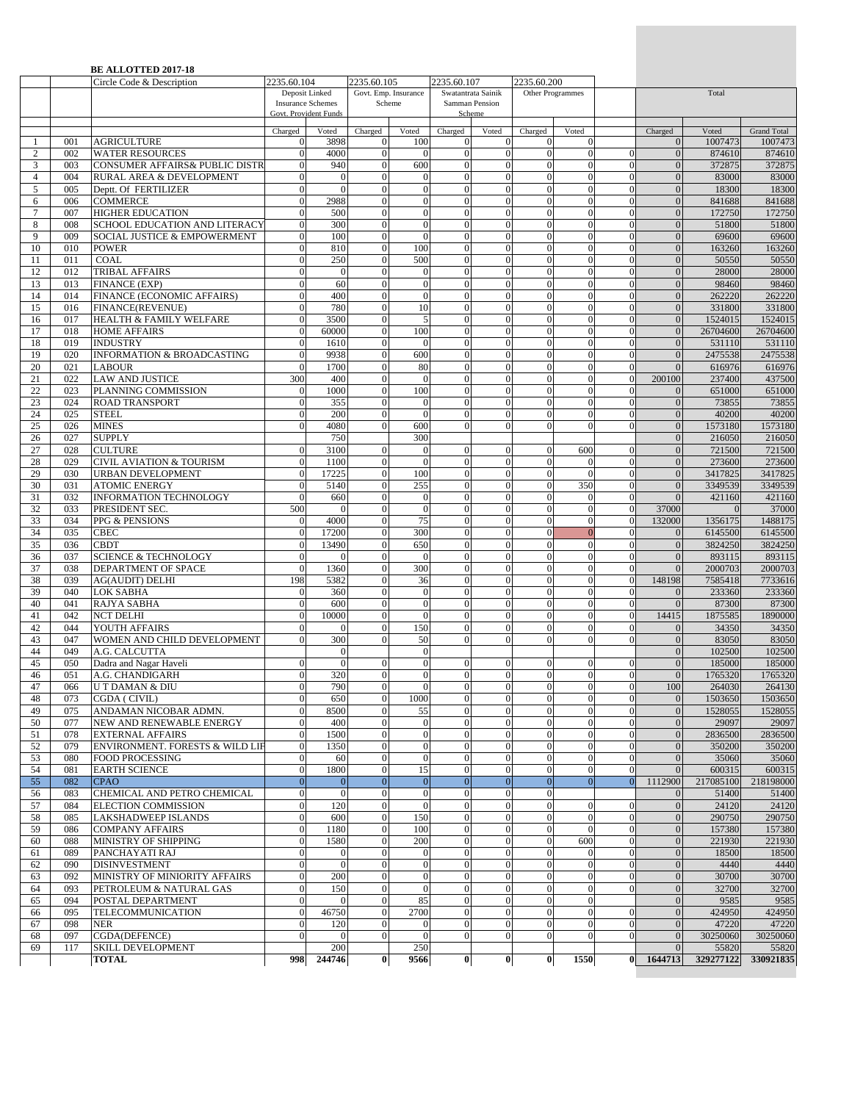|                |            | <b>BE ALLOTTED 2017-18</b><br>Circle Code & Description  | 2235.60.104                    |                                            | 2235.60.105                    |                                  | 2235.60.107                          |                                      | 2235.60.200                          |                                    |                            |                                |                   |                               |
|----------------|------------|----------------------------------------------------------|--------------------------------|--------------------------------------------|--------------------------------|----------------------------------|--------------------------------------|--------------------------------------|--------------------------------------|------------------------------------|----------------------------|--------------------------------|-------------------|-------------------------------|
|                |            |                                                          |                                | Deposit Linked<br><b>Insurance Schemes</b> |                                | Govt. Emp. Insurance<br>Scheme   |                                      | Swatantrata Sainik<br>Samman Pension |                                      | Other Programmes                   |                            |                                | Total             |                               |
|                |            |                                                          |                                | Govt. Provident Funds                      |                                |                                  |                                      | Scheme                               |                                      |                                    |                            |                                |                   |                               |
|                | 001        | <b>AGRICULTURE</b>                                       | Charged<br>$\overline{0}$      | Voted<br>3898                              | Charged<br>$\theta$            | Voted<br>100                     | Charged<br>0                         | Voted<br>$\mathbf{0}$                | Charged<br>$\mathbf{0}$              | Voted<br>$\overline{0}$            |                            | Charged<br>$\theta$            | Voted<br>1007473  | <b>Grand Total</b><br>1007473 |
| $\mathfrak{2}$ | 002        | <b>WATER RESOURCES</b>                                   | $\mathbf{0}$                   | 4000                                       | $\overline{0}$                 | $\theta$                         | $\mathbf{0}$                         | $\mathbf{0}$                         | $\overline{0}$                       | $\Omega$                           |                            | $\mathbf{0}$                   | 874610            | 874610                        |
| 3              | 003        | CONSUMER AFFAIRS& PUBLIC DISTR                           | $\Omega$                       | 940                                        | $\overline{0}$                 | 600                              | $\overline{0}$                       | $\theta$                             | $\Omega$                             | $\Omega$                           |                            | $\Omega$                       | 372875            | 372875                        |
| $\overline{4}$ | 004        | RURAL AREA & DEVELOPMENT                                 | $\Omega$                       | $\mathbf{0}$                               | $\theta$                       | $\theta$                         | $\overline{0}$                       | $\overline{0}$                       | $\overline{0}$                       | $\overline{0}$                     | $\alpha$                   | $\Omega$                       | 83000             | 83000                         |
| 5              | 005<br>006 | Deptt. Of FERTILIZER<br><b>COMMERCE</b>                  | $\mathbf{0}$<br>$\theta$       | $\Omega$<br>2988                           | $\mathbf{0}$<br>$\mathbf{0}$   | $\overline{0}$<br>$\mathbf{0}$   | $\mathbf{0}$<br>$\boldsymbol{0}$     | $\overline{0}$<br>$\overline{0}$     | $\Omega$<br>$\overline{0}$           | $\Omega$<br>$\Omega$               | $\Omega$<br>$\Omega$       | $\Omega$                       | 18300<br>841688   | 18300                         |
| 6<br>$\tau$    | 007        | <b>HIGHER EDUCATION</b>                                  | $\mathbf{0}$                   | 500                                        | $\theta$                       | $\overline{0}$                   | $\boldsymbol{0}$                     | $\overline{0}$                       | $\overline{0}$                       | $\theta$                           | $\Omega$                   | $\mathbf{0}$<br>$\mathbf{0}$   | 172750            | 841688<br>172750              |
| 8              | 008        | SCHOOL EDUCATION AND LITERACY                            | $\mathbf{0}$                   | 300                                        | $\theta$                       | $\overline{0}$                   | $\mathbf{0}$                         | $\overline{0}$                       | $\overline{0}$                       | $\Omega$                           | $\Omega$                   | $\mathbf{0}$                   | 51800             | 51800                         |
| $\mathbf{Q}$   | 009        | <b>SOCIAL JUSTICE &amp; EMPOWERMENT</b>                  | $\overline{0}$                 | 100                                        | $\overline{0}$                 | $\overline{0}$                   | $\overline{0}$                       | $\overline{0}$                       | $\Omega$                             | $\Omega$                           |                            | $\Omega$                       | 69600             | 69600                         |
| 10             | 010        | <b>POWER</b>                                             | $\mathbf{0}$                   | 810                                        | $\mathbf{0}$                   | 100                              | $\overline{0}$                       | $\overline{0}$                       | $\overline{0}$                       | $\Omega$                           | $\Omega$                   | $\Omega$                       | 163260            | 163260                        |
| 11<br>12       | 011<br>012 | COAL                                                     | $\mathbf{0}$<br>$\Omega$       | 250<br>$\overline{0}$                      | $\mathbf{0}$<br>$\mathbf{0}$   | 500<br>$\boldsymbol{0}$          | $\boldsymbol{0}$<br>$\overline{0}$   | $\overline{0}$<br>$\overline{0}$     | $\overline{0}$<br>$\overline{0}$     | $\Omega$<br>$\Omega$               | $\Omega$<br>$\Omega$       | $\overline{0}$<br>$\Omega$     | 50550<br>28000    | 50550<br>28000                |
| 13             | 013        | <b>TRIBAL AFFAIRS</b><br><b>FINANCE (EXP)</b>            | $\theta$                       | 60                                         | $\theta$                       | $\boldsymbol{0}$                 | $\mathbf{0}$                         | $\overline{0}$                       | $\overline{0}$                       | $\theta$                           | $\Omega$                   | $\theta$                       | 98460             | 98460                         |
| 14             | 014        | FINANCE (ECONOMIC AFFAIRS)                               | $\overline{0}$                 | 400                                        | $\mathbf{0}$                   | $\boldsymbol{0}$                 | $\boldsymbol{0}$                     | $\overline{0}$                       | $\overline{0}$                       | $\theta$                           | $\Omega$                   | $\mathbf{0}$                   | 262220            | 262220                        |
| 15             | 016        | FINANCE(REVENUE)                                         | $\Omega$                       | 780                                        | $\Omega$                       | 10                               | $\overline{0}$                       | $\Omega$                             | $\Omega$                             | $\Omega$                           |                            | $\Omega$                       | 331800            | 331800                        |
| 16             | 017        | HEALTH & FAMILY WELFARE                                  | $\Omega$                       | 3500                                       | $\mathbf{0}$                   | 5                                | $\overline{0}$                       | $\overline{0}$                       | $\overline{0}$                       | $\overline{0}$                     | $\Omega$                   | $\overline{0}$                 | 1524015           | 1524015                       |
| 17             | 018        | <b>HOME AFFAIRS</b>                                      | $\theta$<br>$\theta$           | 60000                                      | $\mathbf{0}$<br>$\theta$       | 100<br>$\theta$                  | $\mathbf{0}$<br>$\overline{0}$       | $\overline{0}$<br>$\mathbf{0}$       | $\mathbf{0}$                         | $\Omega$<br>$\Omega$               | $\Omega$<br>$\Omega$       | $\mathbf{0}$                   | 26704600          | 26704600                      |
| 18<br>19       | 019<br>020 | <b>INDUSTRY</b><br><b>INFORMATION &amp; BROADCASTING</b> | $\theta$                       | 1610<br>9938                               | $\theta$                       | 600                              | $\mathbf{0}$                         | $\overline{0}$                       | $\mathbf{0}$<br>$\mathbf{0}$         | $\theta$                           | $\Omega$                   | $\theta$<br>$\mathbf{0}$       | 531110<br>2475538 | 531110<br>2475538             |
| 20             | 021        | <b>LABOUR</b>                                            | $\theta$                       | 1700                                       | $\mathbf{0}$                   | 80                               | $\boldsymbol{0}$                     | $\overline{0}$                       | $\overline{0}$                       | $\theta$                           | $\Omega$                   | $\overline{0}$                 | 616976            | 616976                        |
| 21             | 022        | <b>LAW AND JUSTICE</b>                                   | 300                            | 400                                        | $\mathbf{0}$                   | $\mathbf{0}$                     | $\overline{0}$                       | $\overline{0}$                       | $\overline{0}$                       | $\Omega$                           | $\Omega$                   | 200100                         | 237400            | 437500                        |
| 22             | 023        | PLANNING COMMISSION                                      | $\mathbf{0}$                   | 1000                                       | $\theta$                       | 100                              | $\overline{0}$                       | $\mathbf{0}$                         | $\Omega$                             | $\Omega$                           |                            |                                | 651000            | 651000                        |
| 23             | 024<br>025 | <b>ROAD TRANSPORT</b>                                    | $\mathbf{0}$<br>$\Omega$       | 355<br>200                                 | $\mathbf{0}$<br>$\overline{0}$ | $\overline{0}$<br>$\overline{0}$ | $\boldsymbol{0}$<br>$\mathbf{0}$     | $\overline{0}$<br>$\mathbf{0}$       | $\overline{0}$<br>$\Omega$           | $\overline{0}$<br>$\Omega$         | $\Omega$<br>$\Omega$       | $\overline{0}$<br>$\Omega$     | 73855<br>40200    | 73855<br>40200                |
| 24<br>25       | 026        | <b>STEEL</b><br><b>MINES</b>                             | $\Omega$                       | 4080                                       | $\theta$                       | 600                              | $\mathbf{0}$                         | $\Omega$                             | $\Omega$                             | $\Omega$                           | $\Omega$                   | $\mathbf{0}$                   | 1573180           | 1573180                       |
| 26             | 027        | <b>SUPPLY</b>                                            |                                | 750                                        |                                | 300                              |                                      |                                      |                                      |                                    |                            | $\overline{0}$                 | 216050            | 216050                        |
| 27             | 028        | <b>CULTURE</b>                                           | $\Omega$                       | 3100                                       | $\overline{0}$                 | $\theta$                         | $\mathbf{0}$                         | $\mathbf{0}$                         | $\Omega$                             | 600                                |                            | $\Omega$                       | 721500            | 721500                        |
| 28             | 029        | CIVIL AVIATION & TOURISM                                 | $\theta$                       | 1100                                       | $\overline{0}$                 | $\overline{0}$                   | $\mathbf{0}$                         | $\overline{0}$                       | $\theta$                             | $\Omega$                           |                            | $\Omega$                       | 273600            | 273600                        |
| 29             | 030        | <b>URBAN DEVELOPMENT</b>                                 | $\mathbf{0}$                   | 17225                                      | $\theta$                       | 100                              | $\overline{0}$                       | $\mathbf{0}$                         | $\overline{0}$                       | $\Omega$                           | $\Omega$                   | $\Omega$                       | 3417825           | 3417825                       |
| 30<br>31       | 031<br>032 | <b>ATOMIC ENERGY</b><br>INFORMATION TECHNOLOGY           | $\theta$<br>$\Omega$           | 5140<br>660                                | $\mathbf{0}$<br>$\mathbf{0}$   | 255<br>$\mathbf{0}$              | $\boldsymbol{0}$<br>$\mathbf{0}$     | $\boldsymbol{0}$<br>$\overline{0}$   | $\overline{0}$<br>$\overline{0}$     | 350<br>$\Omega$                    | $\Omega$                   | $\overline{0}$<br>$\Omega$     | 3349539<br>421160 | 3349539<br>421160             |
| 32             | 033        | PRESIDENT SEC.                                           | 500                            | $\theta$                                   | $\mathbf{0}$                   | $\boldsymbol{0}$                 | $\boldsymbol{0}$                     | $\mathbf{0}$                         | $\mathbf{0}$                         | $\overline{0}$                     | $\theta$                   | 37000                          | $\theta$          | 37000                         |
| 33             | 034        | PPG & PENSIONS                                           | $\mathbf{0}$                   | 4000                                       | $\theta$                       | 75                               | $\boldsymbol{0}$                     | $\overline{0}$                       | $\overline{0}$                       | $\overline{0}$                     | $\Omega$                   | 132000                         | 1356175           | 1488175                       |
| 34             | 035        | CBEC                                                     | $\Omega$                       | 17200                                      | $\overline{0}$                 | 300                              | $\overline{0}$                       | $\Omega$                             | $\Omega$                             | $\Omega$                           |                            | $\Omega$                       | 6145500           | 6145500                       |
| 35<br>36       | 036<br>037 | <b>CBDT</b><br><b>SCIENCE &amp; TECHNOLOGY</b>           | $\mathbf{0}$<br>$\theta$       | 13490<br>$\Omega$                          | $\mathbf{0}$<br>$\overline{0}$ | 650<br>$\theta$                  | $\overline{0}$<br>$\mathbf{0}$       | $\overline{0}$<br>$\overline{0}$     | $\overline{0}$<br>$\Omega$           | $\Omega$<br>$\Omega$               | $\Omega$<br>$\Omega$       | $\overline{0}$<br>$\Omega$     | 3824250<br>893115 | 3824250<br>893115             |
| 37             | 038        | DEPARTMENT OF SPACE                                      | $\mathbf{0}$                   | 1360                                       | $\mathbf{0}$                   | 300                              | $\boldsymbol{0}$                     | $\overline{0}$                       | $\overline{0}$                       | $\Omega$                           | $\Omega$                   | $\mathbf{0}$                   | 2000703           | 2000703                       |
| 38             | 039        | <b>AG(AUDIT) DELHI</b>                                   | 198                            | 5382                                       | $\mathbf{0}$                   | 36                               | $\mathbf{0}$                         | $\overline{0}$                       | $\mathbf{0}$                         | $\overline{0}$                     | $\Omega$                   | 148198                         | 7585418           | 7733616                       |
| 39             | 040        | LOK SABHA                                                | $\overline{0}$                 | 360                                        | $\mathbf{0}$                   | $\boldsymbol{0}$                 | $\boldsymbol{0}$                     | $\overline{0}$                       | $\boldsymbol{0}$                     | $\overline{0}$                     | $\Omega$                   | $\theta$                       | 233360            | 233360                        |
| 40             | 041        | RAJYA SABHA                                              | $\Omega$                       | 600                                        | $\Omega$                       | $\overline{0}$                   | $\overline{0}$                       | $\overline{0}$                       | $\Omega$                             | $\Omega$                           | $\Omega$                   | $\Omega$                       | 87300             | 87300                         |
| 41<br>42       | 042<br>044 | <b>NCT DELHI</b><br>YOUTH AFFAIRS                        | $\mathbf{0}$<br>$\mathbf{0}$   | 10000<br>$\overline{0}$                    | $\mathbf{0}$<br>$\mathbf{0}$   | $\theta$<br>150                  | $\overline{0}$<br>$\boldsymbol{0}$   | $\mathbf{0}$<br>$\overline{0}$       | $\Omega$<br>$\overline{0}$           | $\Omega$<br>$\overline{0}$         | $\Omega$<br>$\Omega$       | 14415<br>$\overline{0}$        | 1875585<br>34350  | 1890000<br>34350              |
| 43             | 047        | WOMEN AND CHILD DEVELOPMENT                              | $\Omega$                       | 300                                        | $\Omega$                       | 50                               | $\mathbf{0}$                         | $\Omega$                             | $\Omega$                             | $\Omega$                           | $\Omega$                   | $\Omega$                       | 83050             | 83050                         |
| 44             | 049        | A.G. CALCUTTA                                            |                                | $\bf{0}$                                   |                                | $\mathbf{0}$                     |                                      |                                      |                                      |                                    |                            | $\mathbf{0}$                   | 102500            | 102500                        |
| 45             | 050        | Dadra and Nagar Haveli                                   | $\mathbf{0}$                   | $\theta$                                   | $\mathbf{0}$                   | $\mathbf{0}$                     | $\boldsymbol{0}$                     | $\overline{0}$                       | $\overline{0}$                       | $\overline{0}$                     | $\Omega$                   | $\overline{0}$                 | 185000            | 185000                        |
| 46             | 051        | A.G. CHANDIGARH                                          | $\Omega$                       | 320                                        | $\mathbf{0}$                   | $\mathbf{0}$                     | $\mathbf{0}$                         | $\overline{0}$                       | $\mathbf{0}$                         | $\overline{0}$                     | $\Omega$                   | $\mathbf{0}$                   | 1765320           | 1765320                       |
| 47<br>48       | 066<br>073 | U T DAMAN & DIU<br>CGDA (CIVIL)                          | $\overline{0}$<br>$\mathbf{0}$ | 790<br>650                                 | $\mathbf{0}$<br>$\mathbf{0}$   | $\vert 0 \vert$<br>1000          | $\overline{0}$<br>$\boldsymbol{0}$   | $\overline{0}$<br>$\mathbf{0}$       | $\vert 0 \vert$<br>$\mathbf{0}$      | $\vert 0 \vert$<br>$\theta$        | $\overline{0}$<br>$\Omega$ | 100<br>$\overline{0}$          | 264030<br>1503650 | 264130<br>1503650             |
| 49             | 075        | ANDAMAN NICOBAR ADMN.                                    | $\mathbf{0}$                   | 8500                                       | $\mathbf{0}$                   | 55                               | $\boldsymbol{0}$                     | $\boldsymbol{0}$                     | $\mathbf{0}$                         | $\mathbf{0}$                       | $\theta$                   | $\mathbf{0}$                   | 1528055           | 1528055                       |
| 50             | 077        | NEW AND RENEWABLE ENERGY                                 | $\mathbf{0}$                   | 400                                        | $\mathbf{0}$                   | $\mathbf{0}$                     | $\overline{0}$                       | $\overline{0}$                       | $\overline{0}$                       | $\overline{0}$                     | $\overline{0}$             | $\vert$ 0                      | 29097             | 29097                         |
| 51             | 078        | <b>EXTERNAL AFFAIRS</b>                                  | $\mathbf{0}$                   | 1500                                       | $\mathbf{0}$                   | $\overline{0}$                   | $\overline{0}$                       | $\overline{0}$                       | $\overline{0}$                       | $\overline{0}$                     | $\overline{0}$             | $\overline{0}$                 | 2836500           | 2836500                       |
| 52             | 079        | ENVIRONMENT. FORESTS & WILD LIF                          | $\mathbf{0}$                   | 1350                                       | $\mathbf{0}$                   | $\boldsymbol{0}$                 | $\boldsymbol{0}$                     | $\boldsymbol{0}$                     | $\overline{0}$                       | $\mathbf{0}$                       | $\Omega$                   | $\mathbf{0}$                   | 350200            | 350200                        |
| 53<br>54       | 080<br>081 | FOOD PROCESSING<br><b>EARTH SCIENCE</b>                  | $\Omega$<br>$\overline{0}$     | 60<br>1800                                 | $\mathbf{0}$<br>$\mathbf{0}$   | $\mathbf{0}$<br>15               | $\mathbf{0}$<br>$\overline{0}$       | $\overline{0}$<br>$\boldsymbol{0}$   | $\overline{0}$<br>$\overline{0}$     | $\mathbf{0}$<br>$\overline{0}$     | $\Omega$                   | $\mathbf{0}$<br>$\mathbf{0}$   | 35060<br>600315   | 35060<br>600315               |
| 55             | 082        | <b>CPAO</b>                                              | $\overline{0}$                 | $\mathbf{0}$                               | $\overline{0}$                 | $\mathbf{0}$                     | $\overline{0}$                       | $\overline{0}$                       | $\overline{0}$                       | $\Omega$                           | $\vert$ 0                  | 1112900                        | 217085100         | 218198000                     |
| 56             | 083        | CHEMICAL AND PETRO CHEMICAL                              | $\overline{0}$                 | $\mathbf{0}$                               | $\mathbf{0}$                   | $\mathbf{0}$                     | $\overline{0}$                       | $\mathbf{0}$                         | $\mathbf{0}$                         |                                    |                            | $\mathbf{0}$                   | 51400             | 51400                         |
| 57             | 084        | <b>ELECTION COMMISSION</b>                               | $\overline{0}$                 | 120                                        | $\mathbf{0}$                   | $\boldsymbol{0}$                 | $\overline{0}$                       | $\overline{0}$                       | $\overline{0}$                       | $\mathbf{0}$                       | $\theta$                   | $\vert 0 \vert$                | 24120             | 24120                         |
| 58             | 085        | LAKSHADWEEP ISLANDS                                      | $\theta$<br>$\overline{0}$     | 600                                        | $\mathbf{0}$                   | 150                              | $\overline{0}$                       | $\boldsymbol{0}$                     | $\mathbf{0}$                         | $\overline{0}$<br>$\overline{0}$   | $\Omega$<br>$\Omega$       | $\mathbf{0}$                   | 290750            | 290750                        |
| 59<br>60       | 086<br>088 | <b>COMPANY AFFAIRS</b><br>MINISTRY OF SHIPPING           | $\mathbf{0}$                   | 1180<br>1580                               | $\mathbf{0}$<br>$\mathbf{0}$   | 100<br>200                       | $\boldsymbol{0}$<br>$\boldsymbol{0}$ | $\overline{0}$<br>$\boldsymbol{0}$   | $\overline{0}$<br>$\boldsymbol{0}$   | 600                                | $\theta$                   | $\mathbf{0}$<br>$\overline{0}$ | 157380<br>221930  | 157380<br>221930              |
| 61             | 089        | PANCHAYATI RAJ                                           | $\mathbf{0}$                   | $\mathbf{0}$                               | $\mathbf{0}$                   | $\boldsymbol{0}$                 | $\overline{0}$                       | $\overline{0}$                       | $\mathbf{0}$                         | $\theta$                           | $\Omega$                   | $\overline{0}$                 | 18500             | 18500                         |
| 62             | 090        | <b>DISINVESTMENT</b>                                     | $\mathbf{0}$                   | $\theta$                                   | $\overline{0}$                 | $\overline{0}$                   | $\boldsymbol{0}$                     | $\mathbf{0}$                         | $\overline{0}$                       | $\mathbf{0}$                       | $\Omega$                   | $\overline{0}$                 | 4440              | 4440                          |
| 63             | 092        | MINISTRY OF MINIORITY AFFAIRS                            | $\mathbf{0}$                   | 200                                        | $\mathbf{0}$                   | $\boldsymbol{0}$                 | $\boldsymbol{0}$                     | $\mathbf{0}$                         | $\mathbf{0}$                         | $\mathbf{0}$                       | $\theta$                   | $\mathbf{0}$                   | 30700             | 30700                         |
| 64             | 093        | PETROLEUM & NATURAL GAS                                  | $\mathbf{0}$<br>$\overline{0}$ | 150                                        | $\mathbf{0}$<br>$\mathbf{0}$   | $\boldsymbol{0}$                 | $\overline{0}$                       | $\overline{0}$<br>$\overline{0}$     | $\overline{0}$                       | $\overline{0}$                     | $\theta$                   | $\mathbf{0}$                   | 32700             | 32700                         |
| 65<br>66       | 094<br>095 | POSTAL DEPARTMENT<br>TELECOMMUNICATION                   | $\overline{0}$                 | $\Omega$<br>46750                          | $\mathbf{0}$                   | 85<br>2700                       | $\boldsymbol{0}$<br>$\mathbf{0}$     | $\boldsymbol{0}$                     | $\boldsymbol{0}$<br>$\boldsymbol{0}$ | $\boldsymbol{0}$<br>$\overline{0}$ | $\theta$                   | $\mathbf{0}$<br>$\mathbf{0}$   | 9585<br>424950    | 9585<br>424950                |
| 67             | 098        | <b>NER</b>                                               | $\overline{0}$                 | 120                                        | $\mathbf{0}$                   | $\mathbf{0}$                     | $\boldsymbol{0}$                     | $\mathbf{0}$                         | $\mathbf{0}$                         | $\theta$                           | $\Omega$                   | $\overline{0}$                 | 47220             | 47220                         |
| 68             | 097        | CGDA(DEFENCE)                                            | $\Omega$                       | $\bf{0}$                                   | $\overline{0}$                 | $\boldsymbol{0}$                 | $\boldsymbol{0}$                     | $\overline{0}$                       | $\overline{0}$                       | $\overline{0}$                     | $\Omega$                   | $\mathbf{0}$                   | 30250060          | 30250060                      |
| 69             | 117        | SKILL DEVELOPMENT                                        |                                | 200                                        |                                | 250                              |                                      |                                      |                                      |                                    |                            | $\vert$ 0                      | 55820             | 55820                         |
|                |            | <b>TOTAL</b>                                             | 998                            | 244746                                     | $\bf{0}$                       | 9566                             | $\bf{0}$                             | $\bf{0}$                             | $\bf{0}$                             | 1550                               |                            | 0 1644713                      | 329277122         | 330921835                     |